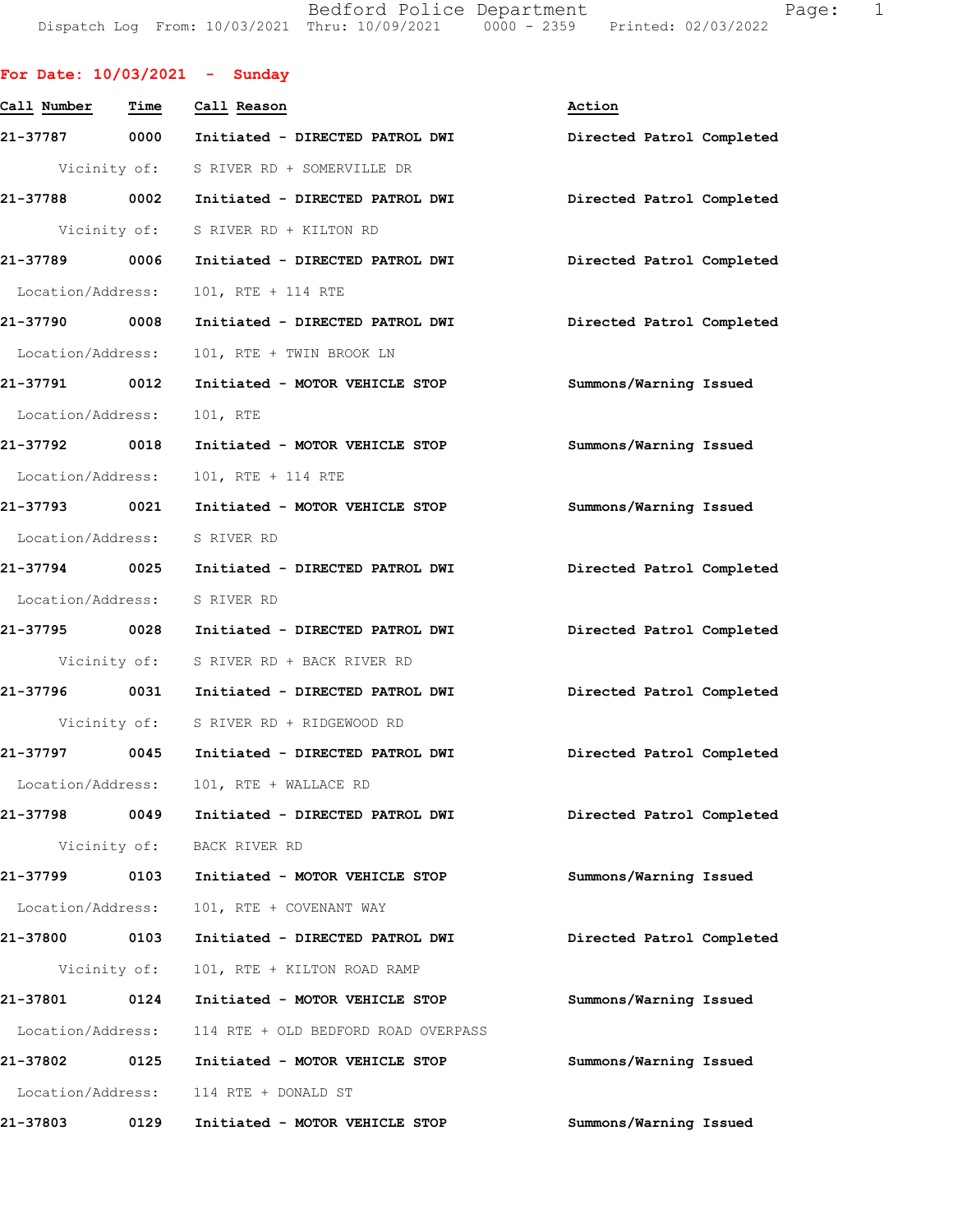Bedford Police Department Fage: 1 Dispatch Log From: 10/03/2021 Thru: 10/09/2021 0000 - 2359 Printed: 02/03/2022

|                              |              | For Date: $10/03/2021$ - Sunday               |                           |
|------------------------------|--------------|-----------------------------------------------|---------------------------|
| Call Number - Time           |              | Call Reason                                   | Action                    |
|                              |              | 21-37787 0000 Initiated - DIRECTED PATROL DWI | Directed Patrol Completed |
|                              |              | Vicinity of: S RIVER RD + SOMERVILLE DR       |                           |
|                              |              | 21-37788 0002 Initiated - DIRECTED PATROL DWI | Directed Patrol Completed |
|                              |              | Vicinity of: S RIVER RD + KILTON RD           |                           |
|                              |              | 21-37789 0006 Initiated - DIRECTED PATROL DWI | Directed Patrol Completed |
|                              |              | Location/Address: 101, RTE + 114 RTE          |                           |
| 21-37790 0008                |              | Initiated - DIRECTED PATROL DWI               | Directed Patrol Completed |
| Location/Address:            |              | 101, RTE + TWIN BROOK LN                      |                           |
| 21-37791 0012                |              | Initiated - MOTOR VEHICLE STOP                | Summons/Warning Issued    |
| Location/Address:            |              | 101, RTE                                      |                           |
| 21-37792 0018                |              | Initiated - MOTOR VEHICLE STOP                | Summons/Warning Issued    |
|                              |              | Location/Address: 101, RTE + 114 RTE          |                           |
|                              |              | 21-37793 0021 Initiated - MOTOR VEHICLE STOP  | Summons/Warning Issued    |
| Location/Address: S RIVER RD |              |                                               |                           |
|                              |              | 21-37794 0025 Initiated - DIRECTED PATROL DWI | Directed Patrol Completed |
| Location/Address: S RIVER RD |              |                                               |                           |
|                              |              | 21-37795 0028 Initiated - DIRECTED PATROL DWI | Directed Patrol Completed |
|                              |              | Vicinity of: S RIVER RD + BACK RIVER RD       |                           |
|                              |              | 21-37796 0031 Initiated - DIRECTED PATROL DWI | Directed Patrol Completed |
|                              |              | Vicinity of: S RIVER RD + RIDGEWOOD RD        |                           |
|                              |              | 21-37797 0045 Initiated - DIRECTED PATROL DWI | Directed Patrol Completed |
|                              |              | Location/Address: 101, RTE + WALLACE RD       |                           |
|                              |              | 21-37798 0049 Initiated - DIRECTED PATROL DWI | Directed Patrol Completed |
|                              |              | Vicinity of: BACK RIVER RD                    |                           |
| 21-37799 0103                |              | Initiated - MOTOR VEHICLE STOP                | Summons/Warning Issued    |
| Location/Address:            |              | 101, RTE + COVENANT WAY                       |                           |
| 21-37800 0103                |              | Initiated - DIRECTED PATROL DWI               | Directed Patrol Completed |
|                              | Vicinity of: | 101, RTE + KILTON ROAD RAMP                   |                           |
| 21-37801 0124                |              | Initiated - MOTOR VEHICLE STOP                | Summons/Warning Issued    |
| Location/Address:            |              | 114 RTE + OLD BEDFORD ROAD OVERPASS           |                           |
| 21-37802 0125                |              | Initiated - MOTOR VEHICLE STOP                | Summons/Warning Issued    |
|                              |              | Location/Address: 114 RTE + DONALD ST         |                           |
| 21-37803                     | 0129         | Initiated - MOTOR VEHICLE STOP                | Summons/Warning Issued    |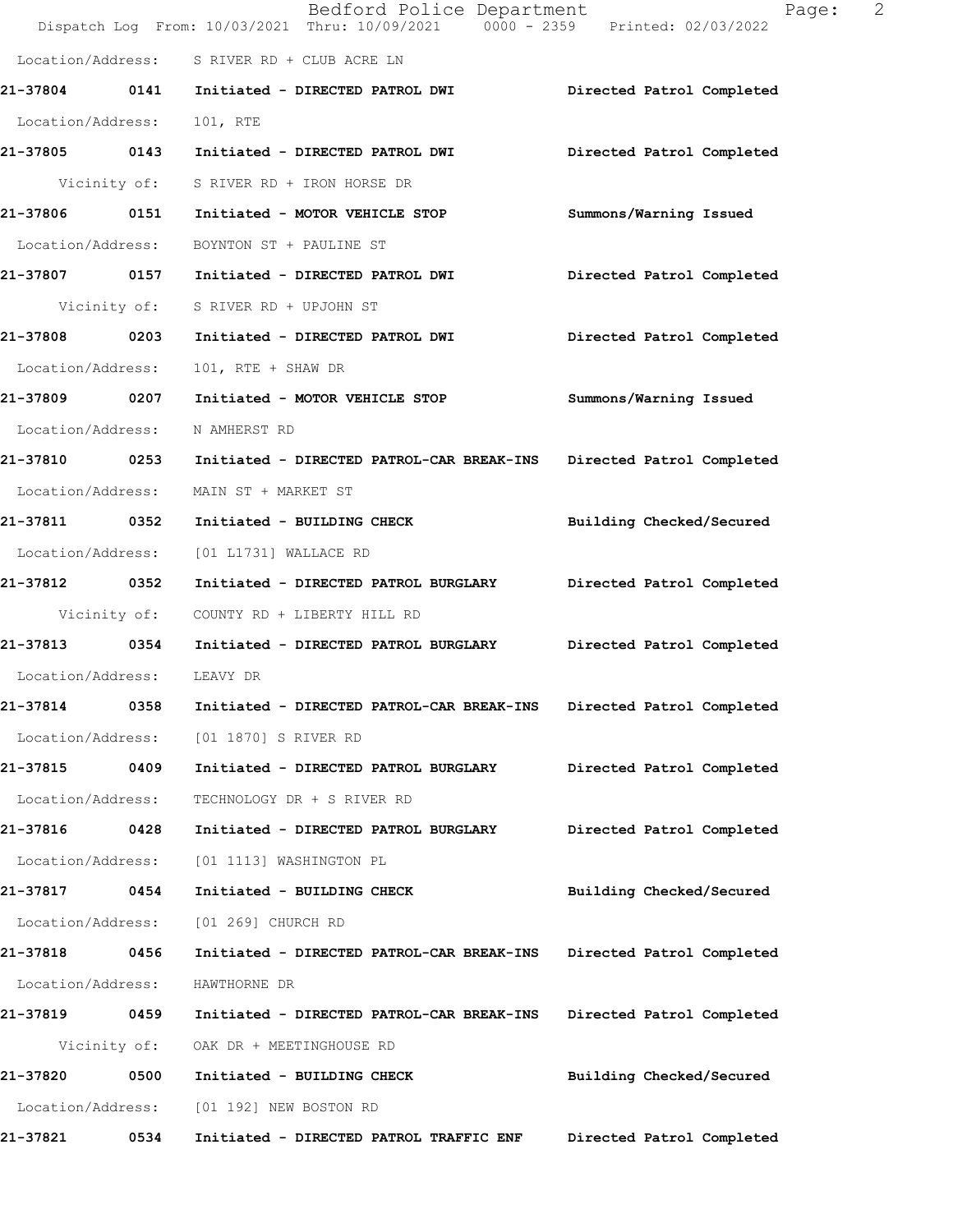|                   |      | Bedford Police Department<br>Dispatch Log From: 10/03/2021 Thru: 10/09/2021 0000 - 2359 Printed: 02/03/2022 | 2<br>Page:                |
|-------------------|------|-------------------------------------------------------------------------------------------------------------|---------------------------|
|                   |      | Location/Address: S RIVER RD + CLUB ACRE LN                                                                 |                           |
|                   |      | 21-37804 0141 Initiated - DIRECTED PATROL DWI                                                               | Directed Patrol Completed |
| Location/Address: |      | 101, RTE                                                                                                    |                           |
| 21-37805 0143     |      | Initiated - DIRECTED PATROL DWI                                                                             | Directed Patrol Completed |
| Vicinity of:      |      | S RIVER RD + IRON HORSE DR                                                                                  |                           |
| 21-37806 0151     |      | Initiated - MOTOR VEHICLE STOP                                                                              | Summons/Warning Issued    |
| Location/Address: |      | BOYNTON ST + PAULINE ST                                                                                     |                           |
| 21-37807 0157     |      | Initiated - DIRECTED PATROL DWI                                                                             | Directed Patrol Completed |
|                   |      | Vicinity of: S RIVER RD + UPJOHN ST                                                                         |                           |
| 21-37808 0203     |      | Initiated - DIRECTED PATROL DWI                                                                             | Directed Patrol Completed |
| Location/Address: |      | 101, RTE + SHAW DR                                                                                          |                           |
| 21-37809 0207     |      | Initiated - MOTOR VEHICLE STOP                                                                              | Summons/Warning Issued    |
| Location/Address: |      | N AMHERST RD                                                                                                |                           |
| 21-37810 0253     |      | Initiated - DIRECTED PATROL-CAR BREAK-INS                                                                   | Directed Patrol Completed |
| Location/Address: |      | MAIN ST + MARKET ST                                                                                         |                           |
| 21-37811 0352     |      | Initiated - BUILDING CHECK                                                                                  | Building Checked/Secured  |
| Location/Address: |      | [01 L1731] WALLACE RD                                                                                       |                           |
| 21-37812 0352     |      | Initiated - DIRECTED PATROL BURGLARY                                                                        | Directed Patrol Completed |
| Vicinity of:      |      | COUNTY RD + LIBERTY HILL RD                                                                                 |                           |
| 21-37813 0354     |      | Initiated - DIRECTED PATROL BURGLARY                                                                        | Directed Patrol Completed |
| Location/Address: |      | LEAVY DR                                                                                                    |                           |
| 21-37814          | 0358 | Initiated - DIRECTED PATROL-CAR BREAK-INS                                                                   | Directed Patrol Completed |
| Location/Address: |      | [01 1870] S RIVER RD                                                                                        |                           |
| 21-37815 0409     |      | Initiated - DIRECTED PATROL BURGLARY                                                                        | Directed Patrol Completed |
| Location/Address: |      | TECHNOLOGY DR + S RIVER RD                                                                                  |                           |
| 21-37816          | 0428 | Initiated - DIRECTED PATROL BURGLARY                                                                        | Directed Patrol Completed |
| Location/Address: |      | [01 1113] WASHINGTON PL                                                                                     |                           |
| 21-37817          | 0454 | Initiated - BUILDING CHECK                                                                                  | Building Checked/Secured  |
| Location/Address: |      | [01 269] CHURCH RD                                                                                          |                           |
| 21-37818 0456     |      | Initiated - DIRECTED PATROL-CAR BREAK-INS                                                                   | Directed Patrol Completed |
| Location/Address: |      | HAWTHORNE DR                                                                                                |                           |
| 21-37819 0459     |      | Initiated - DIRECTED PATROL-CAR BREAK-INS                                                                   | Directed Patrol Completed |
| Vicinity of:      |      | OAK DR + MEETINGHOUSE RD                                                                                    |                           |
| 21-37820          | 0500 | Initiated - BUILDING CHECK                                                                                  | Building Checked/Secured  |
| Location/Address: |      | [01 192] NEW BOSTON RD                                                                                      |                           |
| 21-37821          | 0534 | Initiated - DIRECTED PATROL TRAFFIC ENF                                                                     | Directed Patrol Completed |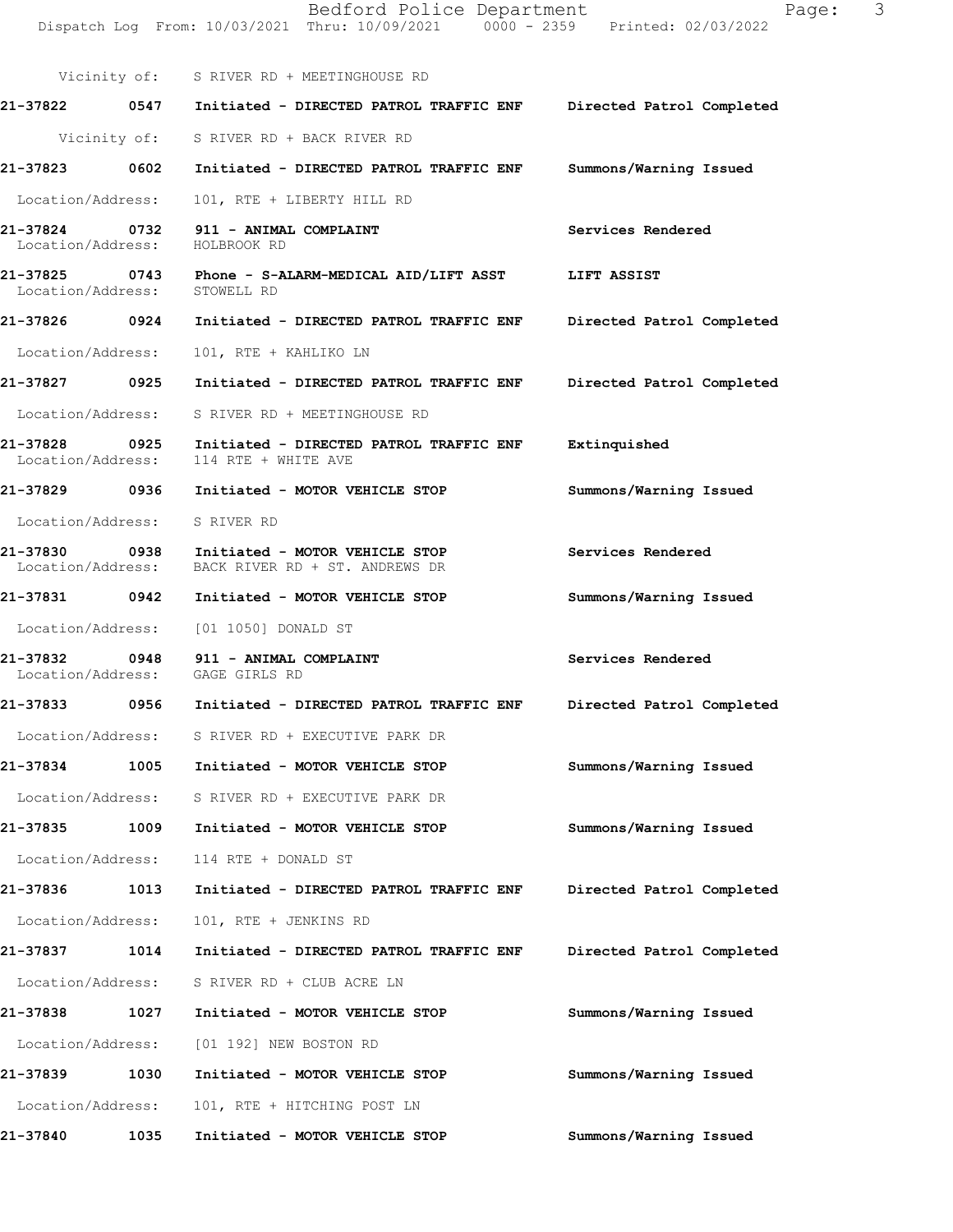Dispatch Log From: 10/03/2021 Thru: 10/09/2021 0000 - 2359 Printed: 02/03/2022 Vicinity of: S RIVER RD + MEETINGHOUSE RD **21-37822 0547 Initiated - DIRECTED PATROL TRAFFIC ENF Directed Patrol Completed**  Vicinity of: S RIVER RD + BACK RIVER RD **21-37823 0602 Initiated - DIRECTED PATROL TRAFFIC ENF Summons/Warning Issued**  Location/Address: 101, RTE + LIBERTY HILL RD **21-37824 0732 911 - ANIMAL COMPLAINT Services Rendered**  Location/Address: HOLBROOK RD **21-37825 0743 Phone - S-ALARM-MEDICAL AID/LIFT ASST LIFT ASSIST**  Location/Address: STOWELL RD **21-37826 0924 Initiated - DIRECTED PATROL TRAFFIC ENF Directed Patrol Completed**  Location/Address: 101, RTE + KAHLIKO LN **21-37827 0925 Initiated - DIRECTED PATROL TRAFFIC ENF Directed Patrol Completed**  Location/Address: S RIVER RD + MEETINGHOUSE RD **21-37828 0925 Initiated - DIRECTED PATROL TRAFFIC ENF Extinquished**  114 RTE + WHITE AVE **21-37829 0936 Initiated - MOTOR VEHICLE STOP Summons/Warning Issued**  Location/Address: S RIVER RD **21-37830 0938 Initiated - MOTOR VEHICLE STOP Services Rendered**  Location/Address: BACK RIVER RD + ST. ANDREWS DR **21-37831 0942 Initiated - MOTOR VEHICLE STOP Summons/Warning Issued**  Location/Address: [01 1050] DONALD ST 21-37832 0948 911 - ANIMAL COMPLAINT **Services Rendered**  Location/Address: GAGE GIRLS RD **21-37833 0956 Initiated - DIRECTED PATROL TRAFFIC ENF Directed Patrol Completed**  Location/Address: S RIVER RD + EXECUTIVE PARK DR **21-37834 1005 Initiated - MOTOR VEHICLE STOP Summons/Warning Issued**  Location/Address: S RIVER RD + EXECUTIVE PARK DR **21-37835 1009 Initiated - MOTOR VEHICLE STOP Summons/Warning Issued**  Location/Address: 114 RTE + DONALD ST **21-37836 1013 Initiated - DIRECTED PATROL TRAFFIC ENF Directed Patrol Completed**  Location/Address: 101, RTE + JENKINS RD **21-37837 1014 Initiated - DIRECTED PATROL TRAFFIC ENF Directed Patrol Completed**  Location/Address: S RIVER RD + CLUB ACRE LN **21-37838 1027 Initiated - MOTOR VEHICLE STOP Summons/Warning Issued**  Location/Address: [01 192] NEW BOSTON RD **21-37839 1030 Initiated - MOTOR VEHICLE STOP Summons/Warning Issued**  Location/Address: 101, RTE + HITCHING POST LN **21-37840 1035 Initiated - MOTOR VEHICLE STOP Summons/Warning Issued**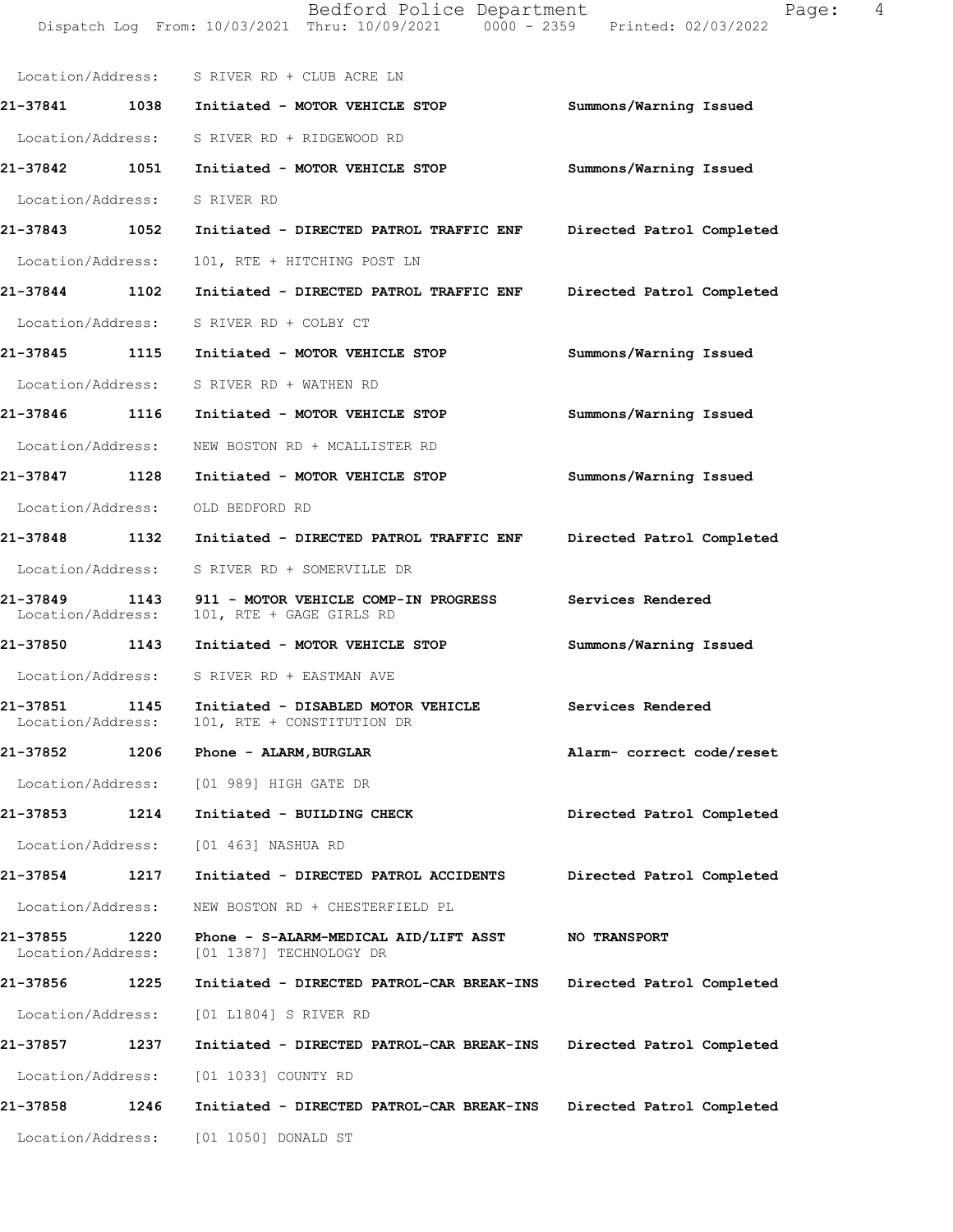|                                       | Dispatch Log From: 10/03/2021 Thru: 10/09/2021 0000 - 2359 Printed: 02/03/2022     |                           |
|---------------------------------------|------------------------------------------------------------------------------------|---------------------------|
|                                       | Location/Address: S RIVER RD + CLUB ACRE LN                                        |                           |
|                                       | 21-37841 1038 Initiated - MOTOR VEHICLE STOP                                       | Summons/Warning Issued    |
|                                       | Location/Address: S RIVER RD + RIDGEWOOD RD                                        |                           |
| 21-37842 1051                         | Initiated - MOTOR VEHICLE STOP                                                     | Summons/Warning Issued    |
| Location/Address:                     | S RIVER RD                                                                         |                           |
| 21-37843 1052                         | Initiated - DIRECTED PATROL TRAFFIC ENF                                            | Directed Patrol Completed |
| Location/Address:                     | 101, RTE + HITCHING POST LN                                                        |                           |
| 21-37844 1102                         | Initiated - DIRECTED PATROL TRAFFIC ENF                                            | Directed Patrol Completed |
| Location/Address:                     | S RIVER RD + COLBY CT                                                              |                           |
| 21-37845 1115                         | Initiated - MOTOR VEHICLE STOP                                                     | Summons/Warning Issued    |
|                                       | Location/Address: S RIVER RD + WATHEN RD                                           |                           |
| 21-37846 1116                         | Initiated - MOTOR VEHICLE STOP                                                     | Summons/Warning Issued    |
| Location/Address:                     | NEW BOSTON RD + MCALLISTER RD                                                      |                           |
| 21-37847 1128                         | Initiated - MOTOR VEHICLE STOP                                                     | Summons/Warning Issued    |
| Location/Address:                     | OLD BEDFORD RD                                                                     |                           |
| 21-37848 1132                         | Initiated - DIRECTED PATROL TRAFFIC ENF                                            | Directed Patrol Completed |
|                                       | Location/Address: S RIVER RD + SOMERVILLE DR                                       |                           |
| 21-37849 1143<br>Location/Address:    | 911 - MOTOR VEHICLE COMP-IN PROGRESS<br>101, RTE + GAGE GIRLS RD                   | Services Rendered         |
| 21-37850 1143                         | Initiated - MOTOR VEHICLE STOP                                                     | Summons/Warning Issued    |
|                                       | Location/Address: S RIVER RD + EASTMAN AVE                                         |                           |
| 21-37851<br>1145<br>Location/Address: | Initiated - DISABLED MOTOR VEHICLE Services Rendered<br>101, RTE + CONSTITUTION DR |                           |
| 21-37852<br>1206                      | Phone - ALARM, BURGLAR                                                             | Alarm- correct code/reset |
|                                       | Location/Address: [01 989] HIGH GATE DR                                            |                           |
| 21-37853<br>1214                      | Initiated - BUILDING CHECK                                                         | Directed Patrol Completed |
| Location/Address:                     | [01 463] NASHUA RD                                                                 |                           |
| 21-37854<br>1217                      | Initiated - DIRECTED PATROL ACCIDENTS                                              | Directed Patrol Completed |
| Location/Address:                     | NEW BOSTON RD + CHESTERFIELD PL                                                    |                           |
| 21-37855<br>1220<br>Location/Address: | Phone - S-ALARM-MEDICAL AID/LIFT ASST<br>[01 1387] TECHNOLOGY DR                   | <b>NO TRANSPORT</b>       |
| 21-37856<br>1225                      | Initiated - DIRECTED PATROL-CAR BREAK-INS                                          | Directed Patrol Completed |
| Location/Address:                     | [01 L1804] S RIVER RD                                                              |                           |
| 1237<br>21-37857                      | Initiated - DIRECTED PATROL-CAR BREAK-INS                                          | Directed Patrol Completed |
| Location/Address:                     | [01 1033] COUNTY RD                                                                |                           |
| 21-37858<br>1246                      | Initiated - DIRECTED PATROL-CAR BREAK-INS                                          | Directed Patrol Completed |
| Location/Address:                     | [01 1050] DONALD ST                                                                |                           |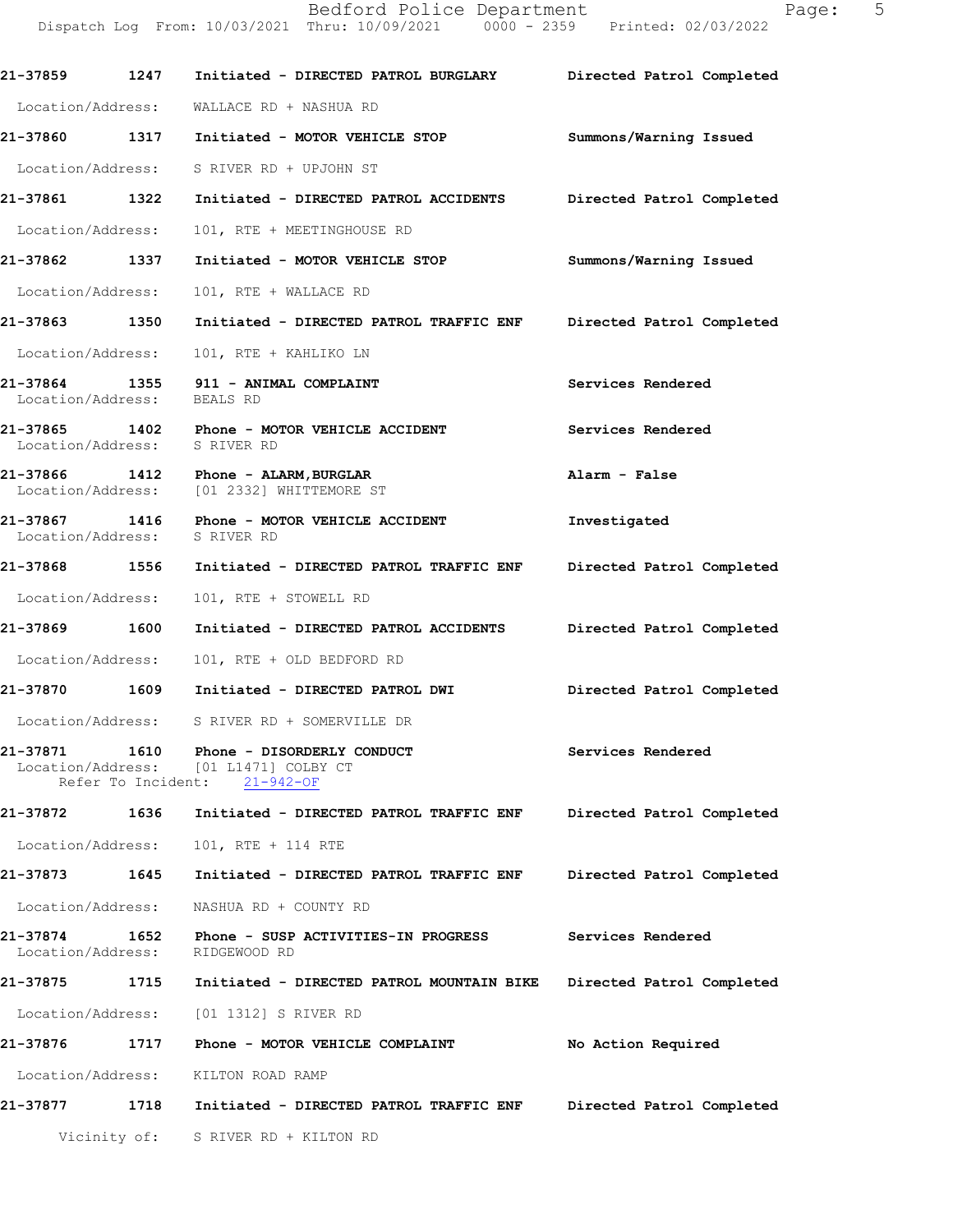Dispatch Log From: 10/03/2021 Thru: 10/09/2021 0000 - 2359 Printed: 02/03/2022 **21-37859 1247 Initiated - DIRECTED PATROL BURGLARY Directed Patrol Completed**  Location/Address: WALLACE RD + NASHUA RD **21-37860 1317 Initiated - MOTOR VEHICLE STOP Summons/Warning Issued**  Location/Address: S RIVER RD + UPJOHN ST **21-37861 1322 Initiated - DIRECTED PATROL ACCIDENTS Directed Patrol Completed**  Location/Address: 101, RTE + MEETINGHOUSE RD **21-37862 1337 Initiated - MOTOR VEHICLE STOP Summons/Warning Issued**  Location/Address: 101, RTE + WALLACE RD **21-37863 1350 Initiated - DIRECTED PATROL TRAFFIC ENF Directed Patrol Completed**  Location/Address: 101, RTE + KAHLIKO LN **21-37864 1355 911 - ANIMAL COMPLAINT Services Rendered**  Location/Address: BEALS RD **21-37865 1402 Phone - MOTOR VEHICLE ACCIDENT Services Rendered**  Location/Address: S RIVER RD **21-37866 1412 Phone - ALARM,BURGLAR Alarm - False**  Location/Address: **21-37867 1416 Phone - MOTOR VEHICLE ACCIDENT Investigated**  Location/Address: S RIVER RD **21-37868 1556 Initiated - DIRECTED PATROL TRAFFIC ENF Directed Patrol Completed**  Location/Address: 101, RTE + STOWELL RD **21-37869 1600 Initiated - DIRECTED PATROL ACCIDENTS Directed Patrol Completed**  Location/Address: 101, RTE + OLD BEDFORD RD **21-37870 1609 Initiated - DIRECTED PATROL DWI Directed Patrol Completed**  Location/Address: S RIVER RD + SOMERVILLE DR **21-37871 1610 Phone - DISORDERLY CONDUCT Services Rendered**  Location/Address: [01 L1471] COLBY CT Refer To Incident: 21-942-OF **21-37872 1636 Initiated - DIRECTED PATROL TRAFFIC ENF Directed Patrol Completed**  Location/Address: 101, RTE + 114 RTE **21-37873 1645 Initiated - DIRECTED PATROL TRAFFIC ENF Directed Patrol Completed**  Location/Address: NASHUA RD + COUNTY RD **21-37874 1652 Phone - SUSP ACTIVITIES-IN PROGRESS Services Rendered**  Location/Address: RIDGEWOOD RD **21-37875 1715 Initiated - DIRECTED PATROL MOUNTAIN BIKE Directed Patrol Completed**  Location/Address: [01 1312] S RIVER RD **21-37876 1717 Phone - MOTOR VEHICLE COMPLAINT No Action Required**  Location/Address: KILTON ROAD RAMP **21-37877 1718 Initiated - DIRECTED PATROL TRAFFIC ENF Directed Patrol Completed**  Vicinity of: S RIVER RD + KILTON RD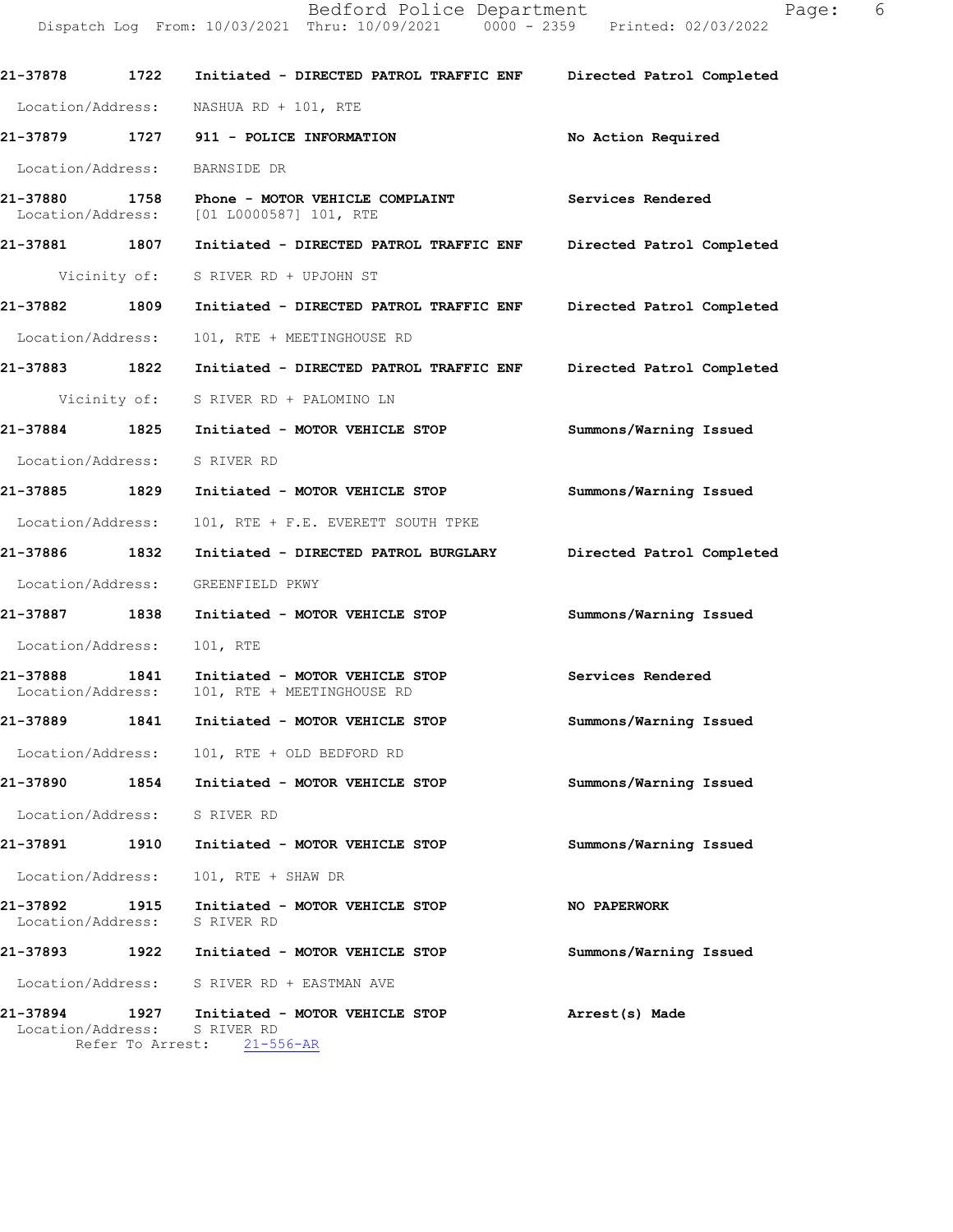Bedford Police Department Page: 6 Dispatch Log From: 10/03/2021 Thru: 10/09/2021 0000 - 2359 Printed: 02/03/2022

**21-37878 1722 Initiated - DIRECTED PATROL TRAFFIC ENF Directed Patrol Completed**  Location/Address: NASHUA RD + 101, RTE **21-37879 1727 911 - POLICE INFORMATION No Action Required**  Location/Address: BARNSIDE DR **21-37880 1758 Phone - MOTOR VEHICLE COMPLAINT** Services Rendered Location/Address: [01 L0000587] 101, RTE [01 L0000587] 101, RTE **21-37881 1807 Initiated - DIRECTED PATROL TRAFFIC ENF Directed Patrol Completed**  Vicinity of: S RIVER RD + UPJOHN ST **21-37882 1809 Initiated - DIRECTED PATROL TRAFFIC ENF Directed Patrol Completed**  Location/Address: 101, RTE + MEETINGHOUSE RD **21-37883 1822 Initiated - DIRECTED PATROL TRAFFIC ENF Directed Patrol Completed**  Vicinity of: S RIVER RD + PALOMINO LN **21-37884 1825 Initiated - MOTOR VEHICLE STOP Summons/Warning Issued**  Location/Address: S RIVER RD **21-37885 1829 Initiated - MOTOR VEHICLE STOP Summons/Warning Issued**  Location/Address: 101, RTE + F.E. EVERETT SOUTH TPKE **21-37886 1832 Initiated - DIRECTED PATROL BURGLARY Directed Patrol Completed**  Location/Address: GREENFIELD PKWY **21-37887 1838 Initiated - MOTOR VEHICLE STOP Summons/Warning Issued**  Location/Address: 101, RTE **21-37888 1841 Initiated - MOTOR VEHICLE STOP Services Rendered**  101, RTE + MEETINGHOUSE RD **21-37889 1841 Initiated - MOTOR VEHICLE STOP Summons/Warning Issued**  Location/Address: 101, RTE + OLD BEDFORD RD **21-37890 1854 Initiated - MOTOR VEHICLE STOP Summons/Warning Issued**  Location/Address: S RIVER RD **21-37891 1910 Initiated - MOTOR VEHICLE STOP Summons/Warning Issued**  Location/Address: 101, RTE + SHAW DR **21-37892 1915 Initiated - MOTOR VEHICLE STOP NO PAPERWORK**  Location/Address: S RIVER RD **21-37893 1922 Initiated - MOTOR VEHICLE STOP Summons/Warning Issued**  Location/Address: S RIVER RD + EASTMAN AVE **21-37894 1927 Initiated - MOTOR VEHICLE STOP Arrest(s) Made** Location/Address: S RIVER RD Refer To Arrest: 21-556-AR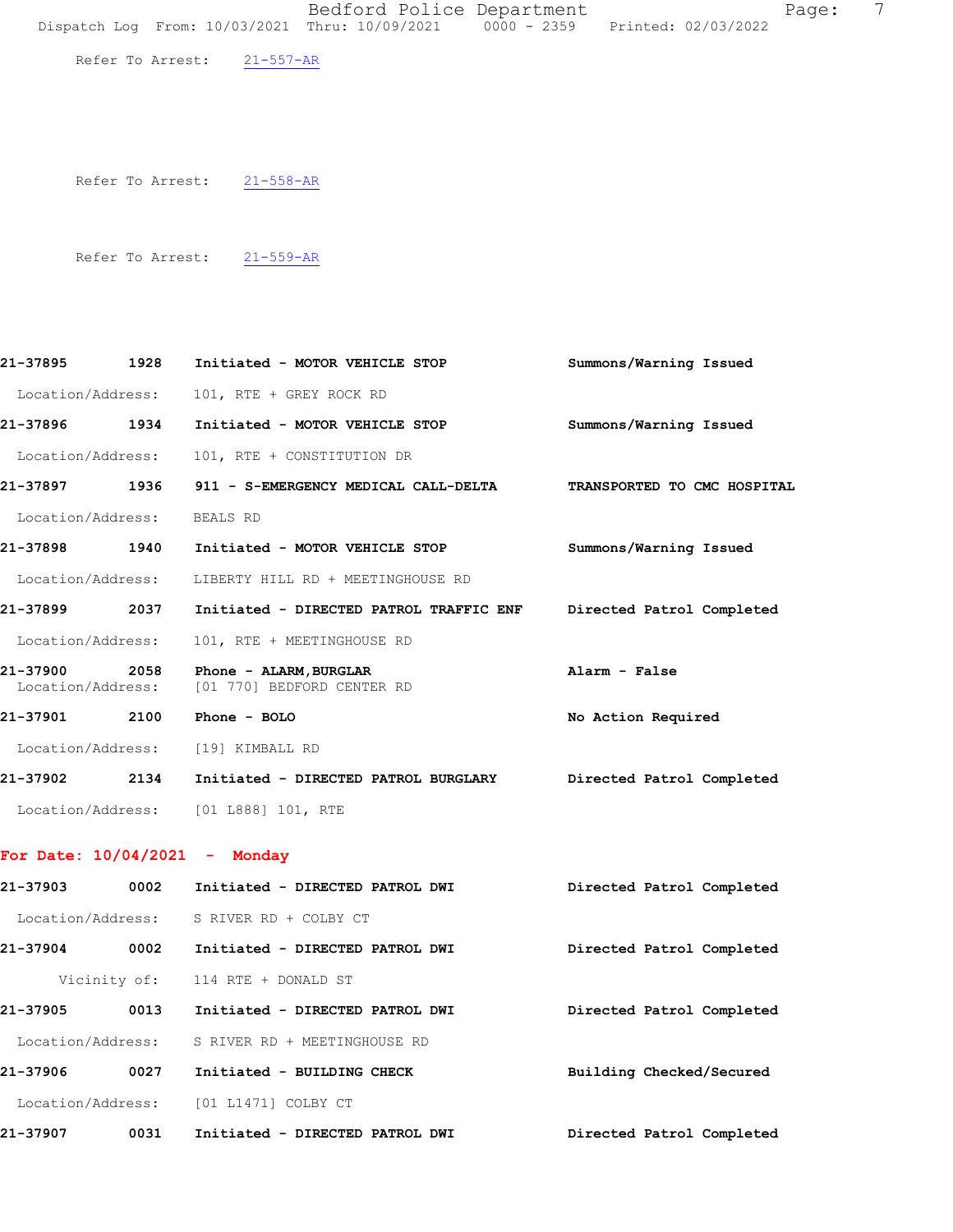Refer To Arrest: 21-557-AR

Refer To Arrest: 21-558-AR

Refer To Arrest: 21-559-AR

| 21-37895<br>1928                      | Initiated - MOTOR VEHICLE STOP                       | Summons/Warning Issued      |
|---------------------------------------|------------------------------------------------------|-----------------------------|
| Location/Address:                     | 101, RTE + GREY ROCK RD                              |                             |
| 1934<br>21-37896                      | Initiated - MOTOR VEHICLE STOP                       | Summons/Warning Issued      |
| Location/Address:                     | 101, RTE + CONSTITUTION DR                           |                             |
| 1936<br>21-37897                      | 911 - S-EMERGENCY MEDICAL CALL-DELTA                 | TRANSPORTED TO CMC HOSPITAL |
| Location/Address:                     | <b>BEALS RD</b>                                      |                             |
| 1940<br>21-37898                      | Initiated - MOTOR VEHICLE STOP                       | Summons/Warning Issued      |
| Location/Address:                     | LIBERTY HILL RD + MEETINGHOUSE RD                    |                             |
| 2037<br>121-37899                     | Initiated - DIRECTED PATROL TRAFFIC ENF              | Directed Patrol Completed   |
| Location/Address:                     | 101, RTE + MEETINGHOUSE RD                           |                             |
| 2058<br>21-37900<br>Location/Address: | Phone - ALARM, BURGLAR<br>[01 770] BEDFORD CENTER RD | Alarm - False               |
| 21-37901<br>2100                      | Phone $-$ BOLO                                       | No Action Required          |
| Location/Address:                     | [19] KIMBALL RD                                      |                             |
| 2134<br>21-37902                      | Initiated - DIRECTED PATROL BURGLARY                 | Directed Patrol Completed   |
| Location/Address:                     | [01 L888] 101, RTE                                   |                             |

## **For Date: 10/04/2021 - Monday**

| 21-37903<br>0002  | Initiated - DIRECTED PATROL DWI | Directed Patrol Completed |
|-------------------|---------------------------------|---------------------------|
| Location/Address: | S RIVER RD + COLBY CT           |                           |
| 21-37904<br>0002  | Initiated - DIRECTED PATROL DWI | Directed Patrol Completed |
| Vicinity of:      | 114 RTE + DONALD ST             |                           |
| 21-37905<br>0013  | Initiated - DIRECTED PATROL DWI | Directed Patrol Completed |
| Location/Address: | S RIVER RD + MEETINGHOUSE RD    |                           |
| 0027<br>21-37906  | Initiated - BUILDING CHECK      | Building Checked/Secured  |
| Location/Address: | [01 L1471] COLBY CT             |                           |
| 21-37907<br>0031  | Initiated - DIRECTED PATROL DWI | Directed Patrol Completed |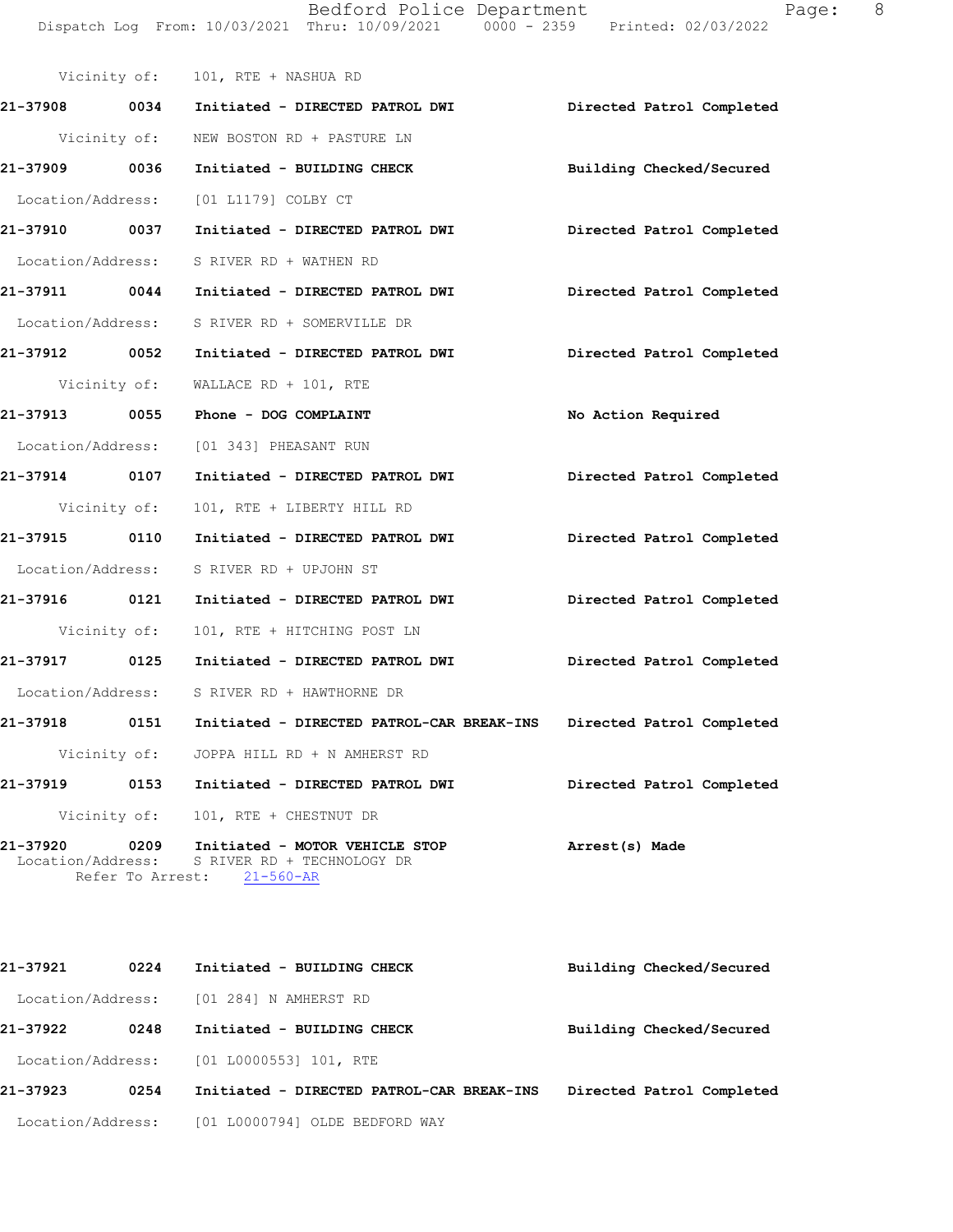Bedford Police Department The Control Page: 8 Dispatch Log From: 10/03/2021 Thru: 10/09/2021 0000 - 2359 Printed: 02/03/2022

| Page |  |
|------|--|
|      |  |
|      |  |

|               |      | Vicinity of: 101, RTE + NASHUA RD                                                                                          |                           |
|---------------|------|----------------------------------------------------------------------------------------------------------------------------|---------------------------|
|               |      | 21-37908 0034 Initiated - DIRECTED PATROL DWI                                                                              | Directed Patrol Completed |
|               |      | Vicinity of: NEW BOSTON RD + PASTURE LN                                                                                    |                           |
| 21-37909 0036 |      | Initiated - BUILDING CHECK                                                                                                 | Building Checked/Secured  |
|               |      | Location/Address: [01 L1179] COLBY CT                                                                                      |                           |
|               |      | 21-37910 0037 Initiated - DIRECTED PATROL DWI Directed Patrol Completed                                                    |                           |
|               |      | Location/Address: S RIVER RD + WATHEN RD                                                                                   |                           |
|               |      | 21-37911 0044 Initiated - DIRECTED PATROL DWI Directed Patrol Completed                                                    |                           |
|               |      | Location/Address: S RIVER RD + SOMERVILLE DR                                                                               |                           |
|               |      |                                                                                                                            | Directed Patrol Completed |
|               |      | Vicinity of: WALLACE RD + 101, RTE                                                                                         |                           |
|               |      | 21-37913 0055 Phone - DOG COMPLAINT                                                                                        | No Action Required        |
|               |      | Location/Address: [01 343] PHEASANT RUN                                                                                    |                           |
|               |      | 21-37914 0107 Initiated - DIRECTED PATROL DWI                                                                              | Directed Patrol Completed |
| Vicinity of:  |      | 101, RTE + LIBERTY HILL RD                                                                                                 |                           |
|               |      | 21-37915 0110 Initiated - DIRECTED PATROL DWI                                                                              | Directed Patrol Completed |
|               |      | Location/Address: S RIVER RD + UPJOHN ST                                                                                   |                           |
|               |      | 21-37916 0121 Initiated - DIRECTED PATROL DWI Directed Patrol Completed                                                    |                           |
| Vicinity of:  |      | 101, RTE + HITCHING POST LN                                                                                                |                           |
|               |      | 21-37917 0125 Initiated - DIRECTED PATROL DWI                                                                              | Directed Patrol Completed |
|               |      | Location/Address: S RIVER RD + HAWTHORNE DR                                                                                |                           |
|               |      |                                                                                                                            | Directed Patrol Completed |
|               |      | Vicinity of: JOPPA HILL RD + N AMHERST RD                                                                                  |                           |
| 21-37919      | 0153 | Initiated - DIRECTED PATROL DWI                                                                                            | Directed Patrol Completed |
|               |      | Vicinity of: 101, RTE + CHESTNUT DR                                                                                        |                           |
|               |      | 21-37920 0209 Initiated - MOTOR VEHICLE STOP<br>Location/Address: S RIVER RD + TECHNOLOGY DR<br>Refer To Arrest: 21-560-AR | Arrest(s) Made            |
|               |      |                                                                                                                            |                           |

| 21-37921          | 0224 | Initiated - BUILDING CHECK                | Building Checked/Secured  |
|-------------------|------|-------------------------------------------|---------------------------|
| Location/Address: |      | [01 284] N AMHERST RD                     |                           |
| 21-37922          | 0248 | Initiated - BUILDING CHECK                | Building Checked/Secured  |
| Location/Address: |      | [01 L0000553] 101, RTE                    |                           |
| 21-37923          | 0254 | Initiated - DIRECTED PATROL-CAR BREAK-INS | Directed Patrol Completed |
| Location/Address: |      | [01 L0000794] OLDE BEDFORD WAY            |                           |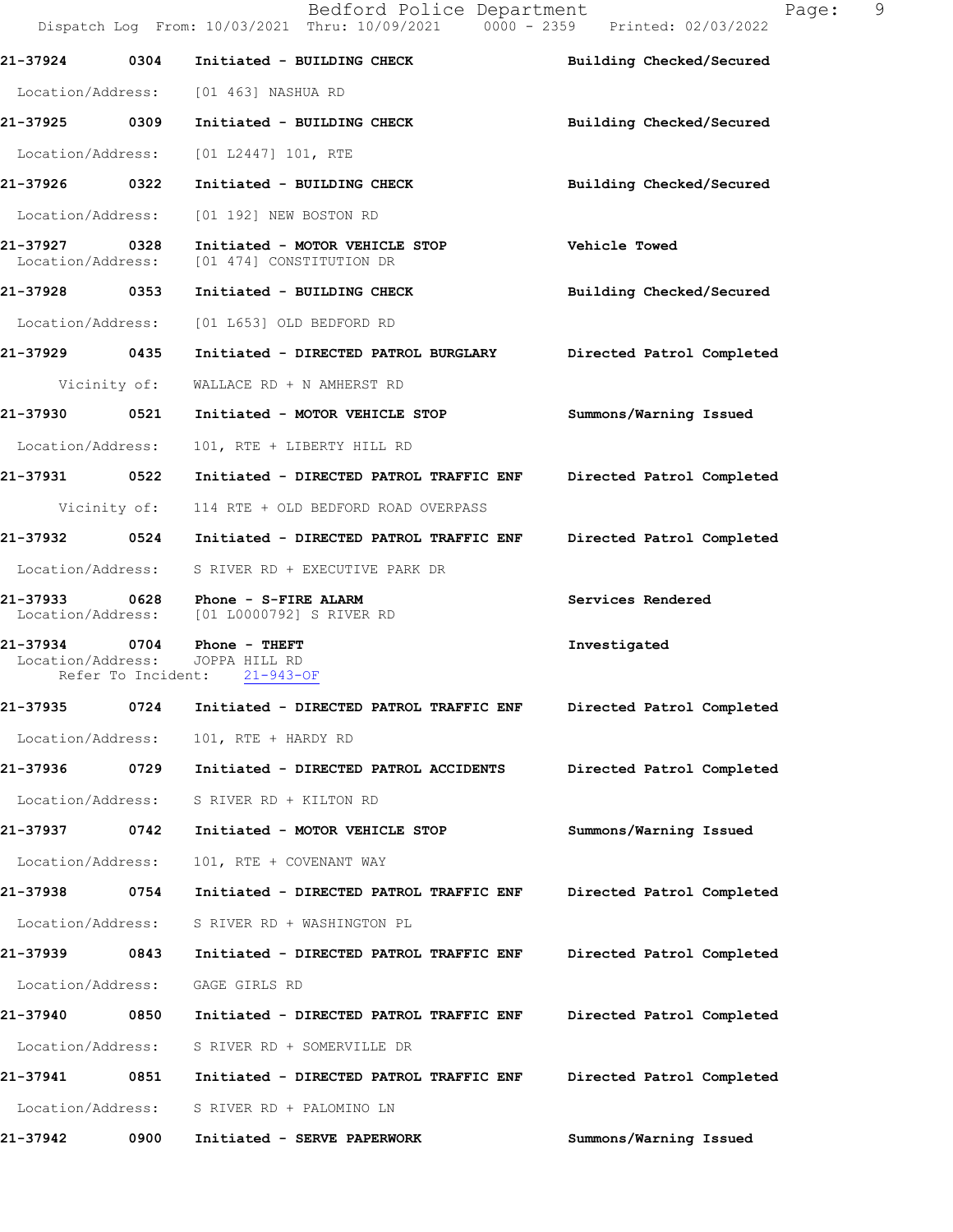|                                    |                    | Bedford Police Department<br>Dispatch Log From: 10/03/2021 Thru: 10/09/2021 0000 - 2359 Printed: 02/03/2022 | 9<br>Page:                |  |
|------------------------------------|--------------------|-------------------------------------------------------------------------------------------------------------|---------------------------|--|
| 21-37924                           | 0304               | Initiated - BUILDING CHECK                                                                                  | Building Checked/Secured  |  |
|                                    |                    | Location/Address: [01 463] NASHUA RD                                                                        |                           |  |
| 21-37925 0309                      |                    | Initiated - BUILDING CHECK                                                                                  | Building Checked/Secured  |  |
| Location/Address:                  |                    | $[01 L2447] 101$ , RTE                                                                                      |                           |  |
| 21-37926 0322                      |                    | Initiated - BUILDING CHECK                                                                                  | Building Checked/Secured  |  |
| Location/Address:                  |                    | [01 192] NEW BOSTON RD                                                                                      |                           |  |
| 21-37927 0328<br>Location/Address: |                    | Initiated - MOTOR VEHICLE STOP<br>[01 474] CONSTITUTION DR                                                  | Vehicle Towed             |  |
| 21-37928 0353                      |                    | Initiated - BUILDING CHECK                                                                                  | Building Checked/Secured  |  |
| Location/Address:                  |                    | [01 L653] OLD BEDFORD RD                                                                                    |                           |  |
| 21-37929 0435                      |                    | Initiated - DIRECTED PATROL BURGLARY                                                                        | Directed Patrol Completed |  |
|                                    | Vicinity of:       | WALLACE RD + N AMHERST RD                                                                                   |                           |  |
| 21-37930                           | 0521               | Initiated - MOTOR VEHICLE STOP                                                                              | Summons/Warning Issued    |  |
| Location/Address:                  |                    | 101, RTE + LIBERTY HILL RD                                                                                  |                           |  |
|                                    |                    |                                                                                                             | Directed Patrol Completed |  |
|                                    |                    | Vicinity of: 114 RTE + OLD BEDFORD ROAD OVERPASS                                                            |                           |  |
|                                    |                    |                                                                                                             | Directed Patrol Completed |  |
|                                    |                    | Location/Address: S RIVER RD + EXECUTIVE PARK DR                                                            |                           |  |
|                                    |                    | 21-37933 0628 Phone - S-FIRE ALARM<br>Location/Address: [01 L0000792] S RIVER RD                            | Services Rendered         |  |
| Location/Address:                  | Refer To Incident: | 21-37934 0704 Phone - THEFT<br>JOPPA HILL RD<br>$21 - 943 - OF$                                             | Investigated              |  |
| 21-37935                           | 0724               | Initiated - DIRECTED PATROL TRAFFIC ENF                                                                     | Directed Patrol Completed |  |
| Location/Address:                  |                    | 101, RTE + HARDY RD                                                                                         |                           |  |
| 21-37936                           | 0729               | Initiated - DIRECTED PATROL ACCIDENTS                                                                       | Directed Patrol Completed |  |
| Location/Address:                  |                    | S RIVER RD + KILTON RD                                                                                      |                           |  |
| 21-37937                           | 0742               | Initiated - MOTOR VEHICLE STOP                                                                              | Summons/Warning Issued    |  |
| Location/Address:                  |                    | 101, RTE + COVENANT WAY                                                                                     |                           |  |
| 21-37938                           | 0754               | Initiated - DIRECTED PATROL TRAFFIC ENF                                                                     | Directed Patrol Completed |  |
| Location/Address:                  |                    | S RIVER RD + WASHINGTON PL                                                                                  |                           |  |
| 21-37939 0843                      |                    | Initiated - DIRECTED PATROL TRAFFIC ENF                                                                     | Directed Patrol Completed |  |
| Location/Address:                  |                    | GAGE GIRLS RD                                                                                               |                           |  |
| 21-37940                           | 0850               | Initiated - DIRECTED PATROL TRAFFIC ENF                                                                     | Directed Patrol Completed |  |
| Location/Address:                  |                    | S RIVER RD + SOMERVILLE DR                                                                                  |                           |  |
| 21-37941                           | 0851               | Initiated - DIRECTED PATROL TRAFFIC ENF                                                                     | Directed Patrol Completed |  |
| Location/Address:                  |                    | S RIVER RD + PALOMINO LN                                                                                    |                           |  |
| 21-37942                           | 0900               | Initiated - SERVE PAPERWORK                                                                                 | Summons/Warning Issued    |  |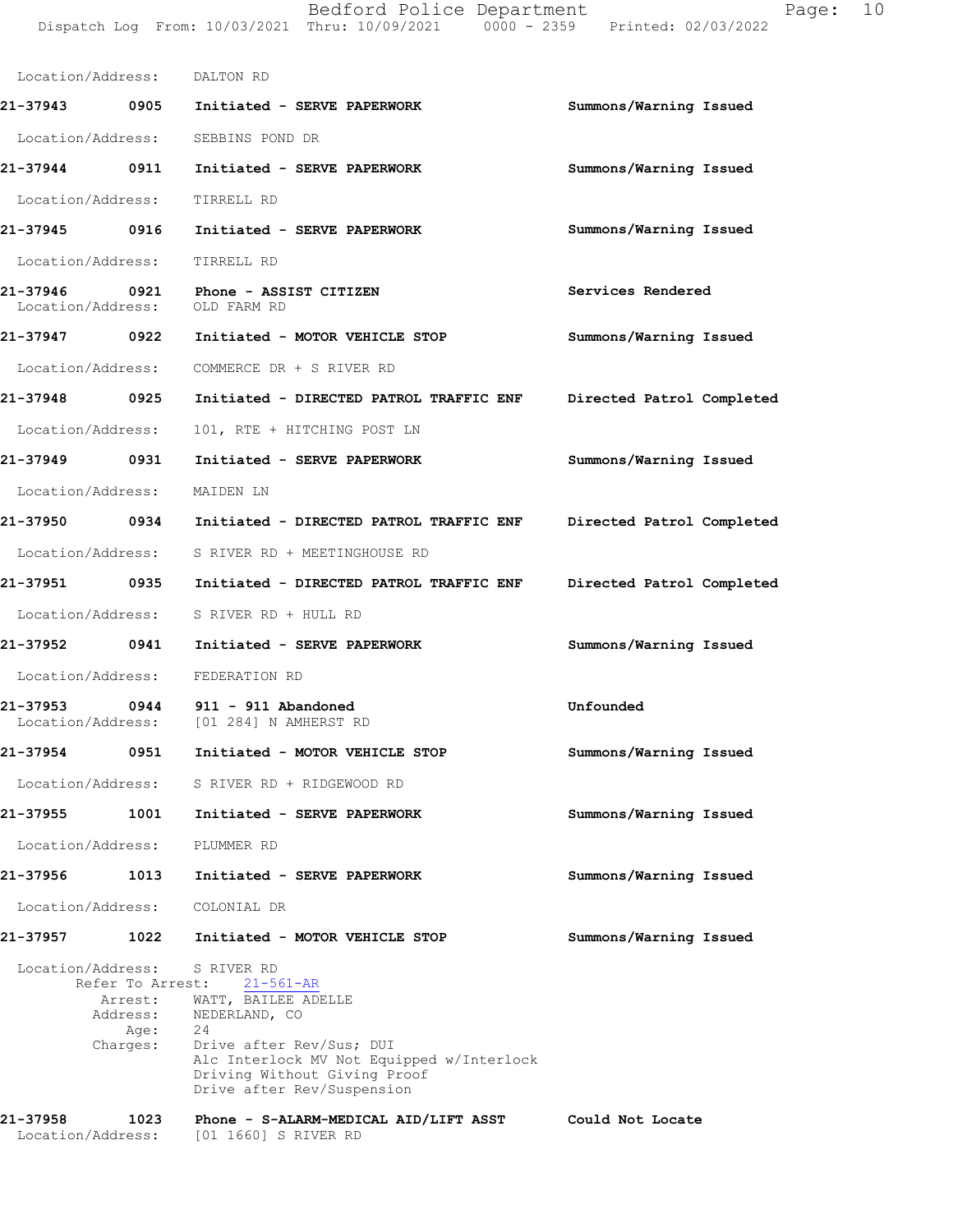Bedford Police Department Page: 10 Dispatch Log From: 10/03/2021 Thru: 10/09/2021 0000 - 2359 Printed: 02/03/2022 **Summons/Warning Issued**  Location/Address: DALTON RD **21-37943 0905 Initiated - SERVE PAPERWORK** Location/Address: SEBBINS POND DR

**Summons/Warning Issued 21-37944 0911 Initiated - SERVE PAPERWORK** Location/Address: TIRRELL RD

**Summons/Warning Issued 21-37945 0916 Initiated - SERVE PAPERWORK** Location/Address: TIRRELL RD

**Services Rendered 21-37946 0921 Phone - ASSIST CITIZEN** Location/Address: OLD FARM RD

- **Summons/Warning Issued 21-37947 0922 Initiated - MOTOR VEHICLE STOP** Location/Address: COMMERCE DR + S RIVER RD
- **Directed Patrol Completed 21-37948 0925 Initiated - DIRECTED PATROL TRAFFIC ENF** Location/Address: 101, RTE + HITCHING POST LN
- **Summons/Warning Issued 21-37949 0931 Initiated - SERVE PAPERWORK** Location/Address: MAIDEN LN
- **Directed Patrol Completed 21-37950 0934 Initiated - DIRECTED PATROL TRAFFIC ENF** Location/Address: S RIVER RD + MEETINGHOUSE RD
- **Directed Patrol Completed 21-37951 0935 Initiated - DIRECTED PATROL TRAFFIC ENF** Location/Address: S RIVER RD + HULL RD
- **Summons/Warning Issued 21-37952 0941 Initiated - SERVE PAPERWORK** Location/Address: FEDERATION RD
- **Unfounded 21-37953 0944 911 - 911 Abandoned** Location/Address: [01 284] N AMHERST RD
- **Summons/Warning Issued 21-37954 0951 Initiated - MOTOR VEHICLE STOP** Location/Address: S RIVER RD + RIDGEWOOD RD
- **Summons/Warning Issued 21-37955 1001 Initiated - SERVE PAPERWORK** Location/Address: PLUMMER RD

**Summons/Warning Issued** 

**Summons/Warning Issued** 

- **21-37956 1013 Initiated SERVE PAPERWORK**
	- Location/Address: COLONIAL DR

# **21-37957 1022 Initiated - MOTOR VEHICLE STOP**

Refer To Arrest: 21-561-AR Location/Address: S RIVER RD Arrest: WATT, BAILEE ADELLE Address: NEDERLAND, CO Age: 24 Charges: Drive after Rev/Sus; DUI Alc Interlock MV Not Equipped w/Interlock Driving Without Giving Proof Drive after Rev/Suspension

#### **Could Not Locate 21-37958 1023 Phone - S-ALARM-MEDICAL AID/LIFT ASST** Location/Address: [01 1660] S RIVER RD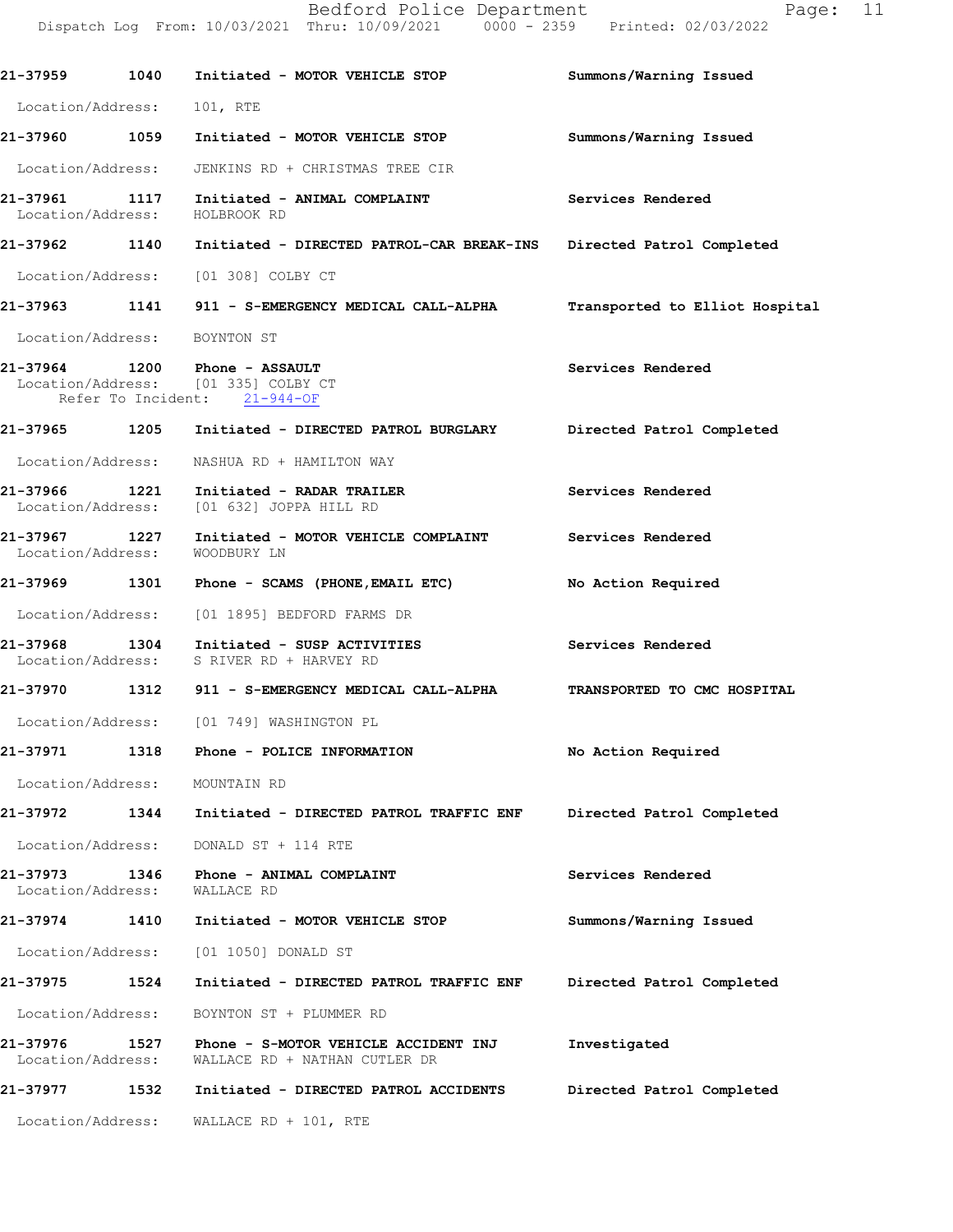|                               |      | Bedford Police Department<br>Dispatch Log From: 10/03/2021 Thru: 10/09/2021 0000 - 2359 Printed: 02/03/2022 | 11<br>Page:                    |
|-------------------------------|------|-------------------------------------------------------------------------------------------------------------|--------------------------------|
|                               |      | 21-37959 1040 Initiated - MOTOR VEHICLE STOP                                                                | Summons/Warning Issued         |
| Location/Address:             |      | 101, RTE                                                                                                    |                                |
|                               |      | 21-37960 1059 Initiated - MOTOR VEHICLE STOP                                                                | Summons/Warning Issued         |
| Location/Address:             |      | JENKINS RD + CHRISTMAS TREE CIR                                                                             |                                |
| Location/Address:             |      | 21-37961 1117 Initiated - ANIMAL COMPLAINT<br>HOLBROOK RD                                                   | Services Rendered              |
|                               |      | 21-37962 1140 Initiated - DIRECTED PATROL-CAR BREAK-INS Directed Patrol Completed                           |                                |
|                               |      | Location/Address: [01 308] COLBY CT                                                                         |                                |
|                               |      | 21-37963 1141 911 - S-EMERGENCY MEDICAL CALL-ALPHA                                                          | Transported to Elliot Hospital |
| Location/Address: BOYNTON ST  |      |                                                                                                             |                                |
|                               |      | 21-37964 1200 Phone - ASSAULT<br>Location/Address: [01 335] COLBY CT<br>Refer To Incident: 21-944-OF        | Services Rendered              |
|                               |      | 21-37965 1205 Initiated - DIRECTED PATROL BURGLARY Directed Patrol Completed                                |                                |
| Location/Address:             |      | NASHUA RD + HAMILTON WAY                                                                                    |                                |
|                               |      | 21-37966 1221 Initiated - RADAR TRAILER<br>Location/Address: [01 632] JOPPA HILL RD                         | Services Rendered              |
|                               |      | 21-37967 1227 Initiated - MOTOR VEHICLE COMPLAINT<br>Location/Address: WOODBURY LN                          | Services Rendered              |
|                               |      | 21-37969 1301 Phone - SCAMS (PHONE, EMAIL ETC)                                                              | No Action Required             |
|                               |      | Location/Address: [01 1895] BEDFORD FARMS DR                                                                |                                |
| 21-37968                      |      | 1304 Initiated - SUSP ACTIVITIES<br>Location/Address: S RIVER RD + HARVEY RD                                | Services Rendered              |
| 21-37970                      | 1312 | 911 - S-EMERGENCY MEDICAL CALL-ALPHA                                                                        | TRANSPORTED TO CMC HOSPITAL    |
|                               |      | Location/Address: [01 749] WASHINGTON PL                                                                    |                                |
| 21-37971                      |      | 1318 Phone - POLICE INFORMATION                                                                             | No Action Required             |
| Location/Address:             |      | MOUNTAIN RD                                                                                                 |                                |
| 21-37972                      | 1344 | Initiated - DIRECTED PATROL TRAFFIC ENF                                                                     | Directed Patrol Completed      |
| Location/Address:             |      | DONALD ST + 114 RTE                                                                                         |                                |
| 21-37973<br>Location/Address: | 1346 | Phone - ANIMAL COMPLAINT<br>WALLACE RD                                                                      | Services Rendered              |
| 21-37974                      | 1410 | Initiated - MOTOR VEHICLE STOP                                                                              | Summons/Warning Issued         |
| Location/Address:             |      | [01 1050] DONALD ST                                                                                         |                                |
| 21-37975                      | 1524 | Initiated - DIRECTED PATROL TRAFFIC ENF                                                                     | Directed Patrol Completed      |
| Location/Address:             |      | BOYNTON ST + PLUMMER RD                                                                                     |                                |
| 21-37976<br>Location/Address: | 1527 | Phone - S-MOTOR VEHICLE ACCIDENT INJ<br>WALLACE RD + NATHAN CUTLER DR                                       | Investigated                   |
| 21-37977                      | 1532 | Initiated - DIRECTED PATROL ACCIDENTS                                                                       | Directed Patrol Completed      |
| Location/Address:             |      | WALLACE RD + 101, RTE                                                                                       |                                |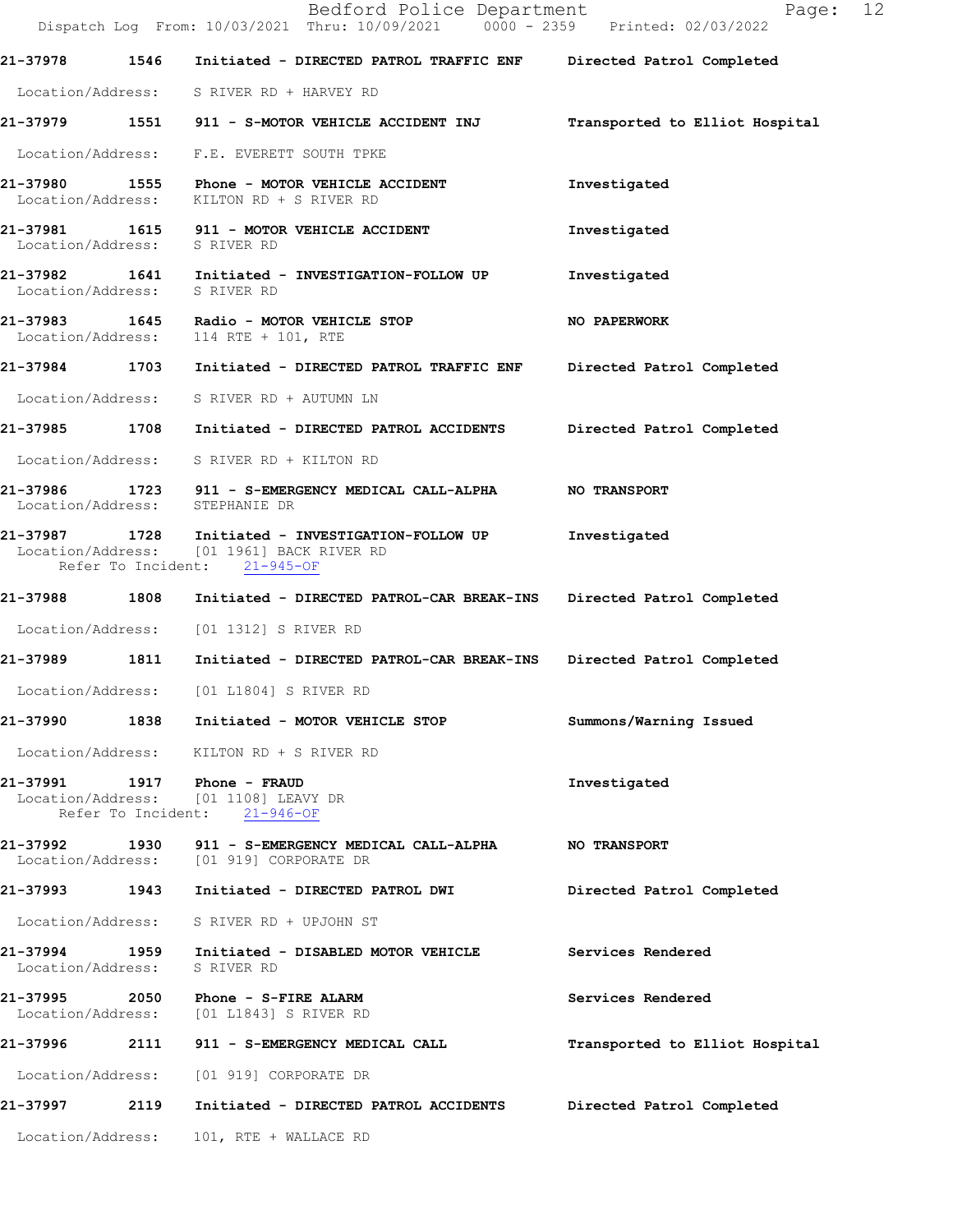|                              | Bedford Police Department<br>Dispatch Log From: 10/03/2021 Thru: 10/09/2021 0000 - 2359 Printed: 02/03/2022                    | Page: 12                       |  |
|------------------------------|--------------------------------------------------------------------------------------------------------------------------------|--------------------------------|--|
|                              | 21-37978 1546 Initiated - DIRECTED PATROL TRAFFIC ENF Directed Patrol Completed                                                |                                |  |
|                              | Location/Address: S RIVER RD + HARVEY RD                                                                                       |                                |  |
|                              | 21-37979 1551 911 - S-MOTOR VEHICLE ACCIDENT INJ                                                                               | Transported to Elliot Hospital |  |
|                              | Location/Address: F.E. EVERETT SOUTH TPKE                                                                                      |                                |  |
| Location/Address:            | 21-37980 1555 Phone - MOTOR VEHICLE ACCIDENT<br>KILTON RD + S RIVER RD                                                         | Investigated                   |  |
| Location/Address: S RIVER RD | 21-37981 1615 911 - MOTOR VEHICLE ACCIDENT                                                                                     | Investigated                   |  |
| Location/Address: S RIVER RD | 21-37982 1641 Initiated - INVESTIGATION-FOLLOW UP                                                                              | Investigated                   |  |
|                              | 21-37983 1645 Radio - MOTOR VEHICLE STOP<br>Location/Address: 114 RTE + 101, RTE                                               | NO PAPERWORK                   |  |
|                              | 21-37984 1703 Initiated - DIRECTED PATROL TRAFFIC ENF Directed Patrol Completed                                                |                                |  |
| Location/Address:            | S RIVER RD + AUTUMN LN                                                                                                         |                                |  |
|                              | 21-37985 1708 Initiated - DIRECTED PATROL ACCIDENTS                                                                            | Directed Patrol Completed      |  |
|                              | Location/Address: S RIVER RD + KILTON RD                                                                                       |                                |  |
|                              | 21-37986 1723 911 - S-EMERGENCY MEDICAL CALL-ALPHA NO TRANSPORT<br>Location/Address: STEPHANIE DR                              |                                |  |
|                              | 21-37987 1728 Initiated - INVESTIGATION-FOLLOW UP<br>Location/Address: [01 1961] BACK RIVER RD<br>Refer To Incident: 21-945-OF | Investigated                   |  |
|                              | 21-37988 1808 Initiated - DIRECTED PATROL-CAR BREAK-INS Directed Patrol Completed                                              |                                |  |
|                              | Location/Address: [01 1312] S RIVER RD                                                                                         |                                |  |
|                              | 21-37989 1811 Initiated - DIRECTED PATROL-CAR BREAK-INS                                                                        | Directed Patrol Completed      |  |
| Location/Address:            | [01 L1804] S RIVER RD                                                                                                          |                                |  |
|                              | 21-37990 1838 Initiated - MOTOR VEHICLE STOP                                                                                   | Summons/Warning Issued         |  |
|                              | Location/Address: KILTON RD + S RIVER RD                                                                                       |                                |  |
|                              | 21-37991    1917    Phone - FRAUD<br>Location/Address: [01 1108] LEAVY DR<br>Refer To Incident: 21-946-OF                      | Investigated                   |  |
|                              | 21-37992 1930 911 - S-EMERGENCY MEDICAL CALL-ALPHA<br>Location/Address: [01 919] CORPORATE DR                                  | <b>NO TRANSPORT</b>            |  |
| 21-37993                     | 1943 Initiated - DIRECTED PATROL DWI                                                                                           | Directed Patrol Completed      |  |
|                              | Location/Address: S RIVER RD + UPJOHN ST                                                                                       |                                |  |
| Location/Address:            | 21-37994 1959 Initiated - DISABLED MOTOR VEHICLE<br>S RIVER RD                                                                 | Services Rendered              |  |
| 21-37995                     | 2050 Phone - S-FIRE ALARM<br>Location/Address: [01 L1843] S RIVER RD                                                           | Services Rendered              |  |
|                              | 21-37996            2111       911 - S-EMERGENCY MEDICAL CALL                                                                  | Transported to Elliot Hospital |  |
|                              | Location/Address: [01 919] CORPORATE DR                                                                                        |                                |  |
| 21-37997 2119                | Initiated - DIRECTED PATROL ACCIDENTS                                                                                          | Directed Patrol Completed      |  |
| Location/Address:            | 101, RTE + WALLACE RD                                                                                                          |                                |  |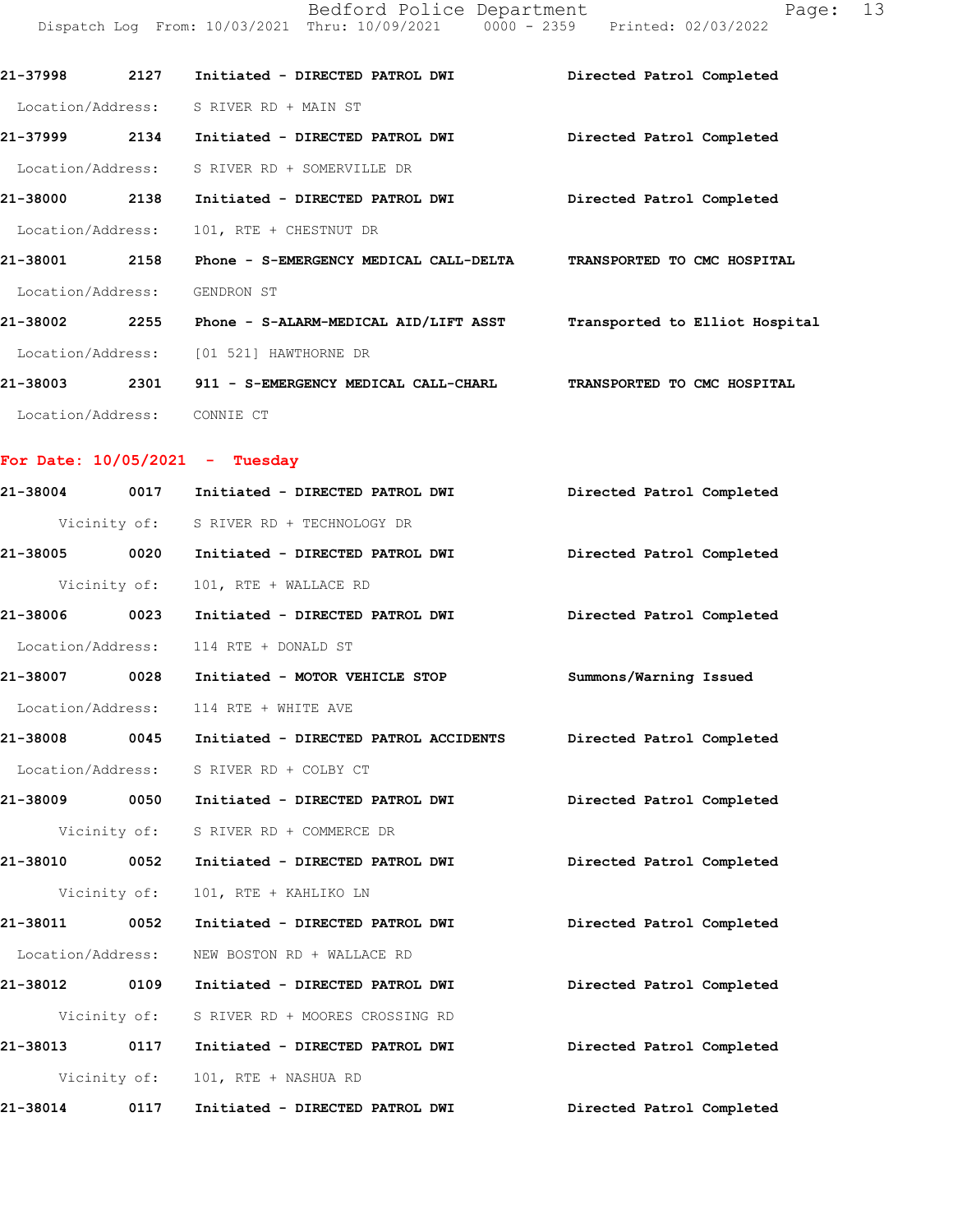|                                  |      | Bedford Police Department<br>Dispatch Log From: 10/03/2021 Thru: 10/09/2021 0000 - 2359 Printed: 02/03/2022 | Page: 13                    |
|----------------------------------|------|-------------------------------------------------------------------------------------------------------------|-----------------------------|
| 21-37998                         | 2127 | Initiated - DIRECTED PATROL DWI                                                                             | Directed Patrol Completed   |
| Location/Address:                |      | S RIVER RD + MAIN ST                                                                                        |                             |
| 21-37999                         | 2134 | Initiated - DIRECTED PATROL DWI                                                                             | Directed Patrol Completed   |
| Location/Address:                |      | S RIVER RD + SOMERVILLE DR                                                                                  |                             |
| 21-38000 2138                    |      | Initiated - DIRECTED PATROL DWI                                                                             | Directed Patrol Completed   |
| Location/Address:                |      | 101, RTE + CHESTNUT DR                                                                                      |                             |
| 21-38001 2158                    |      | Phone - S-EMERGENCY MEDICAL CALL-DELTA TRANSPORTED TO CMC HOSPITAL                                          |                             |
| Location/Address:                |      | GENDRON ST                                                                                                  |                             |
| 21-38002 2255                    |      | Phone - S-ALARM-MEDICAL AID/LIFT ASST Transported to Elliot Hospital                                        |                             |
| Location/Address:                |      | [01 521] HAWTHORNE DR                                                                                       |                             |
| 21-38003 2301                    |      | 911 - S-EMERGENCY MEDICAL CALL-CHARL                                                                        | TRANSPORTED TO CMC HOSPITAL |
| Location/Address: CONNIE CT      |      |                                                                                                             |                             |
| For Date: $10/05/2021$ - Tuesday |      |                                                                                                             |                             |
| 21-38004                         |      | 0017 Initiated - DIRECTED PATROL DWI                                                                        | Directed Patrol Completed   |
|                                  |      | Vicinity of: S RIVER RD + TECHNOLOGY DR                                                                     |                             |
| 21-38005                         | 0020 | Initiated - DIRECTED PATROL DWI                                                                             | Directed Patrol Completed   |

**21-38006 0023 Initiated - DIRECTED PATROL DWI Directed Patrol Completed**  Location/Address: 114 RTE + DONALD ST **21-38007 0028 Initiated - MOTOR VEHICLE STOP Summons/Warning Issued**  Location/Address: 114 RTE + WHITE AVE **21-38008 0045 Initiated - DIRECTED PATROL ACCIDENTS Directed Patrol Completed** 

 Location/Address: S RIVER RD + COLBY CT **21-38009 0050 Initiated - DIRECTED PATROL DWI Directed Patrol Completed** 

Vicinity of: S RIVER RD + COMMERCE DR

Vicinity of: 101, RTE + WALLACE RD

**21-38010 0052 Initiated - DIRECTED PATROL DWI Directed Patrol Completed**  Vicinity of: 101, RTE + KAHLIKO LN

**21-38011 0052 Initiated - DIRECTED PATROL DWI Directed Patrol Completed**  Location/Address: NEW BOSTON RD + WALLACE RD **21-38012 0109 Initiated - DIRECTED PATROL DWI Directed Patrol Completed**  Vicinity of: S RIVER RD + MOORES CROSSING RD **21-38013 0117 Initiated - DIRECTED PATROL DWI Directed Patrol Completed**  Vicinity of: 101, RTE + NASHUA RD

**21-38014 0117 Initiated - DIRECTED PATROL DWI Directed Patrol Completed**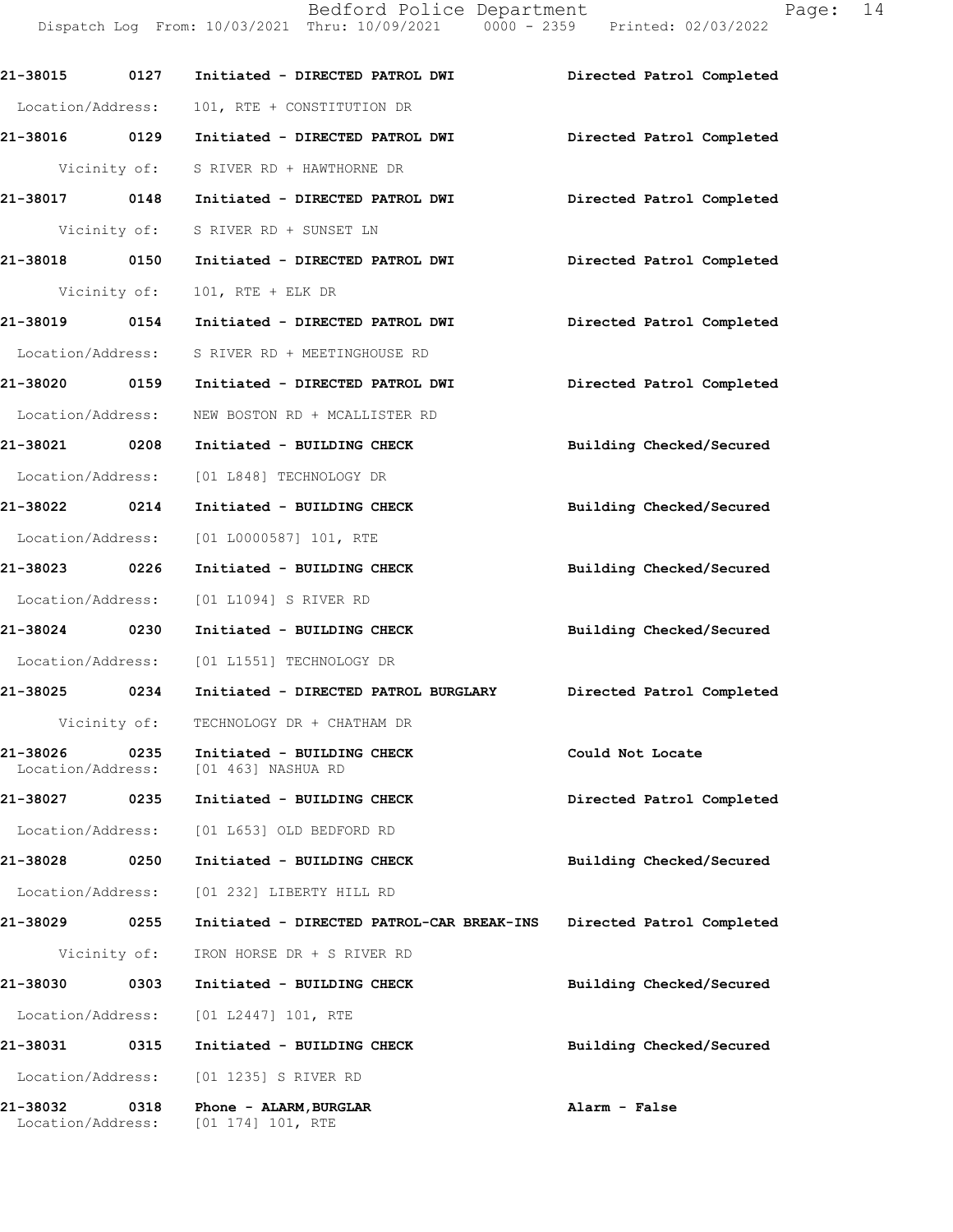|                               |              | Dispatch Log From: 10/03/2021 Thru: 10/09/2021 0000 - 2359 Printed: 02/03/2022 |                           |
|-------------------------------|--------------|--------------------------------------------------------------------------------|---------------------------|
|                               |              | 21-38015 0127 Initiated - DIRECTED PATROL DWI                                  | Directed Patrol Completed |
| Location/Address:             |              | 101, RTE + CONSTITUTION DR                                                     |                           |
|                               |              |                                                                                | Directed Patrol Completed |
|                               |              | Vicinity of: S RIVER RD + HAWTHORNE DR                                         |                           |
|                               |              | 21-38017 0148 Initiated - DIRECTED PATROL DWI                                  | Directed Patrol Completed |
|                               |              | Vicinity of: S RIVER RD + SUNSET LN                                            |                           |
| 21-38018 0150                 |              | Initiated - DIRECTED PATROL DWI                                                | Directed Patrol Completed |
| Vicinity of:                  |              | $101$ , RTE + ELK DR                                                           |                           |
|                               |              | 21-38019 0154 Initiated - DIRECTED PATROL DWI                                  | Directed Patrol Completed |
|                               |              | Location/Address: S RIVER RD + MEETINGHOUSE RD                                 |                           |
| 21-38020 0159                 |              | Initiated - DIRECTED PATROL DWI                                                | Directed Patrol Completed |
| Location/Address:             |              | NEW BOSTON RD + MCALLISTER RD                                                  |                           |
| 21-38021 0208                 |              | Initiated - BUILDING CHECK                                                     | Building Checked/Secured  |
|                               |              | Location/Address: [01 L848] TECHNOLOGY DR                                      |                           |
| 21-38022 0214                 |              | Initiated - BUILDING CHECK                                                     | Building Checked/Secured  |
|                               |              | Location/Address: [01 L0000587] 101, RTE                                       |                           |
| 21-38023 0226                 |              | Initiated - BUILDING CHECK                                                     | Building Checked/Secured  |
| Location/Address:             |              | [01 L1094] S RIVER RD                                                          |                           |
| 21-38024 0230                 |              | Initiated - BUILDING CHECK                                                     | Building Checked/Secured  |
|                               |              | Location/Address: [01 L1551] TECHNOLOGY DR                                     |                           |
| 21-38025 0234                 |              | Initiated - DIRECTED PATROL BURGLARY                                           | Directed Patrol Completed |
|                               | Vicinity of: | TECHNOLOGY DR + CHATHAM DR                                                     |                           |
| 21-38026<br>Location/Address: | 0235         | Initiated - BUILDING CHECK<br>[01 463] NASHUA RD                               | Could Not Locate          |
| 21-38027 0235                 |              | Initiated - BUILDING CHECK                                                     | Directed Patrol Completed |
| Location/Address:             |              | [01 L653] OLD BEDFORD RD                                                       |                           |
| 21-38028                      | 0250         | Initiated - BUILDING CHECK                                                     | Building Checked/Secured  |
| Location/Address:             |              | [01 232] LIBERTY HILL RD                                                       |                           |
| 21-38029                      | 0255         | Initiated - DIRECTED PATROL-CAR BREAK-INS                                      | Directed Patrol Completed |
|                               | Vicinity of: | IRON HORSE DR + S RIVER RD                                                     |                           |
| 21-38030                      | 0303         | Initiated - BUILDING CHECK                                                     | Building Checked/Secured  |
| Location/Address:             |              | [01 L2447] 101, RTE                                                            |                           |
| 21-38031 0315                 |              | Initiated - BUILDING CHECK                                                     | Building Checked/Secured  |
| Location/Address:             |              | [01 1235] S RIVER RD                                                           |                           |
| 21-38032<br>Location/Address: | 0318         | Phone - ALARM, BURGLAR<br>[01 174] 101, RTE                                    | Alarm - False             |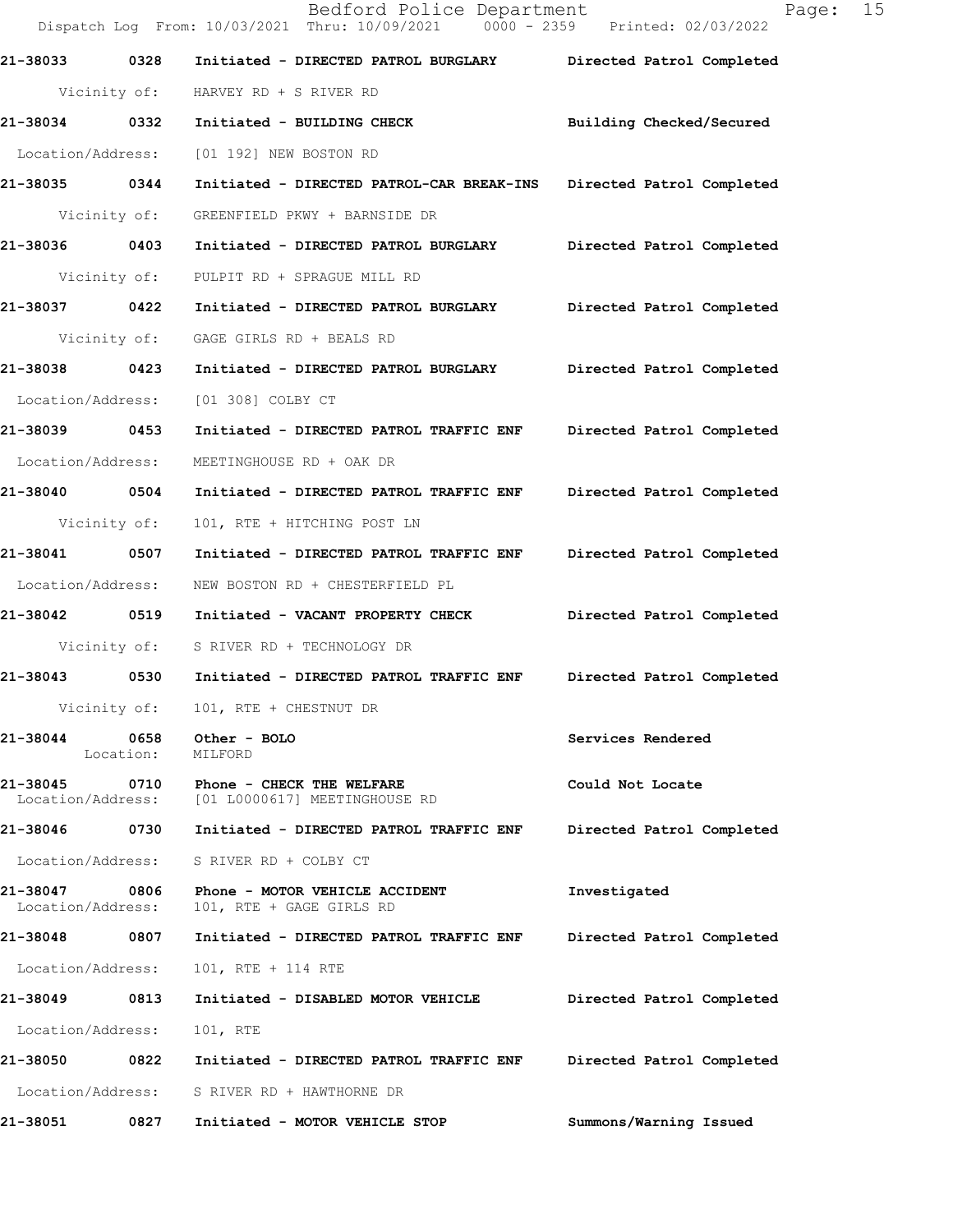Dispatch Log From: 10/03/2021 Thru: 10/09/2021 0000 - 2359 Printed: 02/03/2022 **21-38033 0328 Initiated - DIRECTED PATROL BURGLARY Directed Patrol Completed**  Vicinity of: HARVEY RD + S RIVER RD **21-38034 0332 Initiated - BUILDING CHECK Building Checked/Secured**  Location/Address: [01 192] NEW BOSTON RD **21-38035 0344 Initiated - DIRECTED PATROL-CAR BREAK-INS Directed Patrol Completed**  Vicinity of: GREENFIELD PKWY + BARNSIDE DR **21-38036 0403 Initiated - DIRECTED PATROL BURGLARY Directed Patrol Completed**  Vicinity of: PULPIT RD + SPRAGUE MILL RD **21-38037 0422 Initiated - DIRECTED PATROL BURGLARY Directed Patrol Completed**  Vicinity of: GAGE GIRLS RD + BEALS RD **21-38038 0423 Initiated - DIRECTED PATROL BURGLARY Directed Patrol Completed**  Location/Address: [01 308] COLBY CT **21-38039 0453 Initiated - DIRECTED PATROL TRAFFIC ENF Directed Patrol Completed**  Location/Address: MEETINGHOUSE RD + OAK DR **21-38040 0504 Initiated - DIRECTED PATROL TRAFFIC ENF Directed Patrol Completed**  Vicinity of: 101, RTE + HITCHING POST LN **21-38041 0507 Initiated - DIRECTED PATROL TRAFFIC ENF Directed Patrol Completed**  Location/Address: NEW BOSTON RD + CHESTERFIELD PL **21-38042 0519 Initiated - VACANT PROPERTY CHECK Directed Patrol Completed**  Vicinity of: S RIVER RD + TECHNOLOGY DR **21-38043 0530 Initiated - DIRECTED PATROL TRAFFIC ENF Directed Patrol Completed**  Vicinity of: 101, RTE + CHESTNUT DR **21-38044 0658 Other - BOLO Services Rendered**  Location: MILFORD **21-38045 0710 Phone - CHECK THE WELFARE Could Not Locate**  Location/Address: [01 L0000617] MEETINGHOUSE RD **21-38046 0730 Initiated - DIRECTED PATROL TRAFFIC ENF Directed Patrol Completed**  Location/Address: S RIVER RD + COLBY CT **21-38047 0806 Phone - MOTOR VEHICLE ACCIDENT Investigated**  Location/Address: 101, RTE + GAGE GIRLS RD **21-38048 0807 Initiated - DIRECTED PATROL TRAFFIC ENF Directed Patrol Completed**  Location/Address: 101, RTE + 114 RTE **21-38049 0813 Initiated - DISABLED MOTOR VEHICLE Directed Patrol Completed**  Location/Address: 101, RTE **21-38050 0822 Initiated - DIRECTED PATROL TRAFFIC ENF Directed Patrol Completed**  Location/Address: S RIVER RD + HAWTHORNE DR **21-38051 0827 Initiated - MOTOR VEHICLE STOP Summons/Warning Issued**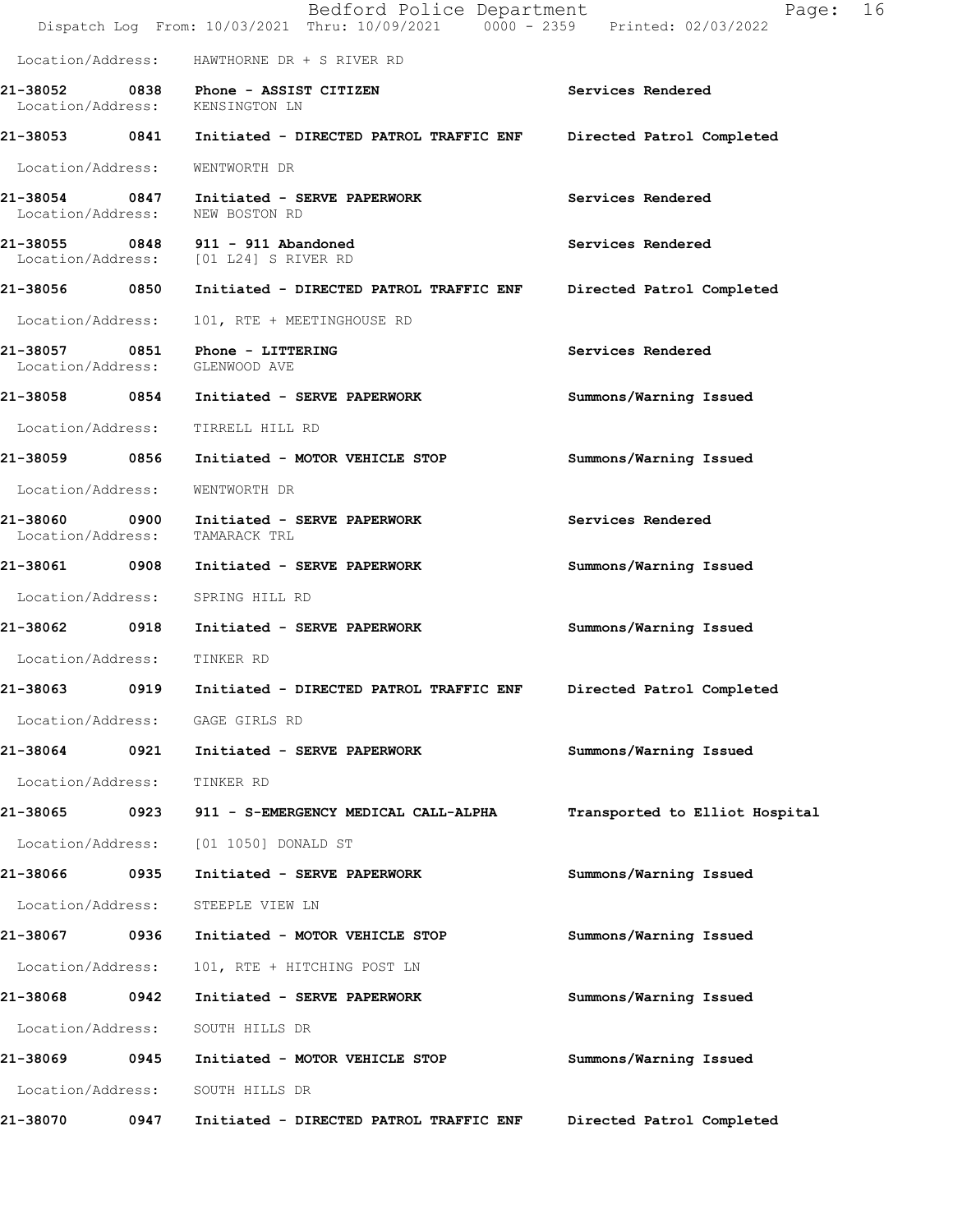|                                                                   |      | Bedford Police Department<br>Dispatch Log From: 10/03/2021 Thru: 10/09/2021 0000 - 2359 Printed: 02/03/2022 | 16<br>Page:                    |
|-------------------------------------------------------------------|------|-------------------------------------------------------------------------------------------------------------|--------------------------------|
|                                                                   |      | Location/Address: HAWTHORNE DR + S RIVER RD                                                                 |                                |
| Location/Address: KENSINGTON LN                                   |      | 21-38052 0838 Phone - ASSIST CITIZEN                                                                        | Services Rendered              |
|                                                                   |      | 21-38053 0841 Initiated - DIRECTED PATROL TRAFFIC ENF                                                       | Directed Patrol Completed      |
| Location/Address:                                                 |      | WENTWORTH DR                                                                                                |                                |
|                                                                   |      | 21-38054 0847 Initiated - SERVE PAPERWORK<br>Location/Address: NEW BOSTON RD                                | Services Rendered              |
|                                                                   |      | 21-38055 0848 911 - 911 Abandoned<br>Location/Address: [01 L24] S RIVER RD                                  | Services Rendered              |
|                                                                   |      |                                                                                                             | Directed Patrol Completed      |
| Location/Address:                                                 |      | 101, RTE + MEETINGHOUSE RD                                                                                  |                                |
| 21-38057 0851 Phone - LITTERING<br>Location/Address: GLENWOOD AVE |      |                                                                                                             | Services Rendered              |
|                                                                   |      | 21-38058 0854 Initiated - SERVE PAPERWORK                                                                   | Summons/Warning Issued         |
| Location/Address:                                                 |      | TIRRELL HILL RD                                                                                             |                                |
| 21-38059 0856                                                     |      | Initiated - MOTOR VEHICLE STOP                                                                              | Summons/Warning Issued         |
| Location/Address:                                                 |      | WENTWORTH DR                                                                                                |                                |
| 21-38060<br>Location/Address:                                     |      | 0900 Initiated - SERVE PAPERWORK<br>TAMARACK TRL                                                            | Services Rendered              |
| 21-38061 0908                                                     |      | Initiated - SERVE PAPERWORK                                                                                 | Summons/Warning Issued         |
| Location/Address: SPRING HILL RD                                  |      |                                                                                                             |                                |
| 21-38062 0918                                                     |      | Initiated - SERVE PAPERWORK                                                                                 | Summons/Warning Issued         |
| Location/Address:                                                 |      | TINKER RD                                                                                                   |                                |
| 0919<br>21-38063                                                  |      | Initiated - DIRECTED PATROL TRAFFIC ENF                                                                     | Directed Patrol Completed      |
| Location/Address: GAGE GIRLS RD                                   |      |                                                                                                             |                                |
| 21-38064                                                          | 0921 | Initiated - SERVE PAPERWORK                                                                                 | Summons/Warning Issued         |
| Location/Address:                                                 |      | TINKER RD                                                                                                   |                                |
| 21-38065                                                          | 0923 | 911 - S-EMERGENCY MEDICAL CALL-ALPHA                                                                        | Transported to Elliot Hospital |
| Location/Address:                                                 |      | [01 1050] DONALD ST                                                                                         |                                |
| 21-38066                                                          | 0935 | Initiated - SERVE PAPERWORK                                                                                 | Summons/Warning Issued         |
| Location/Address:                                                 |      | STEEPLE VIEW LN                                                                                             |                                |
| 21-38067                                                          | 0936 | Initiated - MOTOR VEHICLE STOP                                                                              | Summons/Warning Issued         |
| Location/Address:                                                 |      | 101, RTE + HITCHING POST LN                                                                                 |                                |
| 21-38068                                                          | 0942 | Initiated - SERVE PAPERWORK                                                                                 | Summons/Warning Issued         |
| Location/Address:                                                 |      | SOUTH HILLS DR                                                                                              |                                |
| 21-38069                                                          | 0945 | Initiated - MOTOR VEHICLE STOP                                                                              | Summons/Warning Issued         |
| Location/Address:                                                 |      | SOUTH HILLS DR                                                                                              |                                |
| 21-38070                                                          | 0947 | Initiated - DIRECTED PATROL TRAFFIC ENF                                                                     | Directed Patrol Completed      |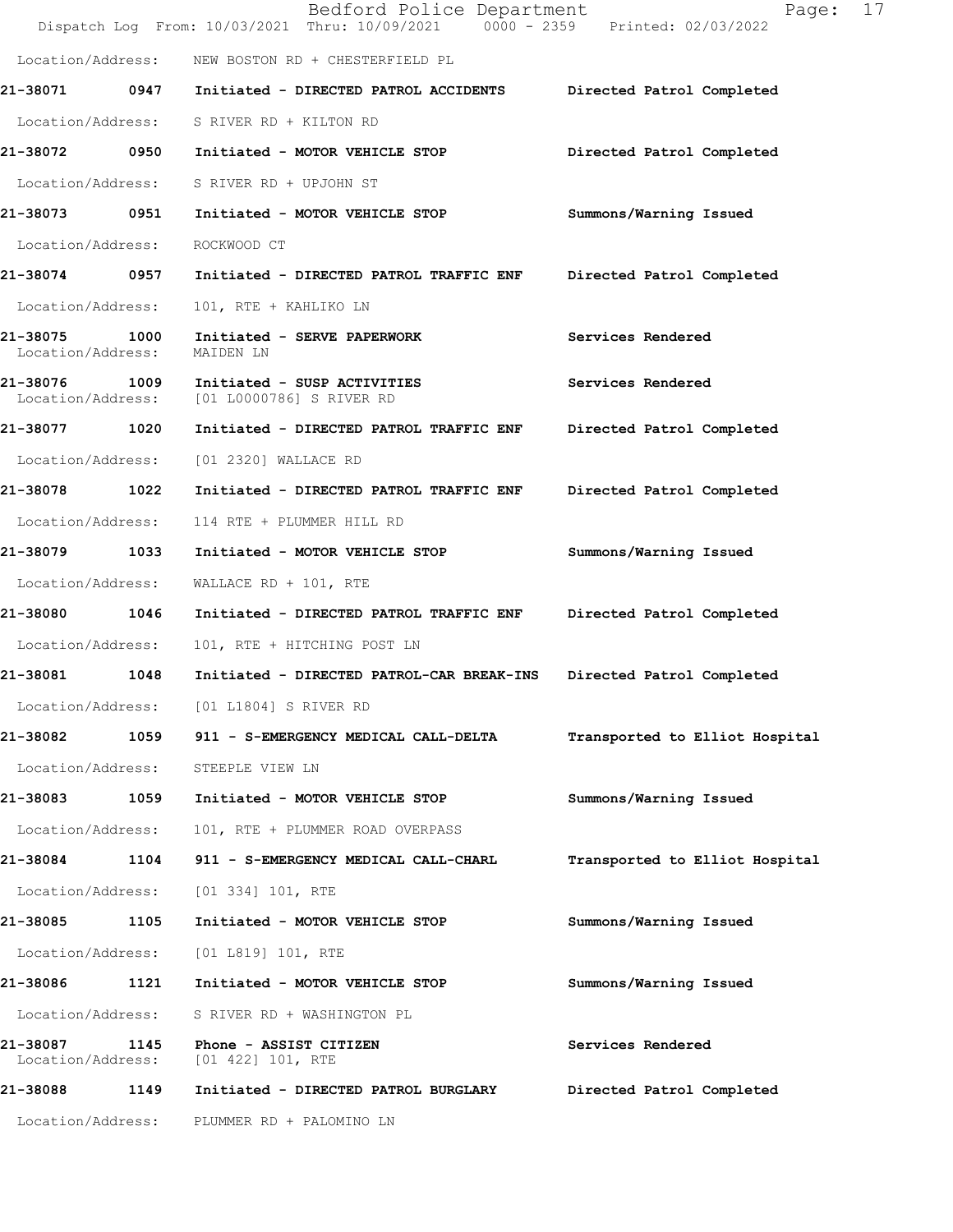|                               |      | Bedford Police Department<br>Dispatch Log From: 10/03/2021 Thru: 10/09/2021 0000 - 2359 Printed: 02/03/2022 | 17<br>Page:                    |
|-------------------------------|------|-------------------------------------------------------------------------------------------------------------|--------------------------------|
| Location/Address:             |      | NEW BOSTON RD + CHESTERFIELD PL                                                                             |                                |
| 21-38071                      |      | 0947 Initiated - DIRECTED PATROL ACCIDENTS                                                                  | Directed Patrol Completed      |
| Location/Address:             |      | S RIVER RD + KILTON RD                                                                                      |                                |
| 21-38072 0950                 |      | Initiated - MOTOR VEHICLE STOP                                                                              | Directed Patrol Completed      |
| Location/Address:             |      | S RIVER RD + UPJOHN ST                                                                                      |                                |
| 21-38073 0951                 |      | Initiated - MOTOR VEHICLE STOP                                                                              | Summons/Warning Issued         |
| Location/Address:             |      | ROCKWOOD CT                                                                                                 |                                |
| 21-38074 0957                 |      | Initiated - DIRECTED PATROL TRAFFIC ENF                                                                     | Directed Patrol Completed      |
| Location/Address:             |      | 101, RTE + KAHLIKO LN                                                                                       |                                |
| 21-38075<br>Location/Address: | 1000 | Initiated - SERVE PAPERWORK<br>MAIDEN LN                                                                    | Services Rendered              |
| 21-38076<br>Location/Address: | 1009 | Initiated - SUSP ACTIVITIES<br>[01 L0000786] S RIVER RD                                                     | Services Rendered              |
| 21-38077                      | 1020 | Initiated - DIRECTED PATROL TRAFFIC ENF                                                                     | Directed Patrol Completed      |
| Location/Address:             |      | [01 2320] WALLACE RD                                                                                        |                                |
| 21-38078                      | 1022 | Initiated - DIRECTED PATROL TRAFFIC ENF                                                                     | Directed Patrol Completed      |
| Location/Address:             |      | 114 RTE + PLUMMER HILL RD                                                                                   |                                |
| 21-38079 1033                 |      | Initiated - MOTOR VEHICLE STOP                                                                              | Summons/Warning Issued         |
| Location/Address:             |      | WALLACE RD + $101$ , RTE                                                                                    |                                |
| 21-38080                      | 1046 | Initiated - DIRECTED PATROL TRAFFIC ENF                                                                     | Directed Patrol Completed      |
| Location/Address:             |      | 101, RTE + HITCHING POST LN                                                                                 |                                |
| 21-38081                      | 1048 | Initiated - DIRECTED PATROL-CAR BREAK-INS                                                                   | Directed Patrol Completed      |
| Location/Address:             |      | [01 L1804] S RIVER RD                                                                                       |                                |
| 21-38082                      | 1059 | 911 - S-EMERGENCY MEDICAL CALL-DELTA                                                                        | Transported to Elliot Hospital |
| Location/Address:             |      | STEEPLE VIEW LN                                                                                             |                                |
| 21-38083                      | 1059 | Initiated - MOTOR VEHICLE STOP                                                                              | Summons/Warning Issued         |
| Location/Address:             |      | 101, RTE + PLUMMER ROAD OVERPASS                                                                            |                                |
| 21-38084                      | 1104 | 911 - S-EMERGENCY MEDICAL CALL-CHARL                                                                        | Transported to Elliot Hospital |
| Location/Address:             |      | $[01\ 334]\ 101$ , RTE                                                                                      |                                |
| 21-38085                      | 1105 | Initiated - MOTOR VEHICLE STOP                                                                              | Summons/Warning Issued         |
| Location/Address:             |      | [01 L819] 101, RTE                                                                                          |                                |
| 21-38086                      | 1121 | Initiated - MOTOR VEHICLE STOP                                                                              | Summons/Warning Issued         |
| Location/Address:             |      | S RIVER RD + WASHINGTON PL                                                                                  |                                |
| 21-38087<br>Location/Address: | 1145 | Phone - ASSIST CITIZEN<br>[01 422] 101, RTE                                                                 | Services Rendered              |
| 21-38088                      | 1149 | Initiated - DIRECTED PATROL BURGLARY                                                                        | Directed Patrol Completed      |
| Location/Address:             |      | PLUMMER RD + PALOMINO LN                                                                                    |                                |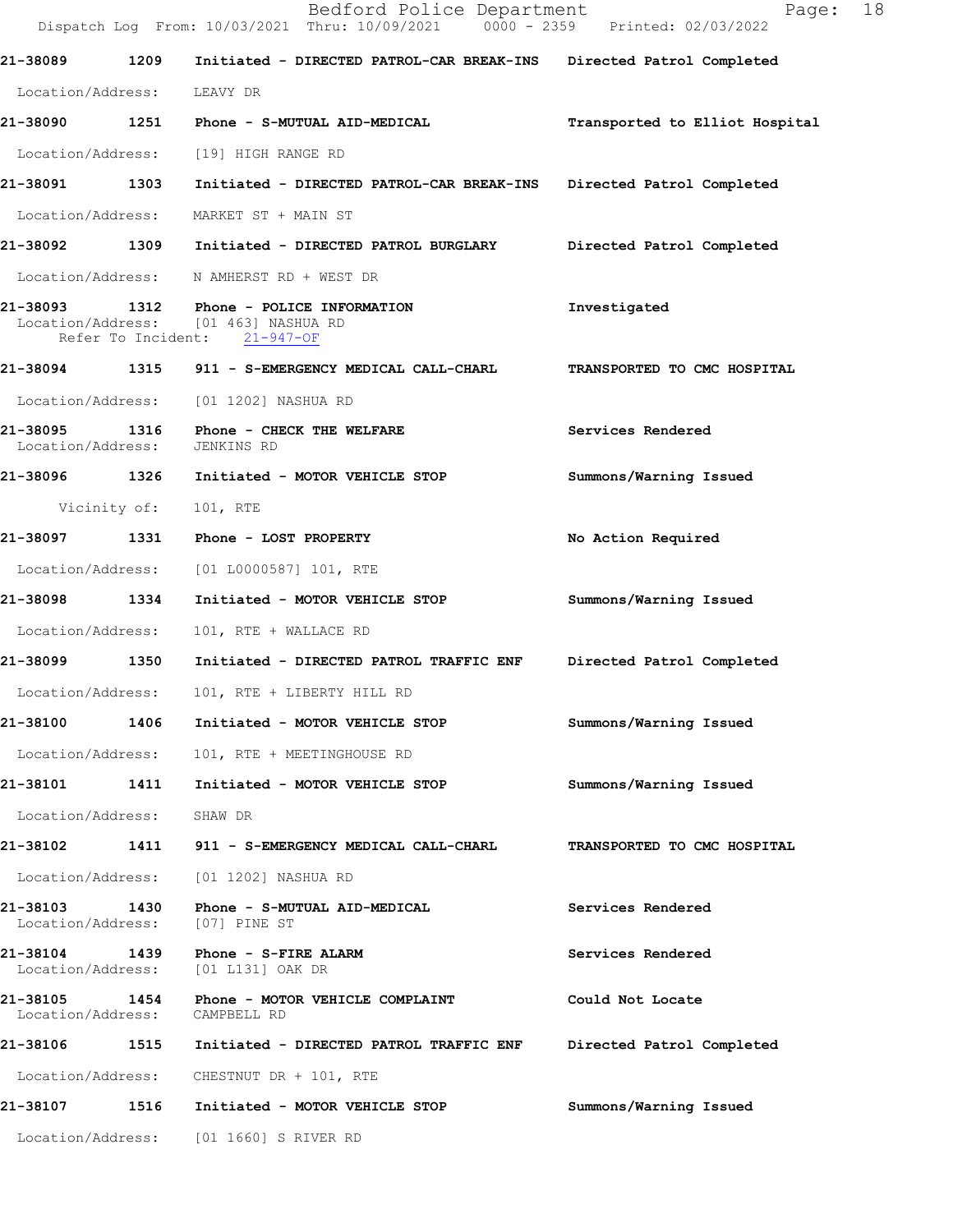Dispatch Log From: 10/03/2021 Thru: 10/09/2021 0000 - 2359 Printed: 02/03/2022 **21-38089 1209 Initiated - DIRECTED PATROL-CAR BREAK-INS Directed Patrol Completed**  Location/Address: LEAVY DR **21-38090 1251 Phone - S-MUTUAL AID-MEDICAL Transported to Elliot Hospital** Location/Address: [19] HIGH RANGE RD **21-38091 1303 Initiated - DIRECTED PATROL-CAR BREAK-INS Directed Patrol Completed**  Location/Address: MARKET ST + MAIN ST **21-38092 1309 Initiated - DIRECTED PATROL BURGLARY Directed Patrol Completed**  Location/Address: N AMHERST RD + WEST DR **21-38093 1312 Phone - POLICE INFORMATION Investigated**  Location/Address: [01 463] NASHUA RD<br>Refer To Incident: 21-947-OF Refer To Incident: **21-38094 1315 911 - S-EMERGENCY MEDICAL CALL-CHARL TRANSPORTED TO CMC HOSPITAL**  Location/Address: [01 1202] NASHUA RD **21-38095 1316 Phone - CHECK THE WELFARE Services Rendered**  Location/Address: JENKINS RD **21-38096 1326 Initiated - MOTOR VEHICLE STOP Summons/Warning Issued**  Vicinity of: 101, RTE **21-38097 1331 Phone - LOST PROPERTY No Action Required**  Location/Address: [01 L0000587] 101, RTE **21-38098 1334 Initiated - MOTOR VEHICLE STOP Summons/Warning Issued**  Location/Address: 101, RTE + WALLACE RD **21-38099 1350 Initiated - DIRECTED PATROL TRAFFIC ENF Directed Patrol Completed**  Location/Address: 101, RTE + LIBERTY HILL RD **21-38100 1406 Initiated - MOTOR VEHICLE STOP Summons/Warning Issued**  Location/Address: 101, RTE + MEETINGHOUSE RD **21-38101 1411 Initiated - MOTOR VEHICLE STOP Summons/Warning Issued**  Location/Address: SHAW DR **21-38102 1411 911 - S-EMERGENCY MEDICAL CALL-CHARL TRANSPORTED TO CMC HOSPITAL**  Location/Address: [01 1202] NASHUA RD **21-38103 1430 Phone - S-MUTUAL AID-MEDICAL Services Rendered**  Location/Address: [07] PINE ST 21-38104 1439 Phone - S-FIRE ALARM **Services Rendered Services Rendered Integral Conducts Services Rendered** Location/Address: **21-38105 1454 Phone - MOTOR VEHICLE COMPLAINT Could Not Locate**  Location/Address: CAMPBELL RD **21-38106 1515 Initiated - DIRECTED PATROL TRAFFIC ENF Directed Patrol Completed**  Location/Address: CHESTNUT DR + 101, RTE **21-38107 1516 Initiated - MOTOR VEHICLE STOP Summons/Warning Issued**  Location/Address: [01 1660] S RIVER RD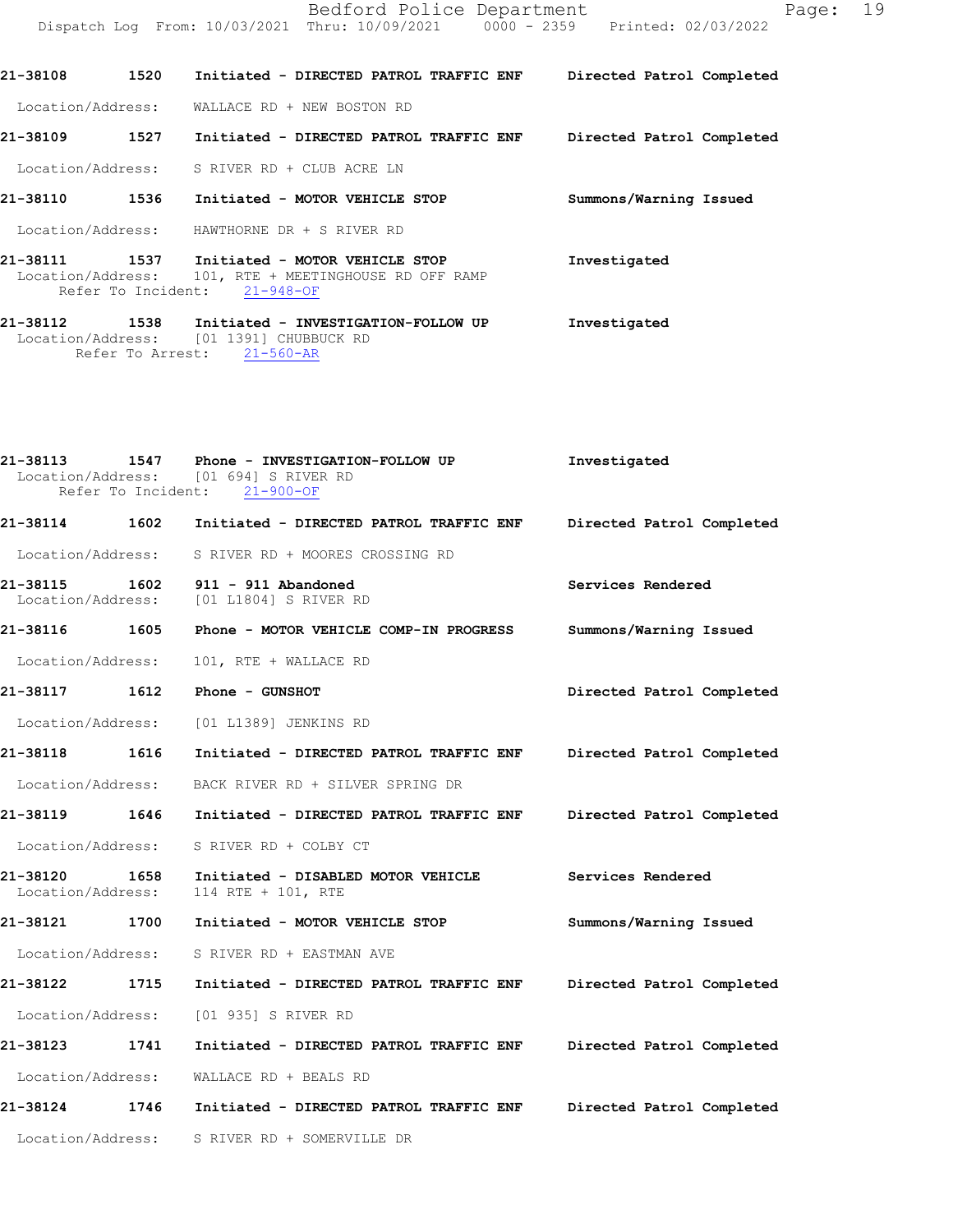Bedford Police Department Page: 19 Dispatch Log From: 10/03/2021 Thru: 10/09/2021 0000 - 2359 Printed: 02/03/2022

**21-38108 1520 Initiated - DIRECTED PATROL TRAFFIC ENF Directed Patrol Completed**  Location/Address: WALLACE RD + NEW BOSTON RD

**21-38109 1527 Initiated - DIRECTED PATROL TRAFFIC ENF Directed Patrol Completed** 

Location/Address: S RIVER RD + CLUB ACRE LN

**21-38110 1536 Initiated - MOTOR VEHICLE STOP Summons/Warning Issued**  Location/Address: HAWTHORNE DR + S RIVER RD

**21-38111 1537 Initiated - MOTOR VEHICLE STOP Investigated** 101, RTE + MEETINGHOUSE RD OFF RAMP<br>ent: 21-948-OF Refer To Incident:

**21-38112 1538 Initiated - INVESTIGATION-FOLLOW UP Investigated** Location/Address: [01 1391] CHUBBUCK RD<br>Refer To Arrest: 21-560-AR Refer To Arrest:

**21-38113 1547 Phone - INVESTIGATION-FOLLOW UP Investigated** Location/Address: [01 694] S RIVER RD<br>Refer To Incident: 21-900-OF Refer To Incident: **21-38114 1602 Initiated - DIRECTED PATROL TRAFFIC ENF Directed Patrol Completed**  Location/Address: S RIVER RD + MOORES CROSSING RD **21-38115 1602 911 - 911 Abandoned Services Rendered**  Location/Address: [01 L1804] S RIVER RD **21-38116 1605 Phone - MOTOR VEHICLE COMP-IN PROGRESS Summons/Warning Issued**  Location/Address: 101, RTE + WALLACE RD **21-38117 1612 Phone - GUNSHOT Directed Patrol Completed**  Location/Address: [01 L1389] JENKINS RD **21-38118 1616 Initiated - DIRECTED PATROL TRAFFIC ENF Directed Patrol Completed**  Location/Address: BACK RIVER RD + SILVER SPRING DR **21-38119 1646 Initiated - DIRECTED PATROL TRAFFIC ENF Directed Patrol Completed**  Location/Address: S RIVER RD + COLBY CT **21-38120 1658 Initiated - DISABLED MOTOR VEHICLE Services Rendered Location/Address:** 114 RTE + 101, RTE Location/Address: 114 RTE + 101, RTE **21-38121 1700 Initiated - MOTOR VEHICLE STOP Summons/Warning Issued**  Location/Address: S RIVER RD + EASTMAN AVE **21-38122 1715 Initiated - DIRECTED PATROL TRAFFIC ENF Directed Patrol Completed**  Location/Address: [01 935] S RIVER RD **21-38123 1741 Initiated - DIRECTED PATROL TRAFFIC ENF Directed Patrol Completed**  Location/Address: WALLACE RD + BEALS RD **21-38124 1746 Initiated - DIRECTED PATROL TRAFFIC ENF Directed Patrol Completed**  Location/Address: S RIVER RD + SOMERVILLE DR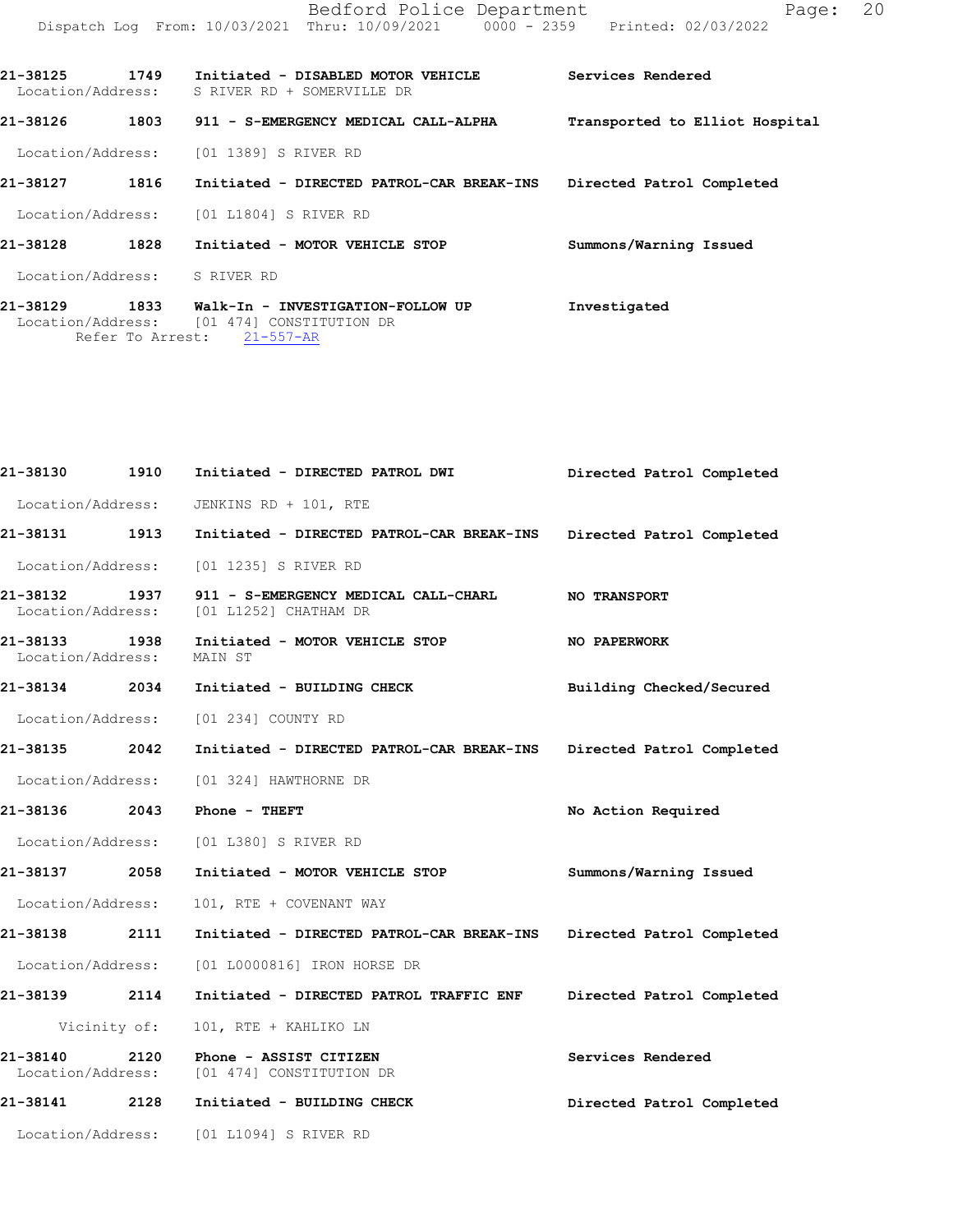| 21-38125<br>Location/Address: | 1749             | Initiated - DISABLED MOTOR VEHICLE<br>S RIVER RD + SOMERVILLE DR | Services Rendered              |
|-------------------------------|------------------|------------------------------------------------------------------|--------------------------------|
| 21-38126                      | 1803             | 911 - S-EMERGENCY MEDICAL CALL-ALPHA                             | Transported to Elliot Hospital |
|                               |                  | Location/Address: [01 1389] S RIVER RD                           |                                |
| 21-38127                      | 1816             | Initiated - DIRECTED PATROL-CAR BREAK-INS                        | Directed Patrol Completed      |
|                               |                  | Location/Address: [01 L1804] S RIVER RD                          |                                |
| 21-38128                      | 1828             | Initiated - MOTOR VEHICLE STOP                                   | Summons/Warning Issued         |
| Location/Address: S RIVER RD  |                  |                                                                  |                                |
| 21-38129                      | 1833             | Walk-In - INVESTIGATION-FOLLOW UP                                | Investigated                   |
|                               |                  | Location/Address: [01 474] CONSTITUTION DR                       |                                |
|                               | Refer To Arrest: | $21 - 557 - AR$                                                  |                                |

| 21-38130                           | 1910 | Initiated - DIRECTED PATROL DWI                                                                            | Directed Patrol Completed |
|------------------------------------|------|------------------------------------------------------------------------------------------------------------|---------------------------|
|                                    |      | Location/Address: JENKINS RD + 101, RTE                                                                    |                           |
| 21-38131 1913                      |      | Initiated - DIRECTED PATROL-CAR BREAK-INS Directed Patrol Completed                                        |                           |
|                                    |      | Location/Address: [01 1235] S RIVER RD                                                                     |                           |
|                                    |      | 21-38132 1937 911 - S-EMERGENCY MEDICAL CALL-CHARL NO TRANSPORT<br>Location/Address: [01 L1252] CHATHAM DR |                           |
| 21-38133 1938<br>Location/Address: |      | Initiated - MOTOR VEHICLE STOP THE NO PAPERWORK<br>MAIN ST                                                 |                           |
|                                    |      | 21-38134 2034 Initiated - BUILDING CHECK                                                                   | Building Checked/Secured  |
|                                    |      | Location/Address: [01 234] COUNTY RD                                                                       |                           |
| 21-38135 2042                      |      | Initiated - DIRECTED PATROL-CAR BREAK-INS Directed Patrol Completed                                        |                           |
|                                    |      | Location/Address: [01 324] HAWTHORNE DR                                                                    |                           |
|                                    |      | 21-38136 2043 Phone - THEFT                                                                                | No Action Required        |
|                                    |      | Location/Address: [01 L380] S RIVER RD                                                                     |                           |
| 21-38137 2058                      |      | Initiated - MOTOR VEHICLE STOP                                                                             | Summons/Warning Issued    |
| Location/Address:                  |      | 101, RTE + COVENANT WAY                                                                                    |                           |
| 21-38138 2111                      |      | Initiated - DIRECTED PATROL-CAR BREAK-INS Directed Patrol Completed                                        |                           |
|                                    |      | Location/Address: [01 L0000816] IRON HORSE DR                                                              |                           |
| 21-38139 2114                      |      | Initiated - DIRECTED PATROL TRAFFIC ENF Directed Patrol Completed                                          |                           |
| Vicinity of:                       |      | 101, RTE + KAHLIKO LN                                                                                      |                           |
| 21-38140 2120                      |      | Phone - ASSIST CITIZEN<br>Location/Address: [01 474] CONSTITUTION DR                                       | Services Rendered         |
|                                    |      | 21-38141  2128  Initiated - BUILDING CHECK                                                                 | Directed Patrol Completed |
|                                    |      | Location/Address: [01 L1094] S RIVER RD                                                                    |                           |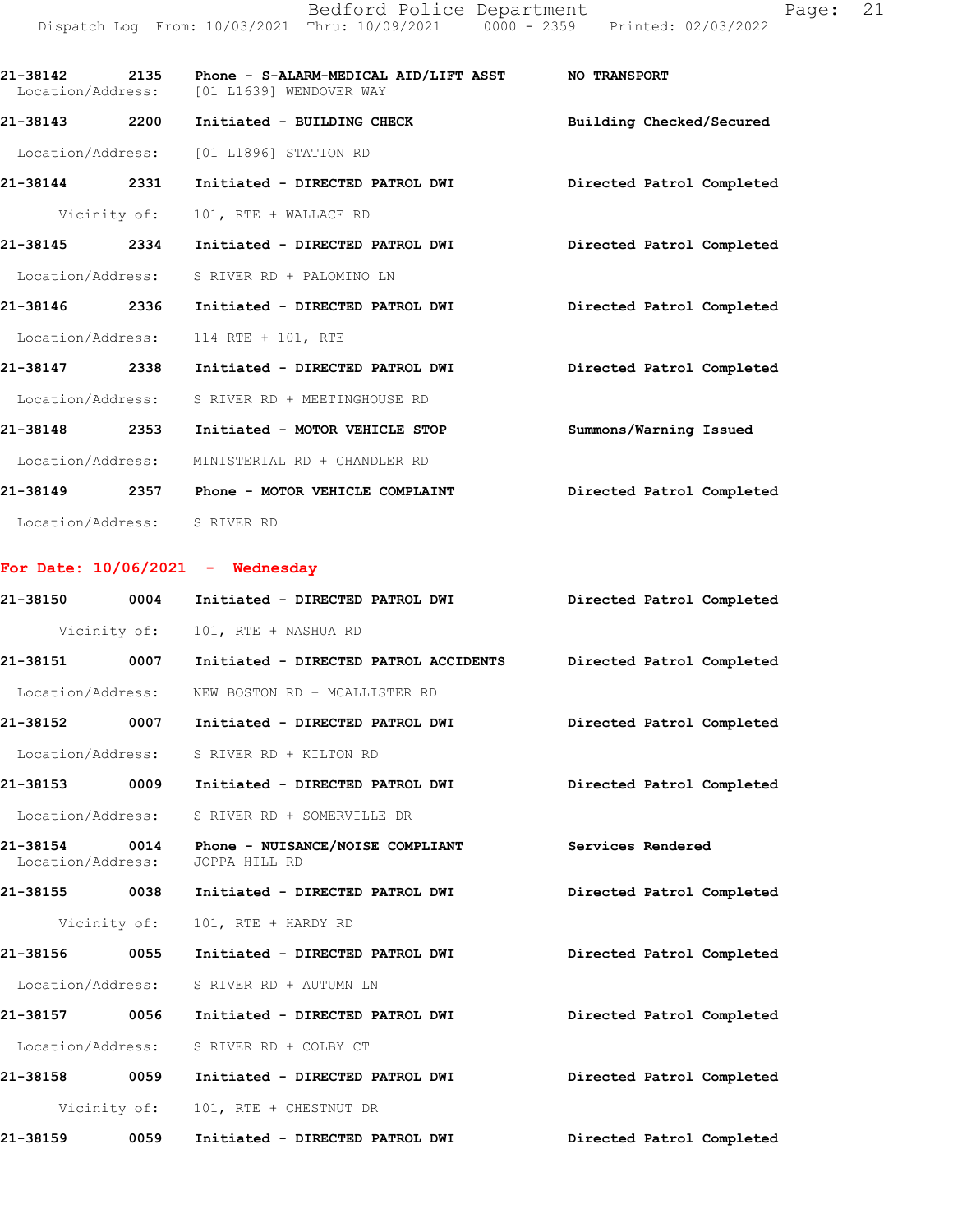Bedford Police Department Fage: 21 Dispatch Log From: 10/03/2021 Thru: 10/09/2021 0000 - 2359 Printed: 02/03/2022

**21-38142 2135 Phone - S-ALARM-MEDICAL AID/LIFT ASST NO TRANSPORT**  Location/Address: [01 L1639] WENDOVER WAY **21-38143 2200 Initiated - BUILDING CHECK Building Checked/Secured**  Location/Address: [01 L1896] STATION RD **21-38144 2331 Initiated - DIRECTED PATROL DWI Directed Patrol Completed**  Vicinity of: 101, RTE + WALLACE RD **21-38145 2334 Initiated - DIRECTED PATROL DWI Directed Patrol Completed**  Location/Address: S RIVER RD + PALOMINO LN **21-38146 2336 Initiated - DIRECTED PATROL DWI Directed Patrol Completed**  Location/Address: 114 RTE + 101, RTE **21-38147 2338 Initiated - DIRECTED PATROL DWI Directed Patrol Completed**  Location/Address: S RIVER RD + MEETINGHOUSE RD **21-38148 2353 Initiated - MOTOR VEHICLE STOP Summons/Warning Issued**  Location/Address: MINISTERIAL RD + CHANDLER RD

**21-38149 2357 Phone - MOTOR VEHICLE COMPLAINT Directed Patrol Completed**  Location/Address: S RIVER RD

### **For Date: 10/06/2021 - Wednesday**

| 21-38150 0004                      |              | Initiated - DIRECTED PATROL DWI                   | Directed Patrol Completed |
|------------------------------------|--------------|---------------------------------------------------|---------------------------|
|                                    | Vicinity of: | 101, RTE + NASHUA RD                              |                           |
| 21-38151 0007                      |              | Initiated - DIRECTED PATROL ACCIDENTS             | Directed Patrol Completed |
| Location/Address:                  |              | NEW BOSTON RD + MCALLISTER RD                     |                           |
| 21-38152 0007                      |              | Initiated - DIRECTED PATROL DWI                   | Directed Patrol Completed |
| Location/Address:                  |              | S RIVER RD + KILTON RD                            |                           |
| 21-38153 0009                      |              | Initiated - DIRECTED PATROL DWI                   | Directed Patrol Completed |
| Location/Address:                  |              | S RIVER RD + SOMERVILLE DR                        |                           |
| 21-38154 0014<br>Location/Address: |              | Phone - NUISANCE/NOISE COMPLIANT<br>JOPPA HILL RD | Services Rendered         |
| 21-38155 0038                      |              | Initiated - DIRECTED PATROL DWI                   | Directed Patrol Completed |
|                                    | Vicinity of: | 101, RTE + HARDY RD                               |                           |
| 21-38156 0055                      |              | Initiated - DIRECTED PATROL DWI                   | Directed Patrol Completed |
| Location/Address:                  |              | S RIVER RD + AUTUMN LN                            |                           |
| 21-38157 0056                      |              | Initiated - DIRECTED PATROL DWI                   | Directed Patrol Completed |
| Location/Address:                  |              | S RIVER RD + COLBY CT                             |                           |
| 21-38158 0059                      |              | Initiated - DIRECTED PATROL DWI                   | Directed Patrol Completed |
|                                    | Vicinity of: | 101, RTE + CHESTNUT DR                            |                           |
| 21-38159                           | 0059         | Initiated - DIRECTED PATROL DWI                   | Directed Patrol Completed |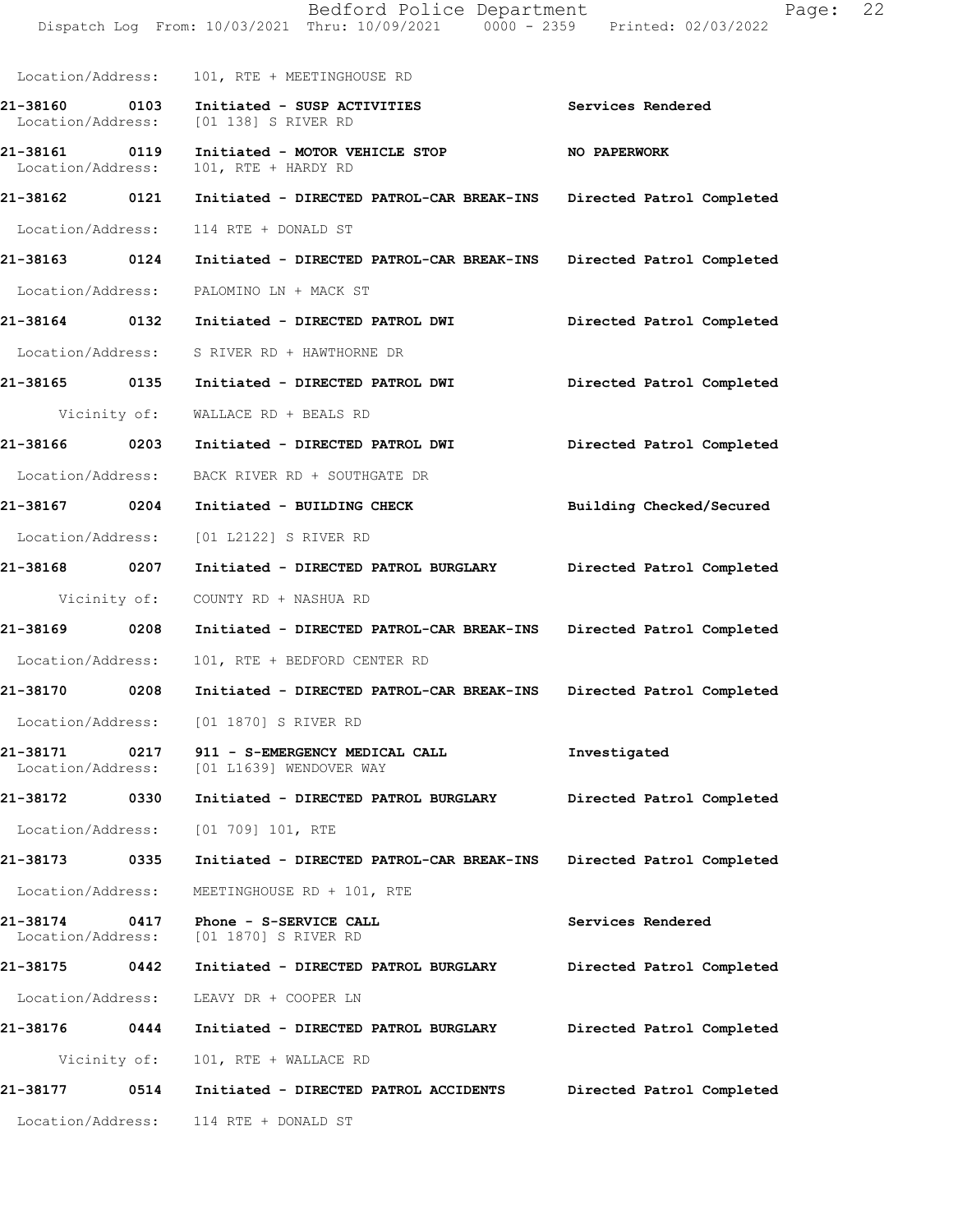|                                       | Dispatch Log From: 10/03/2021 Thru: 10/09/2021 0000 - 2359 Printed: 02/03/2022    |                           |
|---------------------------------------|-----------------------------------------------------------------------------------|---------------------------|
|                                       | Location/Address: 101, RTE + MEETINGHOUSE RD                                      |                           |
| 21-38160 0103<br>Location/Address:    | Initiated - SUSP ACTIVITIES<br>[01 138] S RIVER RD                                | Services Rendered         |
| 21-38161 0119<br>Location/Address:    | Initiated - MOTOR VEHICLE STOP<br>101, RTE + HARDY RD                             | <b>NO PAPERWORK</b>       |
| 21-38162 0121                         | Initiated - DIRECTED PATROL-CAR BREAK-INS Directed Patrol Completed               |                           |
| Location/Address:                     | 114 RTE + DONALD ST                                                               |                           |
| 21-38163 0124                         | Initiated - DIRECTED PATROL-CAR BREAK-INS                                         | Directed Patrol Completed |
|                                       | Location/Address: PALOMINO LN + MACK ST                                           |                           |
|                                       | 21-38164 0132 Initiated - DIRECTED PATROL DWI                                     | Directed Patrol Completed |
| Location/Address:                     | S RIVER RD + HAWTHORNE DR                                                         |                           |
| 21-38165 0135                         | Initiated - DIRECTED PATROL DWI Directed Patrol Completed                         |                           |
| Vicinity of:                          | WALLACE RD + BEALS RD                                                             |                           |
| 21-38166 0203                         | Initiated - DIRECTED PATROL DWI                                                   | Directed Patrol Completed |
|                                       | Location/Address: BACK RIVER RD + SOUTHGATE DR                                    |                           |
| 21-38167 0204                         | Initiated - BUILDING CHECK                                                        | Building Checked/Secured  |
| Location/Address:                     | [01 L2122] S RIVER RD                                                             |                           |
| 21-38168 0207                         | Initiated - DIRECTED PATROL BURGLARY                                              | Directed Patrol Completed |
| Vicinity of:                          | COUNTY RD + NASHUA RD                                                             |                           |
| 21-38169 0208                         | Initiated - DIRECTED PATROL-CAR BREAK-INS Directed Patrol Completed               |                           |
| Location/Address:                     | 101, RTE + BEDFORD CENTER RD                                                      |                           |
|                                       | 21-38170 0208 Initiated - DIRECTED PATROL-CAR BREAK-INS Directed Patrol Completed |                           |
|                                       | Location/Address: [01 1870] S RIVER RD                                            |                           |
| 21-38171<br>0217                      | 911 - S-EMERGENCY MEDICAL CALL<br>Location/Address: [01 L1639] WENDOVER WAY       | Investigated              |
| 21-38172<br>0330                      | Initiated - DIRECTED PATROL BURGLARY                                              | Directed Patrol Completed |
| Location/Address:                     | [01 709] 101, RTE                                                                 |                           |
| 21-38173 0335                         | Initiated - DIRECTED PATROL-CAR BREAK-INS                                         | Directed Patrol Completed |
| Location/Address:                     | MEETINGHOUSE RD + 101, RTE                                                        |                           |
| 21-38174<br>0417<br>Location/Address: | Phone - S-SERVICE CALL<br>[01 1870] S RIVER RD                                    | Services Rendered         |
| 21-38175 0442                         | Initiated - DIRECTED PATROL BURGLARY                                              | Directed Patrol Completed |
| Location/Address:                     | LEAVY DR + COOPER LN                                                              |                           |
| 21-38176 0444                         | Initiated - DIRECTED PATROL BURGLARY                                              | Directed Patrol Completed |
| Vicinity of:                          | 101, RTE + WALLACE RD                                                             |                           |
| 21-38177<br>0514                      | Initiated - DIRECTED PATROL ACCIDENTS                                             | Directed Patrol Completed |
| Location/Address:                     | 114 RTE + DONALD ST                                                               |                           |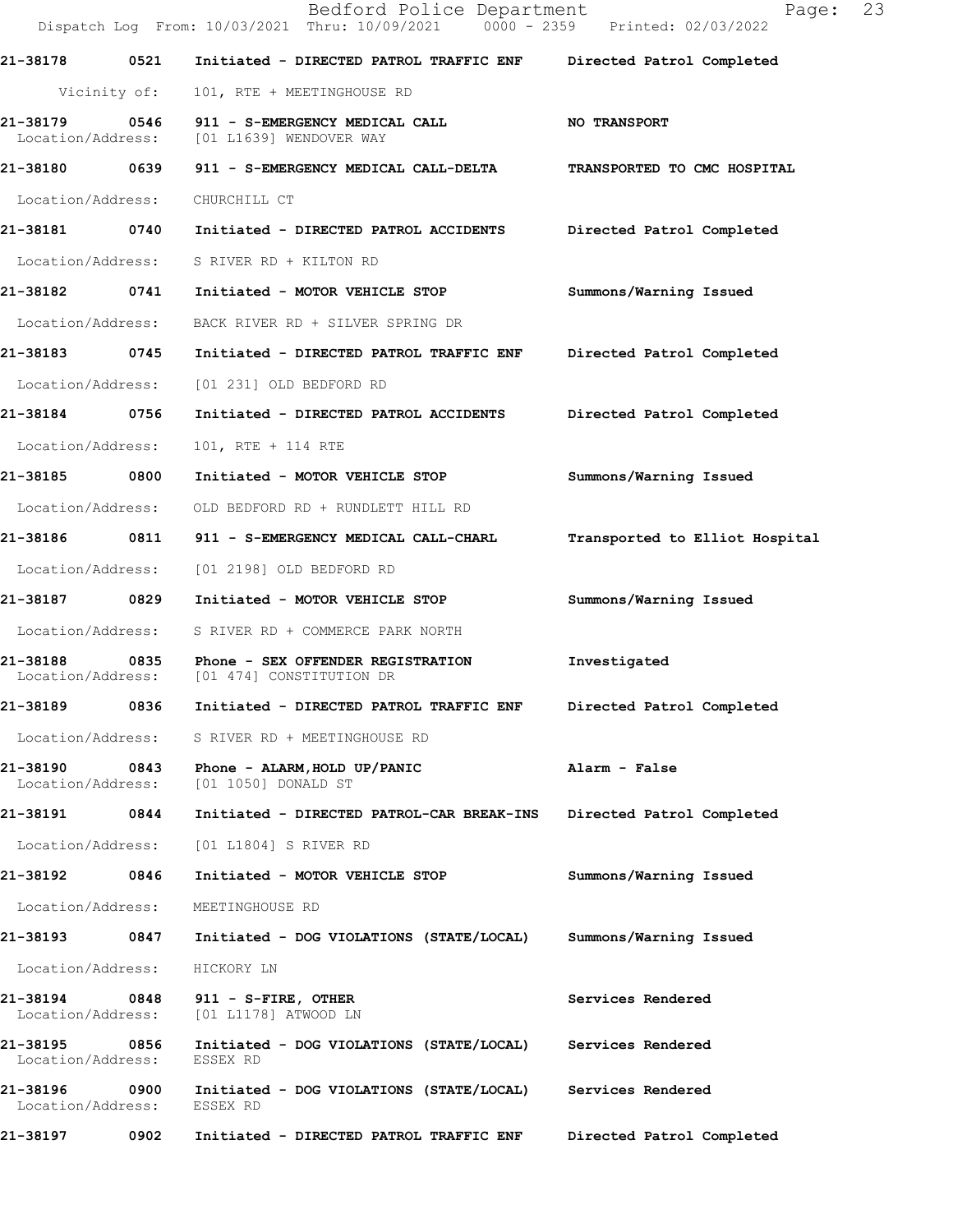|                               |              | Bedford Police Department<br>Dispatch Log From: 10/03/2021 Thru: 10/09/2021 0000 - 2359 Printed: 02/03/2022 | 23<br>Page:                    |
|-------------------------------|--------------|-------------------------------------------------------------------------------------------------------------|--------------------------------|
| 21-38178 0521                 |              | Initiated - DIRECTED PATROL TRAFFIC ENF                                                                     | Directed Patrol Completed      |
|                               | Vicinity of: | 101, RTE + MEETINGHOUSE RD                                                                                  |                                |
| 21-38179<br>Location/Address: | 0546         | 911 - S-EMERGENCY MEDICAL CALL<br>[01 L1639] WENDOVER WAY                                                   | <b>NO TRANSPORT</b>            |
|                               |              |                                                                                                             | TRANSPORTED TO CMC HOSPITAL    |
| Location/Address:             |              | CHURCHILL CT                                                                                                |                                |
| 21-38181 0740                 |              | Initiated - DIRECTED PATROL ACCIDENTS                                                                       | Directed Patrol Completed      |
| Location/Address:             |              | S RIVER RD + KILTON RD                                                                                      |                                |
| 21-38182 0741                 |              | Initiated - MOTOR VEHICLE STOP                                                                              | Summons/Warning Issued         |
| Location/Address:             |              | BACK RIVER RD + SILVER SPRING DR                                                                            |                                |
| 21-38183 0745                 |              | Initiated - DIRECTED PATROL TRAFFIC ENF                                                                     | Directed Patrol Completed      |
| Location/Address:             |              | [01 231] OLD BEDFORD RD                                                                                     |                                |
| 21-38184 0756                 |              | Initiated - DIRECTED PATROL ACCIDENTS Directed Patrol Completed                                             |                                |
| Location/Address:             |              | 101, RTE + 114 RTE                                                                                          |                                |
| 21-38185 0800                 |              | Initiated - MOTOR VEHICLE STOP                                                                              | Summons/Warning Issued         |
| Location/Address:             |              | OLD BEDFORD RD + RUNDLETT HILL RD                                                                           |                                |
| 21-38186 0811                 |              | 911 - S-EMERGENCY MEDICAL CALL-CHARL                                                                        | Transported to Elliot Hospital |
| Location/Address:             |              | [01 2198] OLD BEDFORD RD                                                                                    |                                |
| 21-38187                      | 0829         | Initiated - MOTOR VEHICLE STOP                                                                              | Summons/Warning Issued         |
| Location/Address:             |              | S RIVER RD + COMMERCE PARK NORTH                                                                            |                                |
| 21-38188                      |              | 0835 Phone - SEX OFFENDER REGISTRATION<br>Location/Address: [01 474] CONSTITUTION DR                        | Investigated                   |
| 21-38189                      | 0836         | Initiated - DIRECTED PATROL TRAFFIC ENF                                                                     | Directed Patrol Completed      |
| Location/Address:             |              | S RIVER RD + MEETINGHOUSE RD                                                                                |                                |
| 21-38190<br>Location/Address: | 0843         | Phone - ALARM, HOLD UP/PANIC<br>[01 1050] DONALD ST                                                         | Alarm - False                  |
| 21-38191                      | 0844         | Initiated - DIRECTED PATROL-CAR BREAK-INS                                                                   | Directed Patrol Completed      |
| Location/Address:             |              | [01 L1804] S RIVER RD                                                                                       |                                |
| 21-38192                      | 0846         | Initiated - MOTOR VEHICLE STOP                                                                              | Summons/Warning Issued         |
| Location/Address:             |              | MEETINGHOUSE RD                                                                                             |                                |
| 21-38193                      | 0847         | Initiated - DOG VIOLATIONS (STATE/LOCAL)                                                                    | Summons/Warning Issued         |
| Location/Address:             |              | HICKORY LN                                                                                                  |                                |
| 21-38194<br>Location/Address: | 0848         | 911 - S-FIRE, OTHER<br>[01 L1178] ATWOOD LN                                                                 | Services Rendered              |
| 21-38195<br>Location/Address: | 0856         | Initiated - DOG VIOLATIONS (STATE/LOCAL)<br>ESSEX RD                                                        | Services Rendered              |
| 21-38196<br>Location/Address: | 0900         | Initiated - DOG VIOLATIONS (STATE/LOCAL)<br>ESSEX RD                                                        | Services Rendered              |
| 21-38197                      | 0902         | Initiated - DIRECTED PATROL TRAFFIC ENF                                                                     | Directed Patrol Completed      |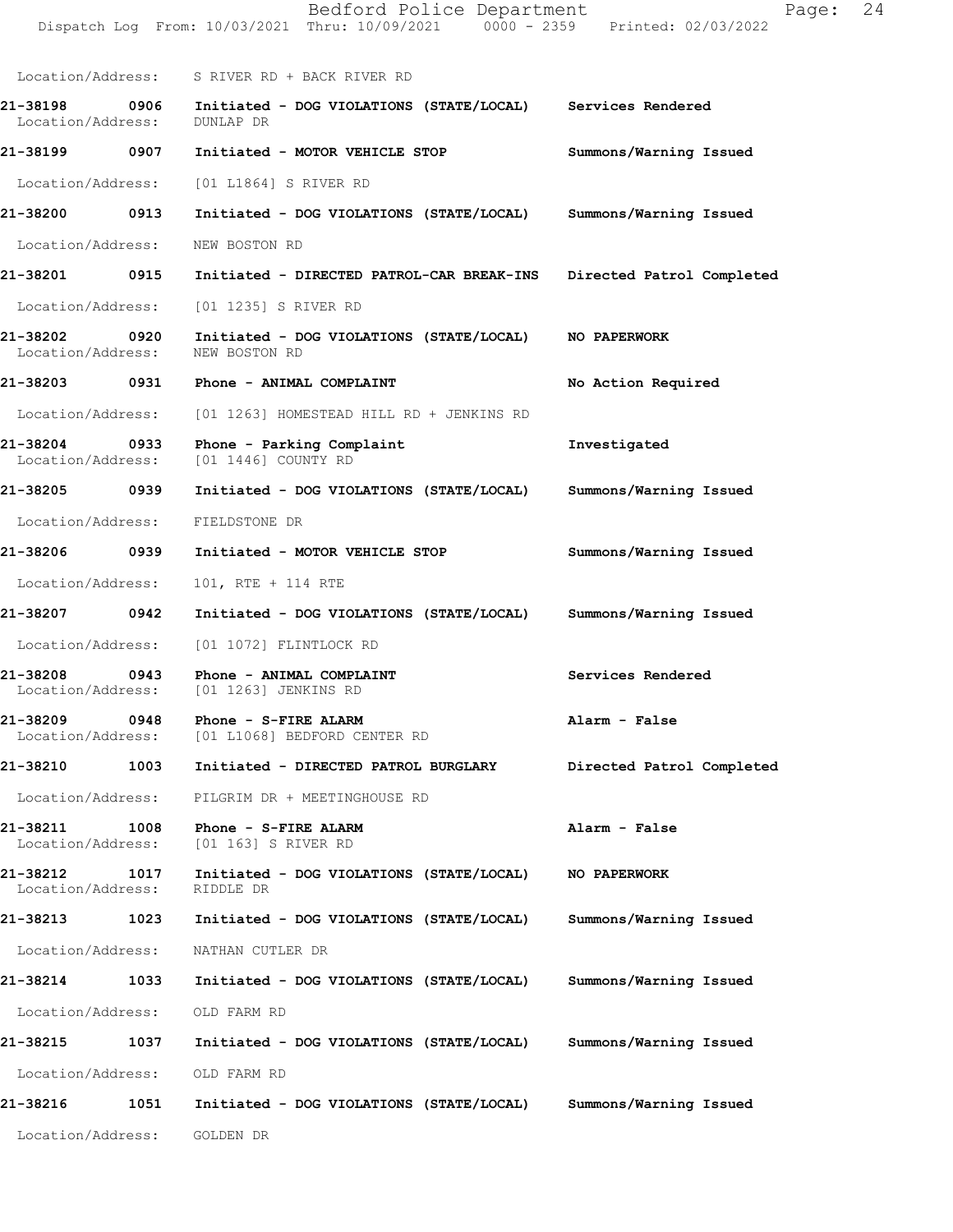|                                       | Dispatch Log From: 10/03/2021 Thru: 10/09/2021 0000 - 2359 Printed: 02/03/2022       |                           |
|---------------------------------------|--------------------------------------------------------------------------------------|---------------------------|
|                                       | Location/Address: S RIVER RD + BACK RIVER RD                                         |                           |
| 21-38198 0906<br>Location/Address:    | Initiated - DOG VIOLATIONS (STATE/LOCAL) Services Rendered<br>DUNLAP DR              |                           |
| 21-38199<br>0907                      | Initiated - MOTOR VEHICLE STOP                                                       | Summons/Warning Issued    |
| Location/Address:                     | [01 L1864] S RIVER RD                                                                |                           |
| 21-38200 0913                         | Initiated - DOG VIOLATIONS (STATE/LOCAL)                                             | Summons/Warning Issued    |
| Location/Address:                     | NEW BOSTON RD                                                                        |                           |
| 21-38201 0915                         | Initiated - DIRECTED PATROL-CAR BREAK-INS                                            | Directed Patrol Completed |
| Location/Address:                     | [01 1235] S RIVER RD                                                                 |                           |
| 21-38202 0920<br>Location/Address:    | Initiated - DOG VIOLATIONS (STATE/LOCAL)<br>NEW BOSTON RD                            | NO PAPERWORK              |
| 21-38203 0931                         | Phone - ANIMAL COMPLAINT                                                             | No Action Required        |
| Location/Address:                     | [01 1263] HOMESTEAD HILL RD + JENKINS RD                                             |                           |
| 21-38204<br>0933<br>Location/Address: | Phone - Parking Complaint<br>[01 1446] COUNTY RD                                     | Investigated              |
| 21-38205 0939                         | Initiated - DOG VIOLATIONS (STATE/LOCAL)                                             | Summons/Warning Issued    |
| Location/Address:                     | FIELDSTONE DR                                                                        |                           |
| 21-38206 0939                         | Initiated - MOTOR VEHICLE STOP                                                       | Summons/Warning Issued    |
| Location/Address:                     | 101, RTE + 114 RTE                                                                   |                           |
| 21-38207<br>0942                      | Initiated - DOG VIOLATIONS (STATE/LOCAL)                                             | Summons/Warning Issued    |
| Location/Address:                     | [01 1072] FLINTLOCK RD                                                               |                           |
|                                       | 21-38208 0943 Phone - ANIMAL COMPLAINT<br>Location/Address: [01 1263] JENKINS RD     | Services Rendered         |
|                                       | 21-38209 0948 Phone - S-FIRE ALARM<br>Location/Address: [01 L1068] BEDFORD CENTER RD | Alarm - False             |
| 21-38210<br>1003                      | Initiated - DIRECTED PATROL BURGLARY                                                 | Directed Patrol Completed |
| Location/Address:                     | PILGRIM DR + MEETINGHOUSE RD                                                         |                           |
| 21-38211                              | 1008 Phone - S-FIRE ALARM<br>Location/Address: [01 163] S RIVER RD                   | Alarm - False             |
| Location/Address: RIDDLE DR           | 21-38212 1017 Initiated - DOG VIOLATIONS (STATE/LOCAL)                               | <b>NO PAPERWORK</b>       |
| 21-38213 1023                         | Initiated - DOG VIOLATIONS (STATE/LOCAL)                                             | Summons/Warning Issued    |
| Location/Address: NATHAN CUTLER DR    |                                                                                      |                           |
| 21-38214<br>1033                      | Initiated - DOG VIOLATIONS (STATE/LOCAL)                                             | Summons/Warning Issued    |
| Location/Address:                     | OLD FARM RD                                                                          |                           |
| 21-38215<br>1037                      | Initiated - DOG VIOLATIONS (STATE/LOCAL)                                             | Summons/Warning Issued    |
| Location/Address: OLD FARM RD         |                                                                                      |                           |
| 21-38216<br>1051                      | Initiated - DOG VIOLATIONS (STATE/LOCAL)                                             | Summons/Warning Issued    |
| Location/Address:                     | GOLDEN DR                                                                            |                           |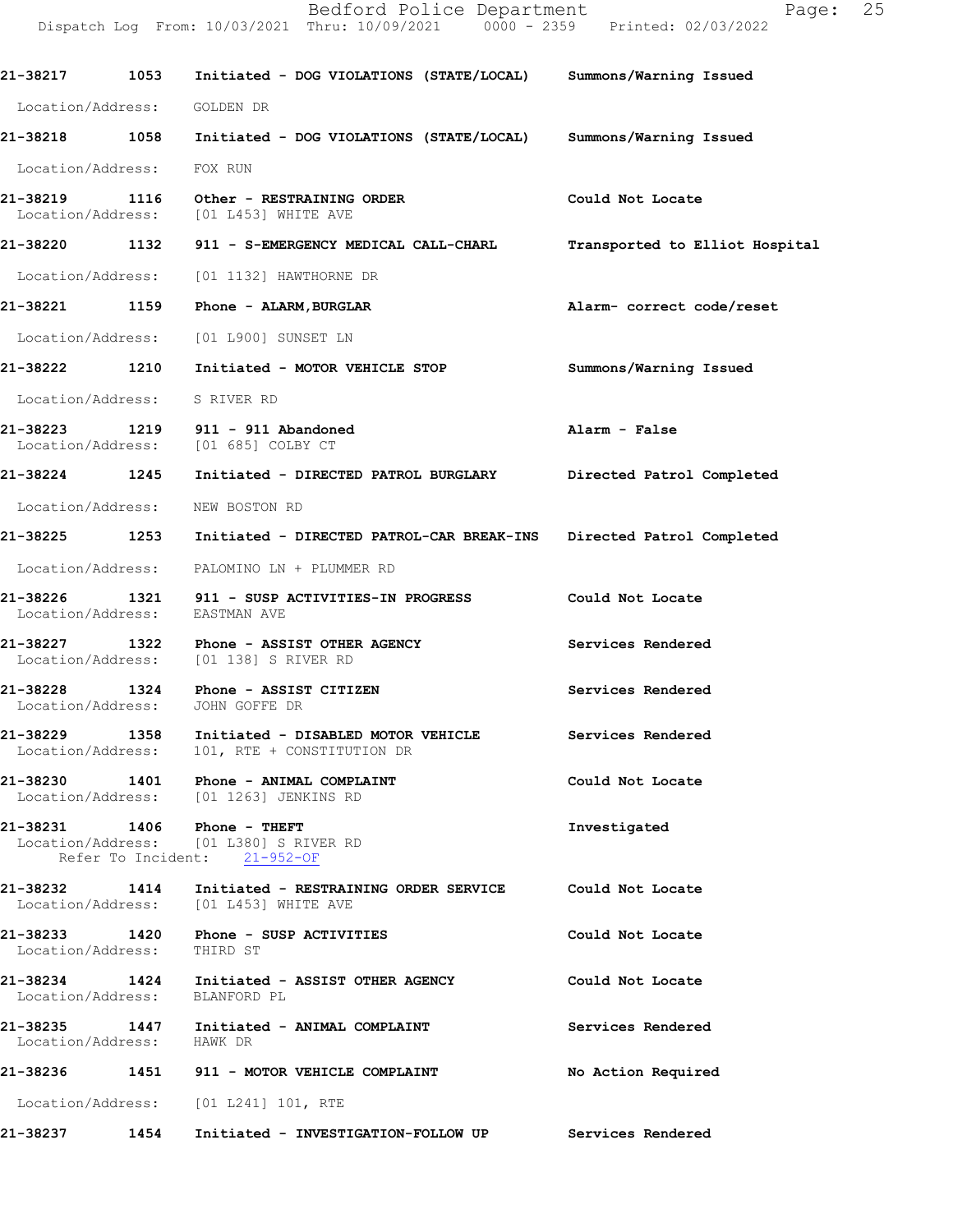**21-38217 1053 Initiated - DOG VIOLATIONS (STATE/LOCAL) Summons/Warning Issued**  Location/Address: GOLDEN DR **21-38218 1058 Initiated - DOG VIOLATIONS (STATE/LOCAL) Summons/Warning Issued**  Location/Address: FOX RUN **21-38219 1116 Other - RESTRAINING ORDER Could Not Locate**  Location/Address: [01 L453] WHITE AVE **21-38220 1132 911 - S-EMERGENCY MEDICAL CALL-CHARL Transported to Elliot Hospital** Location/Address: [01 1132] HAWTHORNE DR **21-38221 1159 Phone - ALARM,BURGLAR Alarm- correct code/reset**  Location/Address: [01 L900] SUNSET LN **21-38222 1210 Initiated - MOTOR VEHICLE STOP Summons/Warning Issued**  Location/Address: S RIVER RD **21-38223 1219 911 - 911 Abandoned Alarm - False**  Location/Address: [01 685] COLBY CT **21-38224 1245 Initiated - DIRECTED PATROL BURGLARY Directed Patrol Completed**  Location/Address: NEW BOSTON RD **21-38225 1253 Initiated - DIRECTED PATROL-CAR BREAK-INS Directed Patrol Completed**  Location/Address: PALOMINO LN + PLUMMER RD **21-38226 1321 911 - SUSP ACTIVITIES-IN PROGRESS Could Not Locate**  Location/Address: EASTMAN AVE **21-38227 1322 Phone - ASSIST OTHER AGENCY Services Rendered**  Location/Address: [01 138] S RIVER RD **21-38228 1324 Phone - ASSIST CITIZEN Services Rendered**  Location/Address: JOHN GOFFE DR **21-38229 1358 Initiated - DISABLED MOTOR VEHICLE Services Rendered**  Location/Address: 101, RTE + CONSTITUTION DR **21-38230 1401 Phone - ANIMAL COMPLAINT Could Not Locate**  Location/Address: [01 1263] JENKINS RD **21-38231 1406 Phone - THEFT Investigated**  Location/Address: [01 L380] S RIVER RD Refer To Incident: 21-952-OF **21-38232 1414 Initiated - RESTRAINING ORDER SERVICE Could Not Locate**  Location/Address: [01 L453] WHITE AVE **21-38233 1420 Phone - SUSP ACTIVITIES Could Not Locate**  Location/Address: THIRD ST **21-38234 1424 Initiated - ASSIST OTHER AGENCY Could Not Locate**  Location/Address: BLANFORD PL **21-38235 1447 Initiated - ANIMAL COMPLAINT Services Rendered**  Location/Address: HAWK DR **21-38236 1451 911 - MOTOR VEHICLE COMPLAINT No Action Required**  Location/Address: [01 L241] 101, RTE **21-38237 1454 Initiated - INVESTIGATION-FOLLOW UP Services Rendered**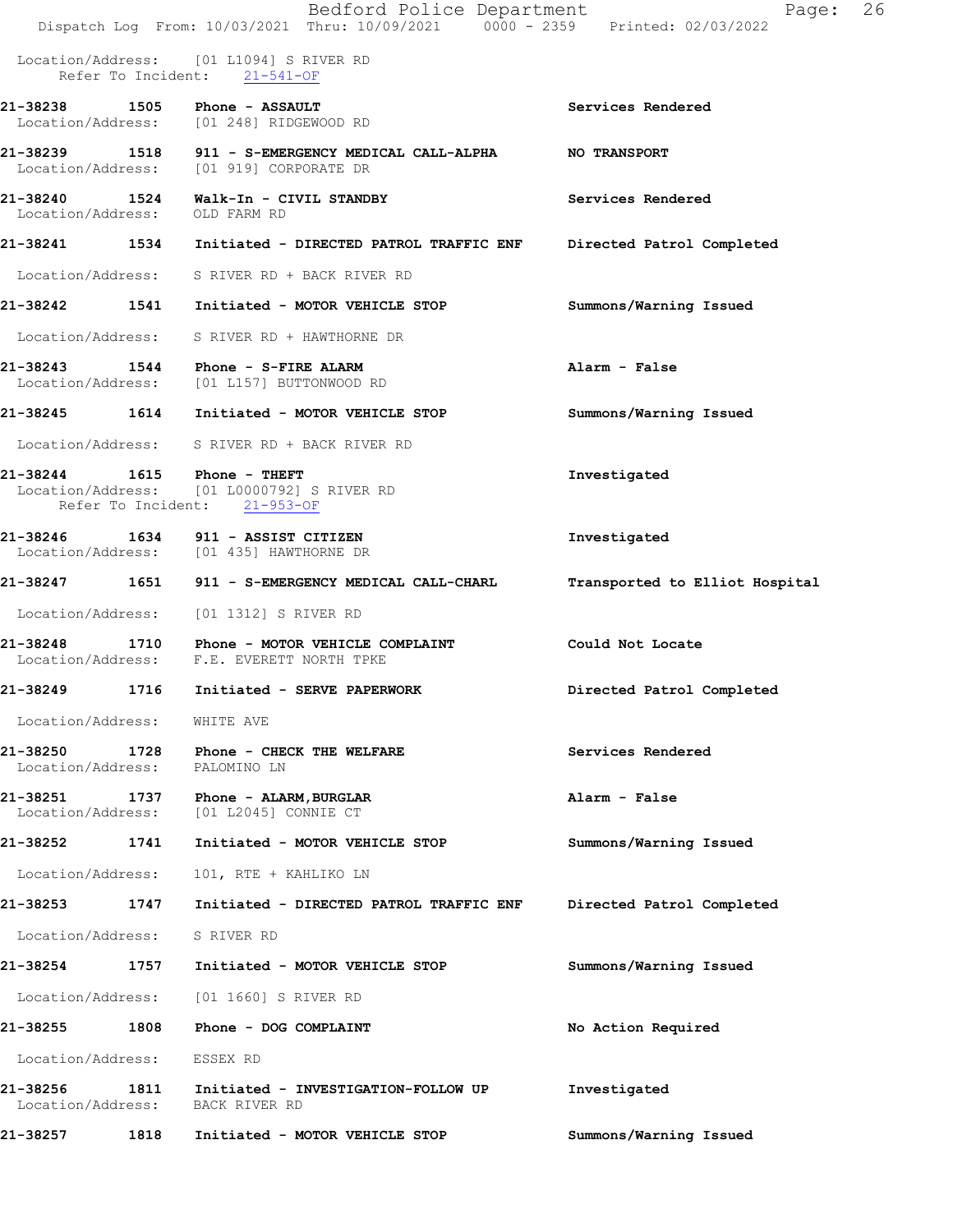|                               |      | Bedford Police Department<br>Dispatch Log From: 10/03/2021 Thru: 10/09/2021 0000 - 2359 Printed: 02/03/2022 | Page:                          | 26 |
|-------------------------------|------|-------------------------------------------------------------------------------------------------------------|--------------------------------|----|
|                               |      | Location/Address: [01 L1094] S RIVER RD<br>Refer To Incident: 21-541-OF                                     |                                |    |
|                               |      | 21-38238 1505 Phone - ASSAULT<br>Location/Address: [01 248] RIDGEWOOD RD                                    | Services Rendered              |    |
|                               |      | 21-38239 1518 911 - S-EMERGENCY MEDICAL CALL-ALPHA<br>Location/Address: [01 919] CORPORATE DR               | <b>NO TRANSPORT</b>            |    |
| Location/Address: OLD FARM RD |      | 21-38240 1524 Walk-In - CIVIL STANDBY                                                                       | Services Rendered              |    |
|                               |      |                                                                                                             | Directed Patrol Completed      |    |
|                               |      | Location/Address: S RIVER RD + BACK RIVER RD                                                                |                                |    |
|                               |      | 21-38242 1541 Initiated - MOTOR VEHICLE STOP                                                                | Summons/Warning Issued         |    |
|                               |      | Location/Address: S RIVER RD + HAWTHORNE DR                                                                 |                                |    |
|                               |      | 21-38243   1544   Phone - S-FIRE ALARM<br>Location/Address: [01 L157] BUTTONWOOD RD                         | Alarm - False                  |    |
|                               |      |                                                                                                             | Summons/Warning Issued         |    |
|                               |      | Location/Address: S RIVER RD + BACK RIVER RD                                                                |                                |    |
|                               |      | 21-38244 1615 Phone - THEFT<br>Location/Address: [01 L0000792] S RIVER RD<br>Refer To Incident: 21-953-OF   | Investigated                   |    |
|                               |      | 21-38246   1634   911 - ASSIST CITIZEN<br>Location/Address: [01 435] HAWTHORNE DR                           | Investigated                   |    |
| 21-38247                      |      | 1651 911 - S-EMERGENCY MEDICAL CALL-CHARL                                                                   | Transported to Elliot Hospital |    |
|                               |      | Location/Address: [01 1312] S RIVER RD                                                                      |                                |    |
| 21-38248                      |      | 1710 Phone - MOTOR VEHICLE COMPLAINT<br>Location/Address: F.E. EVERETT NORTH TPKE                           | Could Not Locate               |    |
| 21-38249                      | 1716 | Initiated - SERVE PAPERWORK                                                                                 | Directed Patrol Completed      |    |
| Location/Address:             |      | WHITE AVE                                                                                                   |                                |    |
| 21-38250<br>Location/Address: | 1728 | Phone - CHECK THE WELFARE<br>PALOMINO LN                                                                    | Services Rendered              |    |
| 21-38251<br>Location/Address: | 1737 | Phone - ALARM, BURGLAR<br>[01 L2045] CONNIE CT                                                              | Alarm - False                  |    |
| 21-38252                      | 1741 | Initiated - MOTOR VEHICLE STOP                                                                              | Summons/Warning Issued         |    |
| Location/Address:             |      | 101, RTE + KAHLIKO LN                                                                                       |                                |    |
| 21-38253                      | 1747 | Initiated - DIRECTED PATROL TRAFFIC ENF                                                                     | Directed Patrol Completed      |    |
| Location/Address:             |      | S RIVER RD                                                                                                  |                                |    |
| 21-38254                      | 1757 | Initiated - MOTOR VEHICLE STOP                                                                              | Summons/Warning Issued         |    |
| Location/Address:             |      | [01 1660] S RIVER RD                                                                                        |                                |    |
| 21-38255                      | 1808 | Phone - DOG COMPLAINT                                                                                       | No Action Required             |    |
| Location/Address:             |      | ESSEX RD                                                                                                    |                                |    |
| 21-38256<br>Location/Address: | 1811 | Initiated - INVESTIGATION-FOLLOW UP<br>BACK RIVER RD                                                        | Investigated                   |    |
| 21-38257                      | 1818 | Initiated - MOTOR VEHICLE STOP                                                                              | Summons/Warning Issued         |    |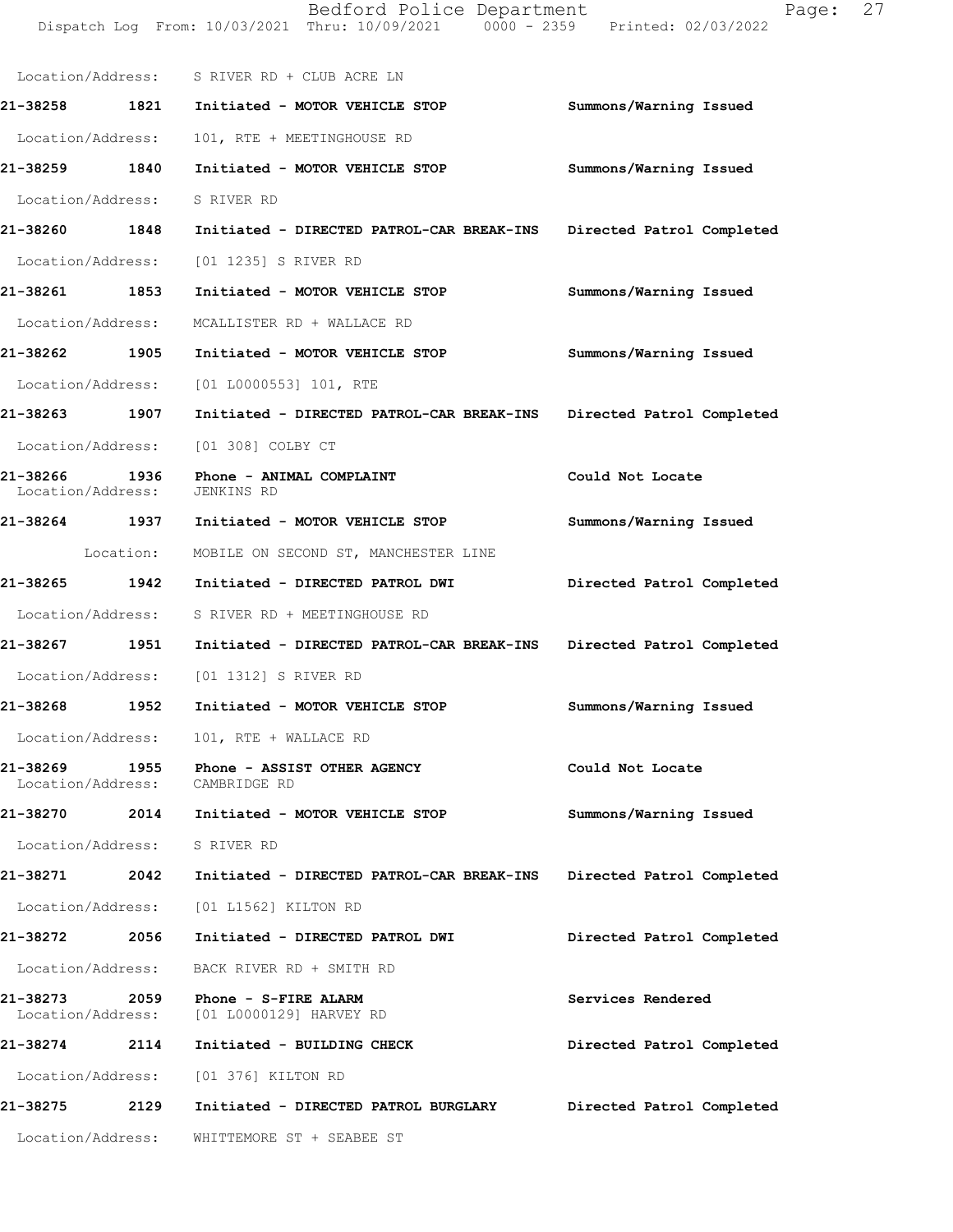|                                            | Dispatch Log From: 10/03/2021 Thru: 10/09/2021 0000 - 2359 Printed: 02/03/2022 |                           |
|--------------------------------------------|--------------------------------------------------------------------------------|---------------------------|
|                                            | Location/Address: S RIVER RD + CLUB ACRE LN                                    |                           |
| 21-38258 1821                              | Initiated - MOTOR VEHICLE STOP                                                 | Summons/Warning Issued    |
| Location/Address:                          | 101, RTE + MEETINGHOUSE RD                                                     |                           |
| 21-38259 1840                              | Initiated - MOTOR VEHICLE STOP                                                 | Summons/Warning Issued    |
| Location/Address:                          | S RIVER RD                                                                     |                           |
| 21-38260 1848                              | Initiated - DIRECTED PATROL-CAR BREAK-INS                                      | Directed Patrol Completed |
| Location/Address:                          | [01 1235] S RIVER RD                                                           |                           |
| 21-38261 1853                              | Initiated - MOTOR VEHICLE STOP                                                 | Summons/Warning Issued    |
| Location/Address:                          | MCALLISTER RD + WALLACE RD                                                     |                           |
| 21-38262 1905                              | Initiated - MOTOR VEHICLE STOP                                                 | Summons/Warning Issued    |
| Location/Address:                          | $[01 L0000553] 101$ , RTE                                                      |                           |
| 21-38263 1907                              | Initiated - DIRECTED PATROL-CAR BREAK-INS                                      | Directed Patrol Completed |
|                                            | Location/Address: [01 308] COLBY CT                                            |                           |
| 21-38266 1936<br>Location/Address:         | Phone - ANIMAL COMPLAINT<br>JENKINS RD                                         | Could Not Locate          |
|                                            | 21-38264 1937 Initiated - MOTOR VEHICLE STOP                                   | Summons/Warning Issued    |
| Location:                                  | MOBILE ON SECOND ST, MANCHESTER LINE                                           |                           |
| 21-38265 1942                              | Initiated - DIRECTED PATROL DWI                                                | Directed Patrol Completed |
| Location/Address:                          | S RIVER RD + MEETINGHOUSE RD                                                   |                           |
| 21-38267 1951                              | Initiated - DIRECTED PATROL-CAR BREAK-INS                                      | Directed Patrol Completed |
|                                            | Location/Address: [01 1312] S RIVER RD                                         |                           |
| 21-38268<br>1952                           | Initiated - MOTOR VEHICLE STOP                                                 | Summons/Warning Issued    |
|                                            | Location/Address: 101, RTE + WALLACE RD                                        |                           |
| 21-38269<br>Location/Address: CAMBRIDGE RD | 1955 Phone - ASSIST OTHER AGENCY                                               | Could Not Locate          |
| 21-38270                                   | 2014 Initiated - MOTOR VEHICLE STOP                                            | Summons/Warning Issued    |
| Location/Address: S RIVER RD               |                                                                                |                           |
| 21-38271<br>2042                           | Initiated - DIRECTED PATROL-CAR BREAK-INS                                      | Directed Patrol Completed |
| Location/Address:                          | [01 L1562] KILTON RD                                                           |                           |
| 21-38272 2056                              | Initiated - DIRECTED PATROL DWI                                                | Directed Patrol Completed |
| Location/Address:                          | BACK RIVER RD + SMITH RD                                                       |                           |
| 21-38273<br>2059<br>Location/Address:      | Phone - S-FIRE ALARM<br>[01 L0000129] HARVEY RD                                | Services Rendered         |
| 21-38274 2114                              | Initiated - BUILDING CHECK                                                     | Directed Patrol Completed |
|                                            | Location/Address: [01 376] KILTON RD                                           |                           |
| 21-38275 2129                              | Initiated - DIRECTED PATROL BURGLARY                                           | Directed Patrol Completed |
| Location/Address:                          | WHITTEMORE ST + SEABEE ST                                                      |                           |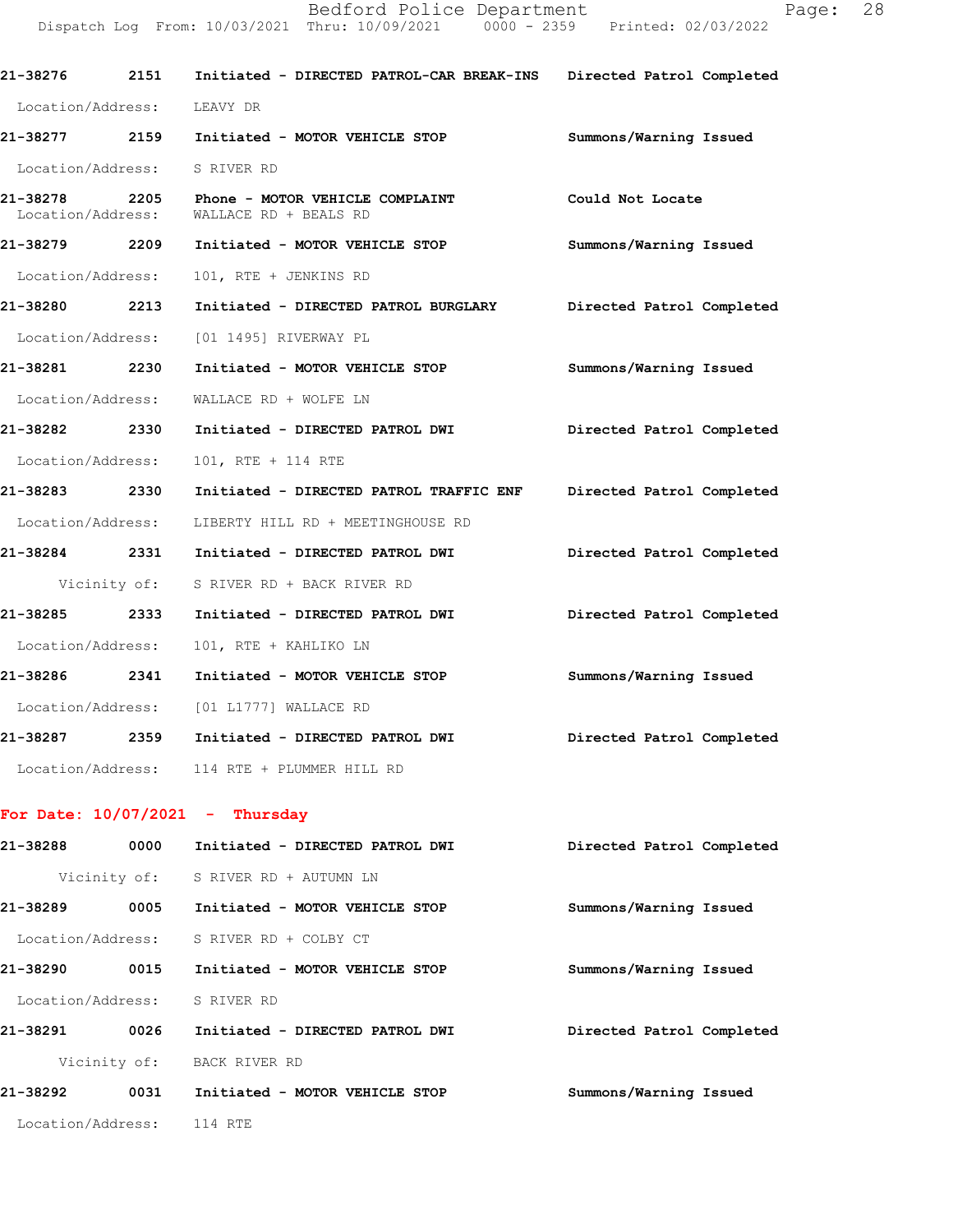|                                    | 21-38276     2151   Initiated - DIRECTED PATROL-CAR BREAK-INS   Directed Patrol Completed |                           |
|------------------------------------|-------------------------------------------------------------------------------------------|---------------------------|
| Location/Address: LEAVY DR         |                                                                                           |                           |
| 21-38277 2159                      | Initiated - MOTOR VEHICLE STOP                                                            | Summons/Warning Issued    |
| Location/Address: S RIVER RD       |                                                                                           |                           |
| 21-38278 2205<br>Location/Address: | Phone - MOTOR VEHICLE COMPLAINT<br>WALLACE RD + BEALS RD                                  | Could Not Locate          |
| 21-38279 2209                      | Initiated - MOTOR VEHICLE STOP                                                            | Summons/Warning Issued    |
| Location/Address:                  | 101, RTE + JENKINS RD                                                                     |                           |
|                                    | 21-38280 2213 Initiated - DIRECTED PATROL BURGLARY Directed Patrol Completed              |                           |
| Location/Address:                  | [01 1495] RIVERWAY PL                                                                     |                           |
| 21-38281 2230                      | Initiated - MOTOR VEHICLE STOP                                                            | Summons/Warning Issued    |
| Location/Address:                  | WALLACE RD + WOLFE LN                                                                     |                           |
| 21-38282 2330                      | Initiated - DIRECTED PATROL DWI                                                           | Directed Patrol Completed |
| Location/Address:                  | 101, RTE + 114 RTE                                                                        |                           |
| 21-38283 2330                      | Initiated - DIRECTED PATROL TRAFFIC ENF                                                   | Directed Patrol Completed |
|                                    | Location/Address: LIBERTY HILL RD + MEETINGHOUSE RD                                       |                           |
| 21-38284 2331                      | Initiated - DIRECTED PATROL DWI                                                           | Directed Patrol Completed |
|                                    | Vicinity of: S RIVER RD + BACK RIVER RD                                                   |                           |
| 21-38285 2333                      | Initiated - DIRECTED PATROL DWI                                                           | Directed Patrol Completed |
| Location/Address:                  | 101, RTE + KAHLIKO LN                                                                     |                           |
|                                    | 21-38286 2341 Initiated - MOTOR VEHICLE STOP                                              | Summons/Warning Issued    |
|                                    | Location/Address: [01 L1777] WALLACE RD                                                   |                           |
|                                    | 21-38287 2359 Initiated - DIRECTED PATROL DWI                                             | Directed Patrol Completed |
|                                    | Location/Address: 114 RTE + PLUMMER HILL RD                                               |                           |
|                                    | For Date: $10/07/2021$ - Thursday                                                         |                           |
|                                    |                                                                                           | Directed Patrol Completed |
|                                    | Vicinity of: S RIVER RD + AUTUMN LN                                                       |                           |
|                                    | 21-38289 0005 Initiated - MOTOR VEHICLE STOP                                              | Summons/Warning Issued    |
|                                    | Location/Address: S RIVER RD + COLBY CT                                                   |                           |
|                                    | 21-38290 0015 Initiated - MOTOR VEHICLE STOP                                              | Summons/Warning Issued    |
| Location/Address: S RIVER RD       |                                                                                           |                           |
|                                    |                                                                                           | Directed Patrol Completed |
|                                    | Vicinity of: BACK RIVER RD                                                                |                           |
|                                    | 21-38292 0031 Initiated - MOTOR VEHICLE STOP                                              | Summons/Warning Issued    |
| Location/Address: 114 RTE          |                                                                                           |                           |
|                                    |                                                                                           |                           |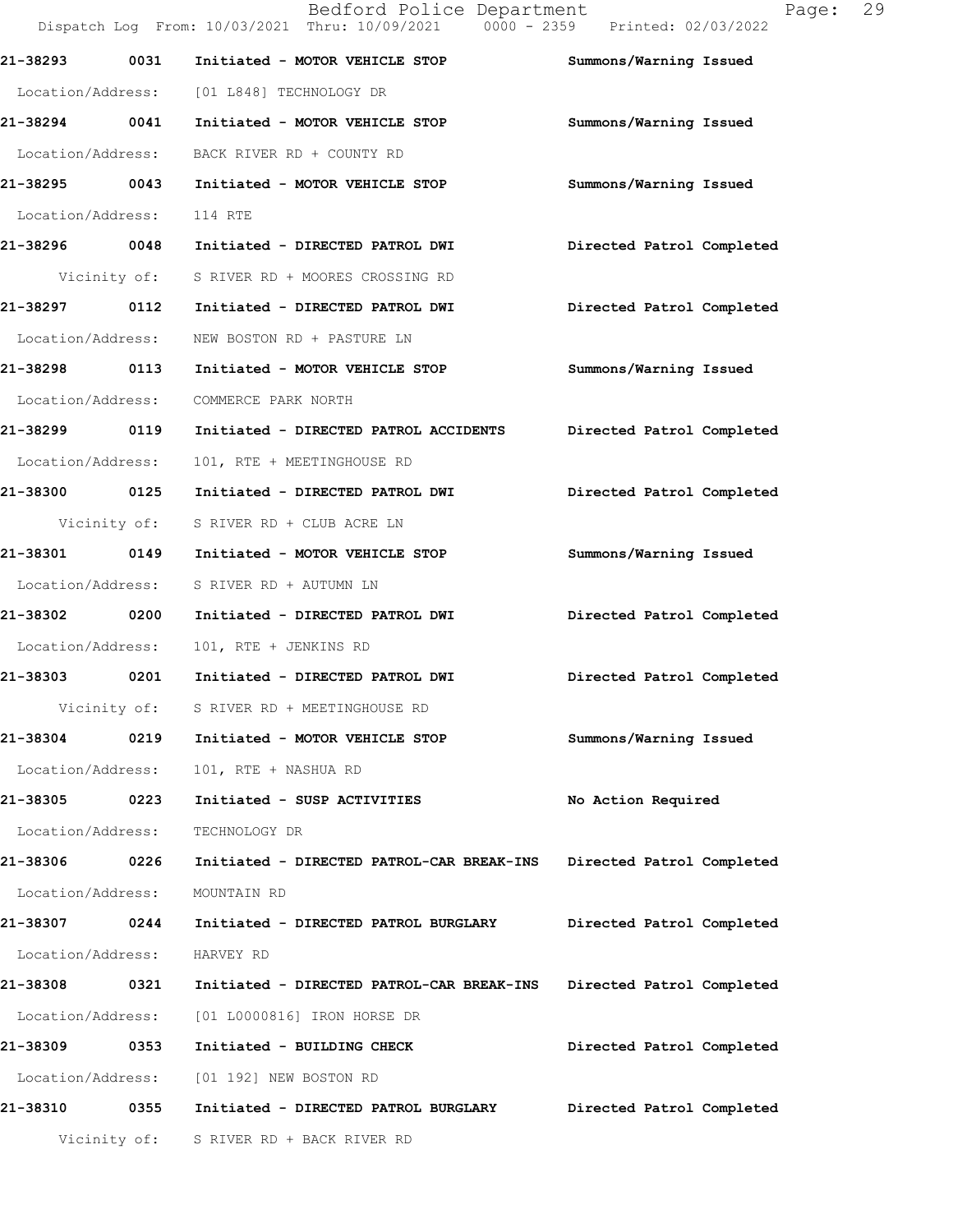|                   |              | Bedford Police Department<br>Dispatch Log From: 10/03/2021 Thru: 10/09/2021 0000 - 2359 Printed: 02/03/2022 | Page:                     | 29 |
|-------------------|--------------|-------------------------------------------------------------------------------------------------------------|---------------------------|----|
| 21-38293          | 0031         | Initiated - MOTOR VEHICLE STOP                                                                              | Summons/Warning Issued    |    |
|                   |              | Location/Address: [01 L848] TECHNOLOGY DR                                                                   |                           |    |
| 21-38294 0041     |              | Initiated - MOTOR VEHICLE STOP                                                                              | Summons/Warning Issued    |    |
| Location/Address: |              | BACK RIVER RD + COUNTY RD                                                                                   |                           |    |
| 21-38295 0043     |              | Initiated - MOTOR VEHICLE STOP                                                                              | Summons/Warning Issued    |    |
| Location/Address: |              | 114 RTE                                                                                                     |                           |    |
| 21-38296 0048     |              | Initiated - DIRECTED PATROL DWI                                                                             | Directed Patrol Completed |    |
|                   | Vicinity of: | S RIVER RD + MOORES CROSSING RD                                                                             |                           |    |
| 21-38297 0112     |              | Initiated - DIRECTED PATROL DWI                                                                             | Directed Patrol Completed |    |
| Location/Address: |              | NEW BOSTON RD + PASTURE LN                                                                                  |                           |    |
| 21-38298 0113     |              | Initiated - MOTOR VEHICLE STOP                                                                              | Summons/Warning Issued    |    |
| Location/Address: |              | COMMERCE PARK NORTH                                                                                         |                           |    |
| 21-38299 0119     |              | Initiated - DIRECTED PATROL ACCIDENTS                                                                       | Directed Patrol Completed |    |
| Location/Address: |              | 101, RTE + MEETINGHOUSE RD                                                                                  |                           |    |
| 21-38300 0125     |              | Initiated - DIRECTED PATROL DWI                                                                             | Directed Patrol Completed |    |
|                   | Vicinity of: | S RIVER RD + CLUB ACRE LN                                                                                   |                           |    |
| 21-38301 0149     |              | Initiated - MOTOR VEHICLE STOP                                                                              | Summons/Warning Issued    |    |
| Location/Address: |              | S RIVER RD + AUTUMN LN                                                                                      |                           |    |
| 21-38302          | 0200         | Initiated - DIRECTED PATROL DWI                                                                             | Directed Patrol Completed |    |
| Location/Address: |              | 101, RTE + JENKINS RD                                                                                       |                           |    |
| 21-38303          | 0201         | Initiated - DIRECTED PATROL DWI                                                                             | Directed Patrol Completed |    |
|                   | Vicinity of: | S RIVER RD + MEETINGHOUSE RD                                                                                |                           |    |
| 21-38304          | 0219         | Initiated - MOTOR VEHICLE STOP                                                                              | Summons/Warning Issued    |    |
| Location/Address: |              | 101, RTE + NASHUA RD                                                                                        |                           |    |
| 21-38305          | 0223         | Initiated - SUSP ACTIVITIES                                                                                 | No Action Required        |    |
| Location/Address: |              | TECHNOLOGY DR                                                                                               |                           |    |
| 21-38306 0226     |              | Initiated - DIRECTED PATROL-CAR BREAK-INS                                                                   | Directed Patrol Completed |    |
| Location/Address: |              | MOUNTAIN RD                                                                                                 |                           |    |
| 21-38307          | 0244         | Initiated - DIRECTED PATROL BURGLARY                                                                        | Directed Patrol Completed |    |
| Location/Address: |              | HARVEY RD                                                                                                   |                           |    |
| 21-38308          | 0321         | Initiated - DIRECTED PATROL-CAR BREAK-INS                                                                   | Directed Patrol Completed |    |
| Location/Address: |              | [01 L0000816] IRON HORSE DR                                                                                 |                           |    |
| 21-38309 0353     |              | Initiated - BUILDING CHECK                                                                                  | Directed Patrol Completed |    |
| Location/Address: |              | [01 192] NEW BOSTON RD                                                                                      |                           |    |
| 21-38310          | 0355         | Initiated - DIRECTED PATROL BURGLARY                                                                        | Directed Patrol Completed |    |
|                   |              | Vicinity of: S RIVER RD + BACK RIVER RD                                                                     |                           |    |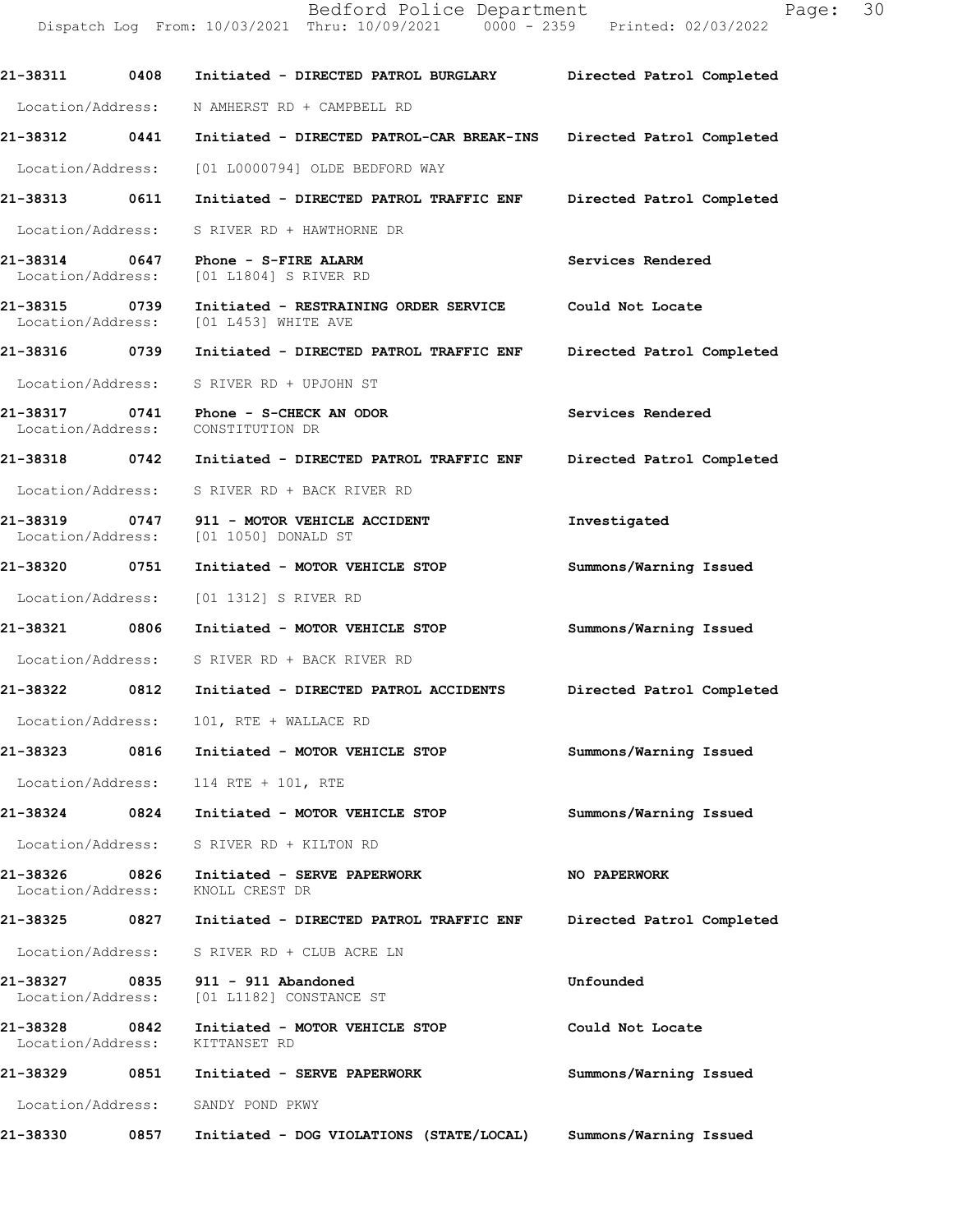Dispatch Log From: 10/03/2021 Thru: 10/09/2021 0000 - 2359 Printed: 02/03/2022 **21-38311 0408 Initiated - DIRECTED PATROL BURGLARY Directed Patrol Completed**  Location/Address: N AMHERST RD + CAMPBELL RD **21-38312 0441 Initiated - DIRECTED PATROL-CAR BREAK-INS Directed Patrol Completed**  Location/Address: [01 L0000794] OLDE BEDFORD WAY **21-38313 0611 Initiated - DIRECTED PATROL TRAFFIC ENF Directed Patrol Completed**  Location/Address: S RIVER RD + HAWTHORNE DR **21-38314 0647 Phone - S-FIRE ALARM Services Rendered Services Rendered Integral Conducts** [01 L1804] S RIVER RD **21-38315 0739 Initiated - RESTRAINING ORDER SERVICE Could Not Locate**  Location/Address: [01 L453] WHITE AVE **21-38316 0739 Initiated - DIRECTED PATROL TRAFFIC ENF Directed Patrol Completed**  Location/Address: S RIVER RD + UPJOHN ST **21-38317 0741 Phone - S-CHECK AN ODOR Services Rendered**  Location/Address: CONSTITUTION DR **21-38318 0742 Initiated - DIRECTED PATROL TRAFFIC ENF Directed Patrol Completed**  Location/Address: S RIVER RD + BACK RIVER RD **21-38319 0747 911 - MOTOR VEHICLE ACCIDENT Investigated**  Location/Address: [01 1050] DONALD ST **21-38320 0751 Initiated - MOTOR VEHICLE STOP Summons/Warning Issued**  Location/Address: [01 1312] S RIVER RD **21-38321 0806 Initiated - MOTOR VEHICLE STOP Summons/Warning Issued**  Location/Address: S RIVER RD + BACK RIVER RD **21-38322 0812 Initiated - DIRECTED PATROL ACCIDENTS Directed Patrol Completed**  Location/Address: 101, RTE + WALLACE RD **21-38323 0816 Initiated - MOTOR VEHICLE STOP Summons/Warning Issued**  Location/Address: 114 RTE + 101, RTE **21-38324 0824 Initiated - MOTOR VEHICLE STOP Summons/Warning Issued**  Location/Address: S RIVER RD + KILTON RD **21-38326 0826 Initiated - SERVE PAPERWORK NO PAPERWORK**  Location/Address: KNOLL CREST DR **21-38325 0827 Initiated - DIRECTED PATROL TRAFFIC ENF Directed Patrol Completed**  Location/Address: S RIVER RD + CLUB ACRE LN **21-38327 0835 911 - 911 Abandoned Unfounded**  Location/Address: [01 L1182] CONSTANCE ST **21-38328 0842 Initiated - MOTOR VEHICLE STOP Could Not Locate**  Location/Address: KITTANSET RD **21-38329 0851 Initiated - SERVE PAPERWORK Summons/Warning Issued**  Location/Address: SANDY POND PKWY **21-38330 0857 Initiated - DOG VIOLATIONS (STATE/LOCAL) Summons/Warning Issued**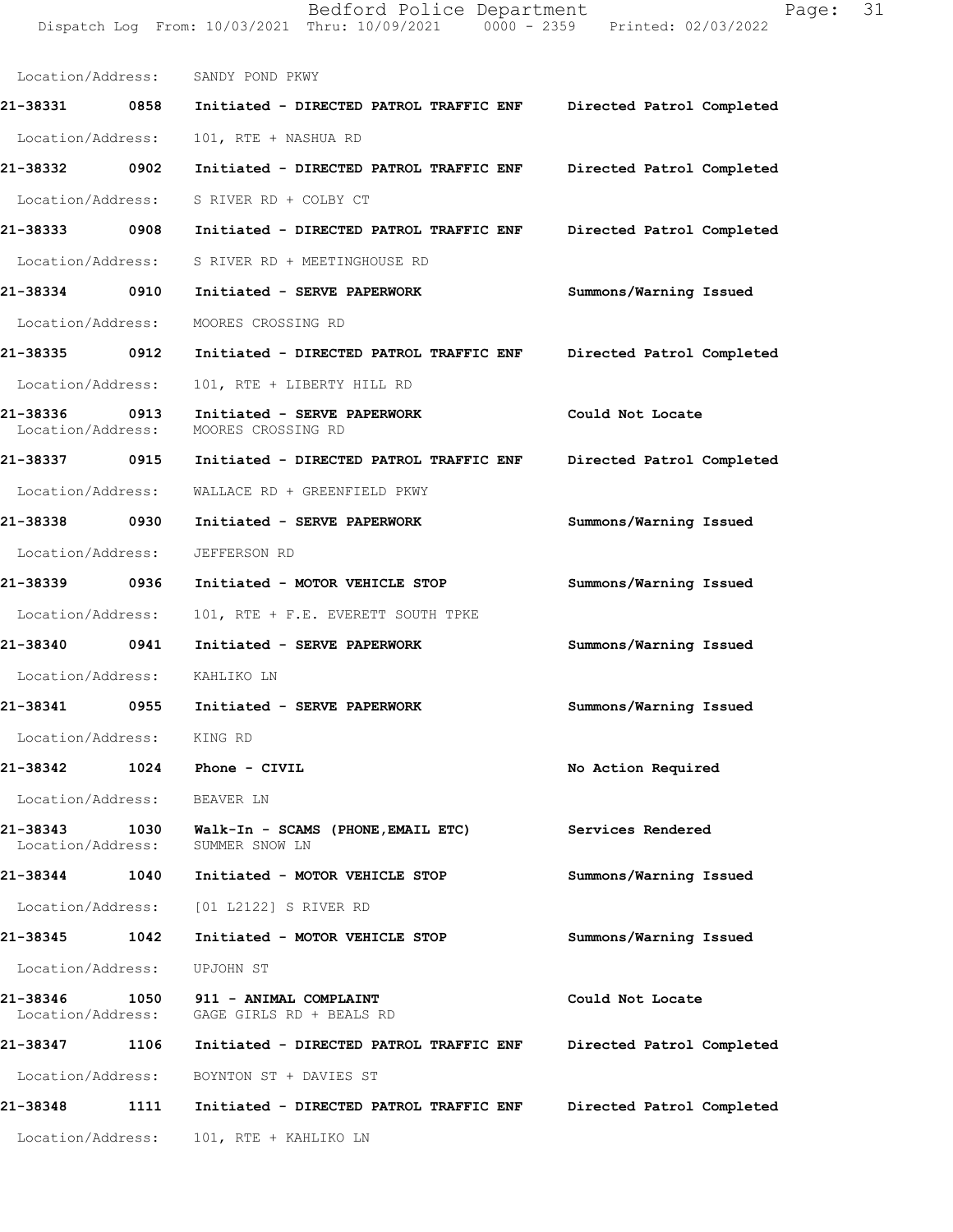Location/Address: SANDY POND PKWY **21-38331 0858 Initiated - DIRECTED PATROL TRAFFIC ENF Directed Patrol Completed**  Location/Address: 101, RTE + NASHUA RD **21-38332 0902 Initiated - DIRECTED PATROL TRAFFIC ENF Directed Patrol Completed**  Location/Address: S RIVER RD + COLBY CT **21-38333 0908 Initiated - DIRECTED PATROL TRAFFIC ENF Directed Patrol Completed**  Location/Address: S RIVER RD + MEETINGHOUSE RD **21-38334 0910 Initiated - SERVE PAPERWORK Summons/Warning Issued**  Location/Address: MOORES CROSSING RD **21-38335 0912 Initiated - DIRECTED PATROL TRAFFIC ENF Directed Patrol Completed**  Location/Address: 101, RTE + LIBERTY HILL RD **21-38336 0913 Initiated - SERVE PAPERWORK Could Not Locate**  Location/Address: MOORES CROSSING RD **21-38337 0915 Initiated - DIRECTED PATROL TRAFFIC ENF Directed Patrol Completed**  Location/Address: WALLACE RD + GREENFIELD PKWY **21-38338 0930 Initiated - SERVE PAPERWORK Summons/Warning Issued**  Location/Address: JEFFERSON RD **21-38339 0936 Initiated - MOTOR VEHICLE STOP Summons/Warning Issued**  Location/Address: 101, RTE + F.E. EVERETT SOUTH TPKE **21-38340 0941 Initiated - SERVE PAPERWORK Summons/Warning Issued**  Location/Address: KAHLIKO LN **21-38341 0955 Initiated - SERVE PAPERWORK Summons/Warning Issued**  Location/Address: KING RD **21-38342 1024 Phone - CIVIL No Action Required**  Location/Address: BEAVER LN **21-38343 1030 Walk-In - SCAMS (PHONE,EMAIL ETC) Services Rendered**  Location/Address: **21-38344 1040 Initiated - MOTOR VEHICLE STOP Summons/Warning Issued**  Location/Address: [01 L2122] S RIVER RD **21-38345 1042 Initiated - MOTOR VEHICLE STOP Summons/Warning Issued**  Location/Address: UPJOHN ST **21-38346 1050 911 - ANIMAL COMPLAINT Could Not Locate**  Location/Address: GAGE GIRLS RD + BEALS RD **21-38347 1106 Initiated - DIRECTED PATROL TRAFFIC ENF Directed Patrol Completed**  Location/Address: BOYNTON ST + DAVIES ST **21-38348 1111 Initiated - DIRECTED PATROL TRAFFIC ENF Directed Patrol Completed**  Location/Address: 101, RTE + KAHLIKO LN

Dispatch Log From: 10/03/2021 Thru: 10/09/2021 0000 - 2359 Printed: 02/03/2022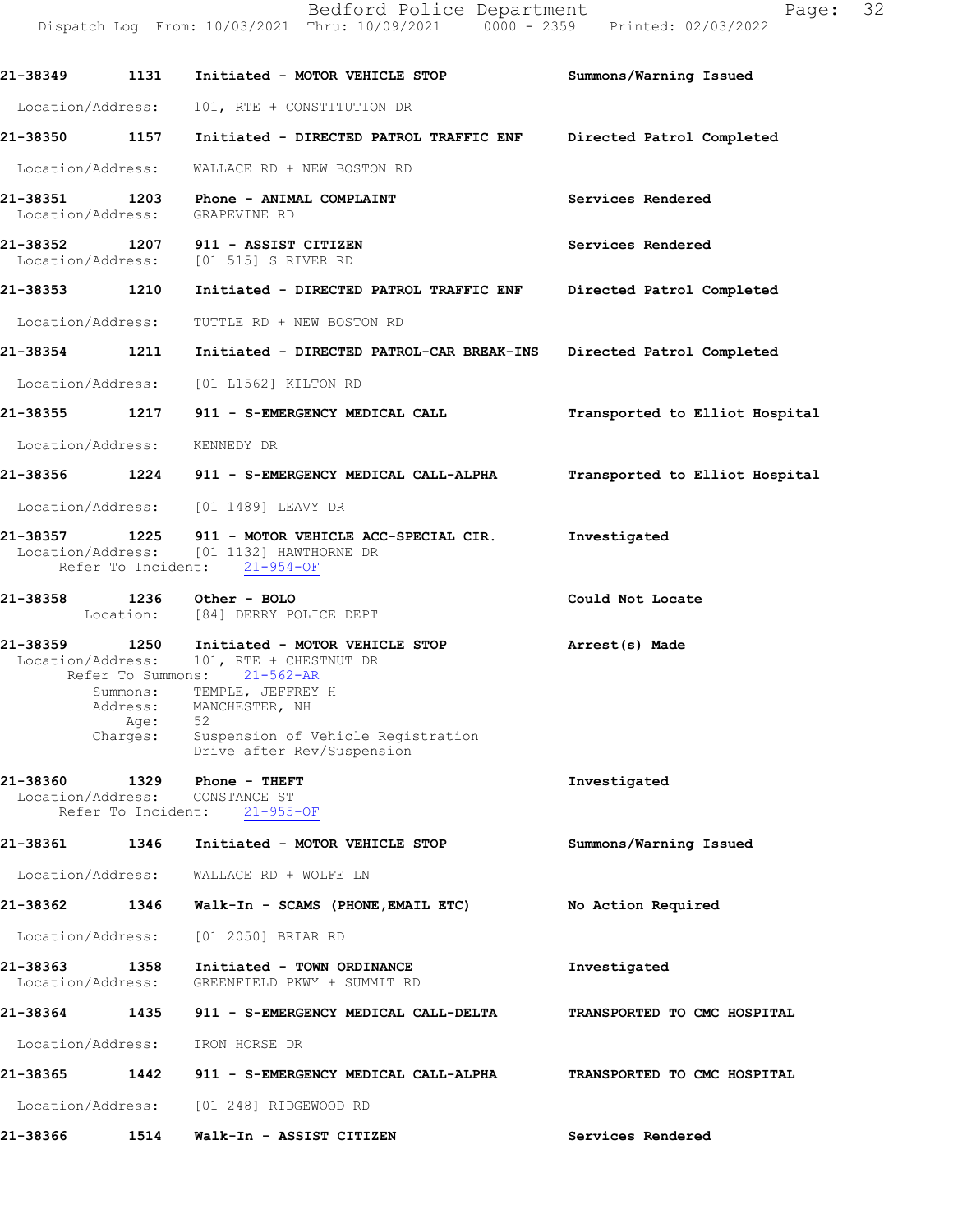|                                    |                            | Dispatch Log From: 10/03/2021 Thru: 10/09/2021 0000 - 2359 Printed: 02/03/2022                                          |                                |
|------------------------------------|----------------------------|-------------------------------------------------------------------------------------------------------------------------|--------------------------------|
|                                    |                            |                                                                                                                         | Summons/Warning Issued         |
| Location/Address:                  |                            | 101, RTE + CONSTITUTION DR                                                                                              |                                |
|                                    |                            | 21-38350 1157 Initiated - DIRECTED PATROL TRAFFIC ENF Directed Patrol Completed                                         |                                |
|                                    |                            | Location/Address: WALLACE RD + NEW BOSTON RD                                                                            |                                |
| 21-38351 1203<br>Location/Address: |                            | <b>Phone - ANIMAL COMPLAINT</b><br>GRAPEVINE RD                                                                         | Services Rendered              |
|                                    |                            | 21-38352 1207 911 - ASSIST CITIZEN<br>Location/Address: [01 515] S RIVER RD                                             | Services Rendered              |
| 21-38353 1210                      |                            | Initiated - DIRECTED PATROL TRAFFIC ENF Directed Patrol Completed                                                       |                                |
|                                    |                            | Location/Address: TUTTLE RD + NEW BOSTON RD                                                                             |                                |
|                                    |                            | 21-38354 1211 Initiated - DIRECTED PATROL-CAR BREAK-INS Directed Patrol Completed                                       |                                |
|                                    |                            | Location/Address: [01 L1562] KILTON RD                                                                                  |                                |
|                                    |                            | 21-38355 1217 911 - S-EMERGENCY MEDICAL CALL                                                                            | Transported to Elliot Hospital |
|                                    |                            | Location/Address: KENNEDY DR                                                                                            |                                |
|                                    |                            | 21-38356          1224      911 - S-EMERGENCY MEDICAL CALL-ALPHA                                                        | Transported to Elliot Hospital |
|                                    |                            | Location/Address: [01 1489] LEAVY DR                                                                                    |                                |
| 21-38357 1225                      |                            | 911 - MOTOR VEHICLE ACC-SPECIAL CIR.<br>Location/Address: [01 1132] HAWTHORNE DR<br>Refer To Incident: 21-954-OF        | Investigated                   |
|                                    |                            | 21-38358 1236 Other - BOLO<br>Location: [84] DERRY POLICE DEPT                                                          | Could Not Locate               |
|                                    |                            | 21-38359 1250 Initiated - MOTOR VEHICLE STOP<br>Location/Address: 101, RTE + CHESTNUT DR<br>Refer To Summons: 21-562-AR | Arrest(s) Made                 |
|                                    | Age:                       | Summons: TEMPLE, JEFFREY H<br>Address: MANCHESTER, NH<br>52                                                             |                                |
|                                    | Charges:                   | Suspension of Vehicle Registration<br>Drive after Rev/Suspension                                                        |                                |
| 21-38360<br>Location/Address:      | 1329<br>Refer To Incident: | Phone - THEFT<br>CONSTANCE ST<br>$21 - 955 - OF$                                                                        | Investigated                   |
| 21-38361                           | 1346                       | Initiated - MOTOR VEHICLE STOP                                                                                          | Summons/Warning Issued         |
| Location/Address:                  |                            | WALLACE RD + WOLFE LN                                                                                                   |                                |
| 21-38362                           | 1346                       | Walk-In - SCAMS (PHONE, EMAIL ETC)                                                                                      | No Action Required             |
| Location/Address:                  |                            | [01 2050] BRIAR RD                                                                                                      |                                |
| 21-38363<br>Location/Address:      | 1358                       | Initiated - TOWN ORDINANCE<br>GREENFIELD PKWY + SUMMIT RD                                                               | Investigated                   |
| 21-38364                           | 1435                       | 911 - S-EMERGENCY MEDICAL CALL-DELTA                                                                                    | TRANSPORTED TO CMC HOSPITAL    |
| Location/Address:                  |                            | IRON HORSE DR                                                                                                           |                                |
| 21-38365                           | 1442                       | 911 - S-EMERGENCY MEDICAL CALL-ALPHA                                                                                    | TRANSPORTED TO CMC HOSPITAL    |
| Location/Address:                  |                            | [01 248] RIDGEWOOD RD                                                                                                   |                                |
| 21-38366                           | 1514                       | Walk-In - ASSIST CITIZEN                                                                                                | Services Rendered              |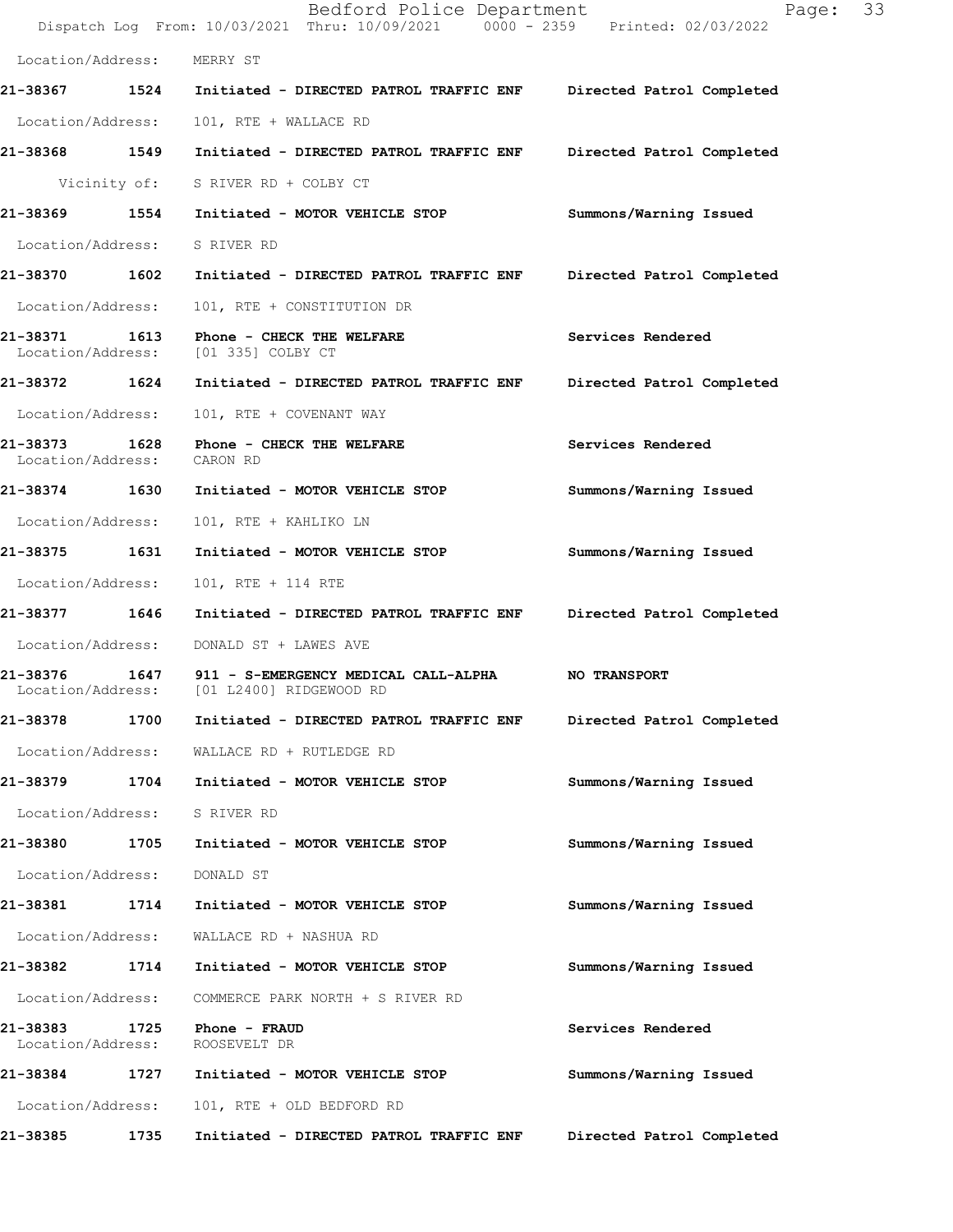|                               |      | Bedford Police Department<br>Dispatch Log From: 10/03/2021 Thru: 10/09/2021 0000 - 2359 Printed: 02/03/2022 | 33<br>Page:               |
|-------------------------------|------|-------------------------------------------------------------------------------------------------------------|---------------------------|
| Location/Address:             |      | MERRY ST                                                                                                    |                           |
|                               |      | 21-38367 1524 Initiated - DIRECTED PATROL TRAFFIC ENF Directed Patrol Completed                             |                           |
| Location/Address:             |      | 101, RTE + WALLACE RD                                                                                       |                           |
| 21-38368 1549                 |      | Initiated - DIRECTED PATROL TRAFFIC ENF Directed Patrol Completed                                           |                           |
|                               |      | Vicinity of: S RIVER RD + COLBY CT                                                                          |                           |
|                               |      | 21-38369 1554 Initiated - MOTOR VEHICLE STOP                                                                | Summons/Warning Issued    |
| Location/Address:             |      | S RIVER RD                                                                                                  |                           |
| 21-38370 1602                 |      | Initiated - DIRECTED PATROL TRAFFIC ENF                                                                     | Directed Patrol Completed |
| Location/Address:             |      | 101, RTE + CONSTITUTION DR                                                                                  |                           |
| 21-38371<br>Location/Address: |      | 1613 Phone - CHECK THE WELFARE<br>[01 335] COLBY CT                                                         | Services Rendered         |
| 21-38372 1624                 |      | Initiated - DIRECTED PATROL TRAFFIC ENF                                                                     | Directed Patrol Completed |
| Location/Address:             |      | 101, RTE + COVENANT WAY                                                                                     |                           |
| 21-38373<br>Location/Address: | 1628 | Phone - CHECK THE WELFARE<br>CARON RD                                                                       | Services Rendered         |
| 21-38374 1630                 |      | Initiated - MOTOR VEHICLE STOP                                                                              | Summons/Warning Issued    |
| Location/Address:             |      | 101, RTE + KAHLIKO LN                                                                                       |                           |
| 21-38375 1631                 |      | Initiated - MOTOR VEHICLE STOP                                                                              | Summons/Warning Issued    |
| Location/Address:             |      | 101, RTE + 114 RTE                                                                                          |                           |
| 21-38377 1646                 |      | Initiated - DIRECTED PATROL TRAFFIC ENF                                                                     | Directed Patrol Completed |
| Location/Address:             |      | DONALD ST + LAWES AVE                                                                                       |                           |
|                               |      | 21-38376 1647 911 - S-EMERGENCY MEDICAL CALL-ALPHA<br>Location/Address: [01 L2400] RIDGEWOOD RD             | <b>NO TRANSPORT</b>       |
| 21-38378                      | 1700 | Initiated - DIRECTED PATROL TRAFFIC ENF                                                                     | Directed Patrol Completed |
| Location/Address:             |      | WALLACE RD + RUTLEDGE RD                                                                                    |                           |
| 21-38379                      | 1704 | Initiated - MOTOR VEHICLE STOP                                                                              | Summons/Warning Issued    |
| Location/Address:             |      | S RIVER RD                                                                                                  |                           |
| 21-38380                      | 1705 | Initiated - MOTOR VEHICLE STOP                                                                              | Summons/Warning Issued    |
| Location/Address:             |      | DONALD ST                                                                                                   |                           |
| 21-38381                      | 1714 | Initiated - MOTOR VEHICLE STOP                                                                              | Summons/Warning Issued    |
| Location/Address:             |      | WALLACE RD + NASHUA RD                                                                                      |                           |
| 21-38382                      | 1714 | Initiated - MOTOR VEHICLE STOP                                                                              | Summons/Warning Issued    |
| Location/Address:             |      | COMMERCE PARK NORTH + S RIVER RD                                                                            |                           |
| 21-38383<br>Location/Address: | 1725 | Phone - FRAUD<br>ROOSEVELT DR                                                                               | Services Rendered         |
| 21-38384                      | 1727 | Initiated - MOTOR VEHICLE STOP                                                                              | Summons/Warning Issued    |
| Location/Address:             |      | 101, RTE + OLD BEDFORD RD                                                                                   |                           |
| 21-38385                      | 1735 | Initiated - DIRECTED PATROL TRAFFIC ENF                                                                     | Directed Patrol Completed |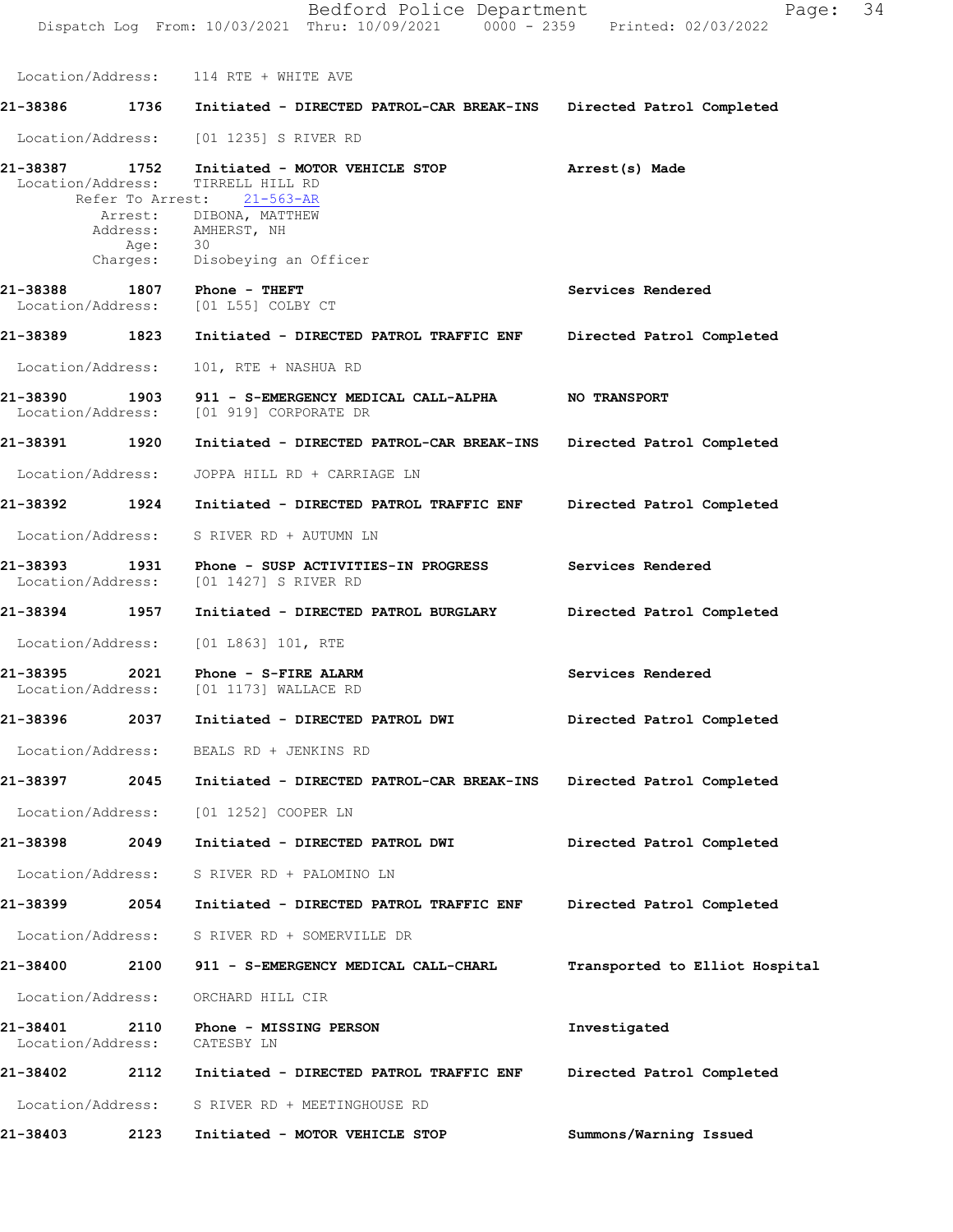Dispatch Log From: 10/03/2021 Thru: 10/09/2021 0000 - 2359 Printed: 02/03/2022 Location/Address: 114 RTE + WHITE AVE **21-38386 1736 Initiated - DIRECTED PATROL-CAR BREAK-INS Directed Patrol Completed** Location/Address: [01 1235] S RIVER RD **21-38387 1752 Arrest(s) Made Initiated - MOTOR VEHICLE STOP** Location/Address: TIRRELL HILL RD<br>Refer To Arrest: 21-563-AR Refer To Arrest: **Services Rendered Directed Patrol Completed 21-38389 1823 Initiated - DIRECTED PATROL TRAFFIC ENF NO TRANSPORT Directed Patrol Completed Directed Patrol Completed Services Rendered Directed Patrol Completed Services Rendered Directed Patrol Completed Directed Patrol Completed 21-38397 2045 Initiated - DIRECTED PATROL-CAR BREAK-INS Directed Patrol Completed Directed Patrol Completed Transported to Elliot Hospital Investigated**  Arrest: DIBONA, MATTHEW Address: AMHERST, NH Age: 30<br>Charges: Di Disobeying an Officer **21-38388 1807 Phone - THEFT** Location/Address: [01 L55] COLBY CT Location/Address: 101, RTE + NASHUA RD **21-38390 1903 911 - S-EMERGENCY MEDICAL CALL-ALPHA** Location/Address: [01 919] CORPORATE DR **21-38391 1920 Initiated - DIRECTED PATROL-CAR BREAK-INS** Location/Address: JOPPA HILL RD + CARRIAGE LN **21-38392 1924 Initiated - DIRECTED PATROL TRAFFIC ENF** Location/Address: S RIVER RD + AUTUMN LN **21-38393 1931 Phone - SUSP ACTIVITIES-IN PROGRESS** Location/Address: [01 1427] S RIVER RD **21-38394 1957 Initiated - DIRECTED PATROL BURGLARY** Location/Address: [01 L863] 101, RTE **21-38395 2021 Phone - S-FIRE ALARM** [01 1173] WALLACE RD **21-38396 2037 Initiated - DIRECTED PATROL DWI** Location/Address: BEALS RD + JENKINS RD Location/Address: [01 1252] COOPER LN **21-38398 2049 Initiated - DIRECTED PATROL DWI** Location/Address: S RIVER RD + PALOMINO LN **21-38399 2054 Initiated - DIRECTED PATROL TRAFFIC ENF** Location/Address: S RIVER RD + SOMERVILLE DR **21-38400 2100 911 - S-EMERGENCY MEDICAL CALL-CHARL** Location/Address: ORCHARD HILL CIR **21-38401 2110 Phone - MISSING PERSON** Location/Address: CATESBY LN

**Directed Patrol Completed 21-38402 2112 Initiated - DIRECTED PATROL TRAFFIC ENF** Location/Address: S RIVER RD + MEETINGHOUSE RD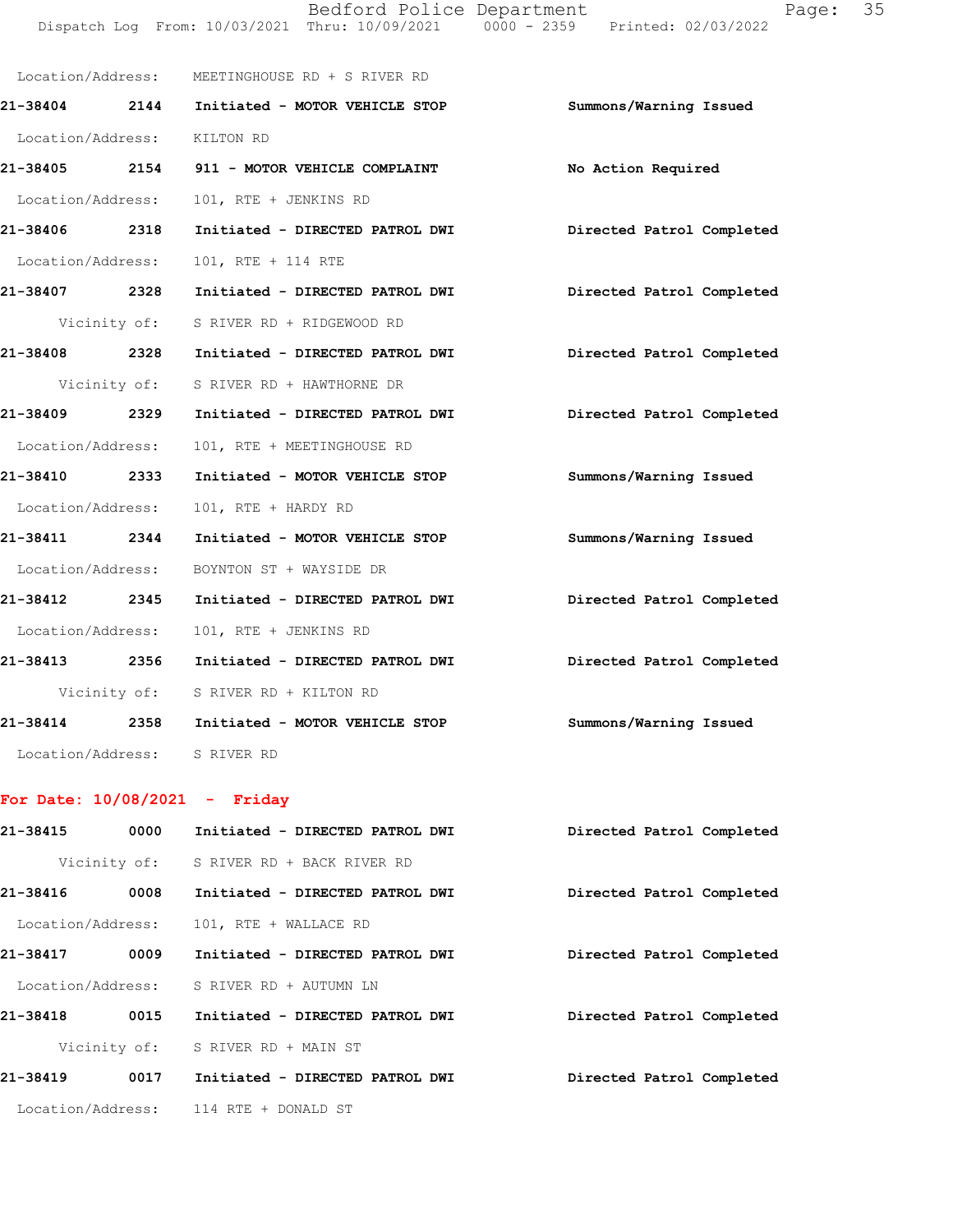|                              | Location/Address: MEETINGHOUSE RD + S RIVER RD                          |                           |
|------------------------------|-------------------------------------------------------------------------|---------------------------|
|                              | 21-38404 2144 Initiated - MOTOR VEHICLE STOP                            | Summons/Warning Issued    |
| Location/Address: KILTON RD  |                                                                         |                           |
|                              | 21-38405 2154 911 - MOTOR VEHICLE COMPLAINT                             | No Action Required        |
| Location/Address:            | 101, RTE + JENKINS RD                                                   |                           |
| 21-38406 2318                | Initiated - DIRECTED PATROL DWI Directed Patrol Completed               |                           |
| Location/Address:            | 101, RTE + 114 RTE                                                      |                           |
|                              | 21-38407 2328 Initiated - DIRECTED PATROL DWI                           | Directed Patrol Completed |
|                              | Vicinity of: S RIVER RD + RIDGEWOOD RD                                  |                           |
|                              | 21-38408 2328 Initiated - DIRECTED PATROL DWI Directed Patrol Completed |                           |
|                              | Vicinity of: S RIVER RD + HAWTHORNE DR                                  |                           |
|                              | 21-38409 2329 Initiated - DIRECTED PATROL DWI                           | Directed Patrol Completed |
| Location/Address:            | 101, RTE + MEETINGHOUSE RD                                              |                           |
| 21-38410 2333                | Initiated - MOTOR VEHICLE STOP                                          | Summons/Warning Issued    |
| Location/Address:            | 101, RTE + HARDY RD                                                     |                           |
|                              | 21-38411 2344 Initiated - MOTOR VEHICLE STOP                            | Summons/Warning Issued    |
|                              | Location/Address: BOYNTON ST + WAYSIDE DR                               |                           |
|                              | 21-38412 2345 Initiated - DIRECTED PATROL DWI                           | Directed Patrol Completed |
| Location/Address:            | 101, RTE + JENKINS RD                                                   |                           |
|                              | 21-38413 2356 Initiated - DIRECTED PATROL DWI                           | Directed Patrol Completed |
|                              | Vicinity of: S RIVER RD + KILTON RD                                     |                           |
|                              | 21-38414 2358 Initiated - MOTOR VEHICLE STOP                            | Summons/Warning Issued    |
| Location/Address: S RIVER RD |                                                                         |                           |

## **For Date: 10/08/2021 - Friday**

| 21-38415          | 0000         | Initiated - DIRECTED PATROL DWI          | Directed Patrol Completed |
|-------------------|--------------|------------------------------------------|---------------------------|
|                   | Vicinity of: | S RIVER RD + BACK RIVER RD               |                           |
| 21-38416          | 0008         | Initiated - DIRECTED PATROL DWI          | Directed Patrol Completed |
| Location/Address: |              | 101, RTE + WALLACE RD                    |                           |
| 21-38417          | 0009         | Initiated - DIRECTED PATROL DWI          | Directed Patrol Completed |
|                   |              | Location/Address: S RIVER RD + AUTUMN LN |                           |
| 21-38418          | 0015         | Initiated - DIRECTED PATROL DWI          | Directed Patrol Completed |
|                   | Vicinity of: | S RIVER RD + MAIN ST                     |                           |
| 21-38419          | 0017         | Initiated - DIRECTED PATROL DWI          | Directed Patrol Completed |
|                   |              | Location/Address: 114 RTE + DONALD ST    |                           |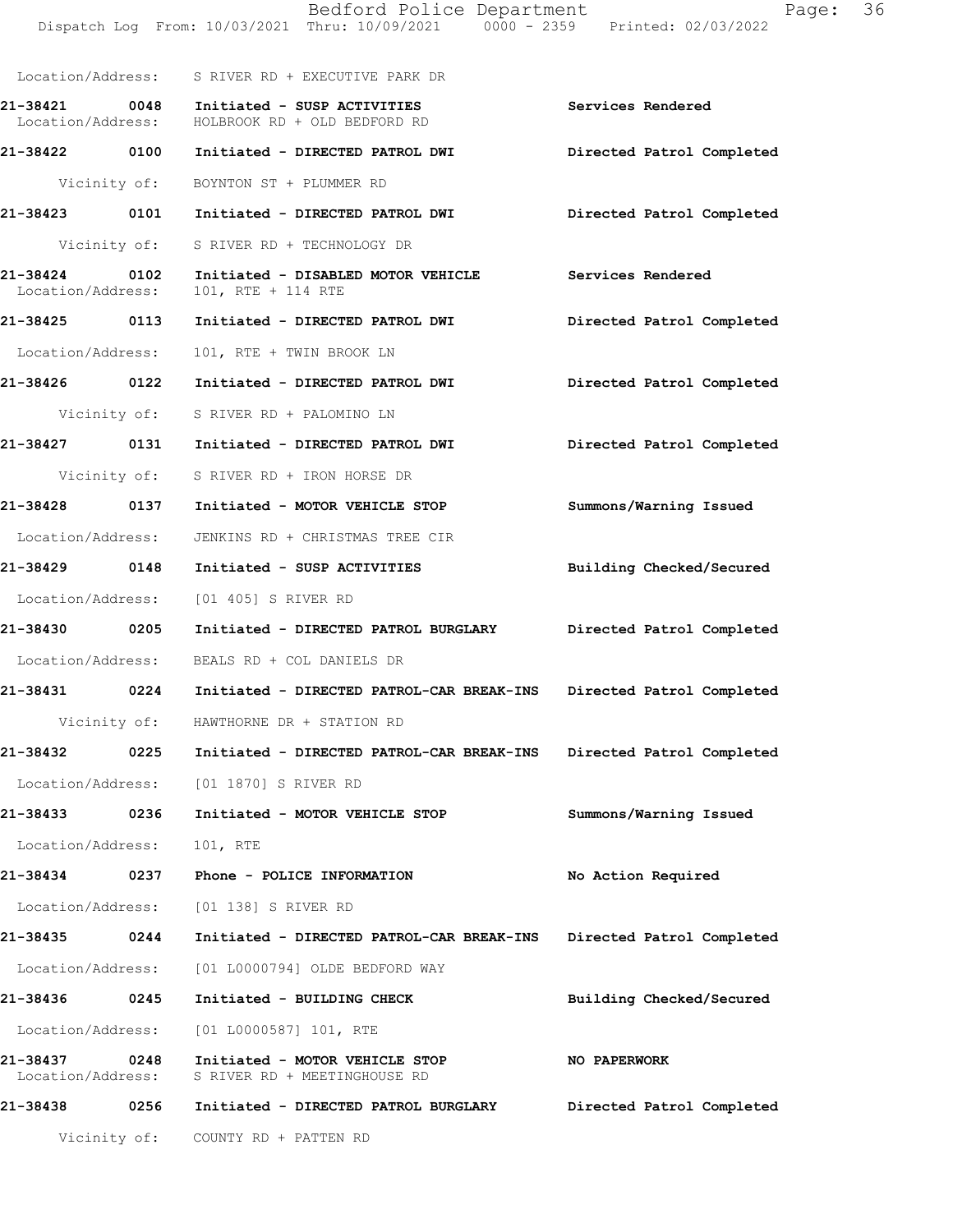|                                    |              | Bedford Police Department<br>Dispatch Log From: 10/03/2021 Thru: 10/09/2021 0000 - 2359 Printed: 02/03/2022 | Page:                     | 36 |
|------------------------------------|--------------|-------------------------------------------------------------------------------------------------------------|---------------------------|----|
|                                    |              | Location/Address: S RIVER RD + EXECUTIVE PARK DR                                                            |                           |    |
| Location/Address:                  |              | 21-38421 0048 Initiated - SUSP ACTIVITIES<br>HOLBROOK RD + OLD BEDFORD RD                                   | Services Rendered         |    |
|                                    |              | 21-38422 0100 Initiated - DIRECTED PATROL DWI                                                               | Directed Patrol Completed |    |
|                                    |              | Vicinity of: BOYNTON ST + PLUMMER RD                                                                        |                           |    |
|                                    |              | 21-38423     0101   Initiated - DIRECTED PATROL DWI        Directed Patrol Completed                        |                           |    |
|                                    |              | Vicinity of: S RIVER RD + TECHNOLOGY DR                                                                     |                           |    |
| 21-38424 0102<br>Location/Address: |              | Initiated - DISABLED MOTOR VEHICLE Services Rendered<br>101, RTE + 114 RTE                                  |                           |    |
|                                    |              |                                                                                                             | Directed Patrol Completed |    |
| Location/Address:                  |              | 101, RTE + TWIN BROOK LN                                                                                    |                           |    |
|                                    |              | 21-38426   0122   Initiated - DIRECTED PATROL DWI                                                           | Directed Patrol Completed |    |
|                                    |              | Vicinity of: S RIVER RD + PALOMINO LN                                                                       |                           |    |
|                                    |              |                                                                                                             | Directed Patrol Completed |    |
|                                    |              | Vicinity of: S RIVER RD + IRON HORSE DR                                                                     |                           |    |
| 21-38428 0137                      |              | Initiated - MOTOR VEHICLE STOP                                                                              | Summons/Warning Issued    |    |
| Location/Address:                  |              | JENKINS RD + CHRISTMAS TREE CIR                                                                             |                           |    |
|                                    |              | 21-38429 0148 Initiated - SUSP ACTIVITIES                                                                   | Building Checked/Secured  |    |
|                                    |              | Location/Address: [01 405] S RIVER RD                                                                       |                           |    |
| 21-38430 0205                      |              | Initiated - DIRECTED PATROL BURGLARY Directed Patrol Completed                                              |                           |    |
|                                    |              | Location/Address: BEALS RD + COL DANIELS DR                                                                 |                           |    |
| 21-38431                           | 0224         | Initiated - DIRECTED PATROL-CAR BREAK-INS                                                                   | Directed Patrol Completed |    |
|                                    |              | Vicinity of: HAWTHORNE DR + STATION RD                                                                      |                           |    |
| 21-38432                           | 0225         | Initiated - DIRECTED PATROL-CAR BREAK-INS                                                                   | Directed Patrol Completed |    |
| Location/Address:                  |              | [01 1870] S RIVER RD                                                                                        |                           |    |
| 21-38433                           | 0236         | Initiated - MOTOR VEHICLE STOP                                                                              | Summons/Warning Issued    |    |
| Location/Address:                  |              | 101, RTE                                                                                                    |                           |    |
| 21-38434                           | 0237         | Phone - POLICE INFORMATION                                                                                  | No Action Required        |    |
| Location/Address:                  |              | [01 138] S RIVER RD                                                                                         |                           |    |
| 21-38435 0244                      |              | Initiated - DIRECTED PATROL-CAR BREAK-INS                                                                   | Directed Patrol Completed |    |
| Location/Address:                  |              | [01 L0000794] OLDE BEDFORD WAY                                                                              |                           |    |
| 21-38436                           | 0245         | Initiated - BUILDING CHECK                                                                                  | Building Checked/Secured  |    |
| Location/Address:                  |              | $[01 L0000587] 101$ , RTE                                                                                   |                           |    |
| 21-38437<br>Location/Address:      | 0248         | Initiated - MOTOR VEHICLE STOP<br>S RIVER RD + MEETINGHOUSE RD                                              | NO PAPERWORK              |    |
| 21-38438                           | 0256         | Initiated - DIRECTED PATROL BURGLARY                                                                        | Directed Patrol Completed |    |
|                                    | Vicinity of: | COUNTY RD + PATTEN RD                                                                                       |                           |    |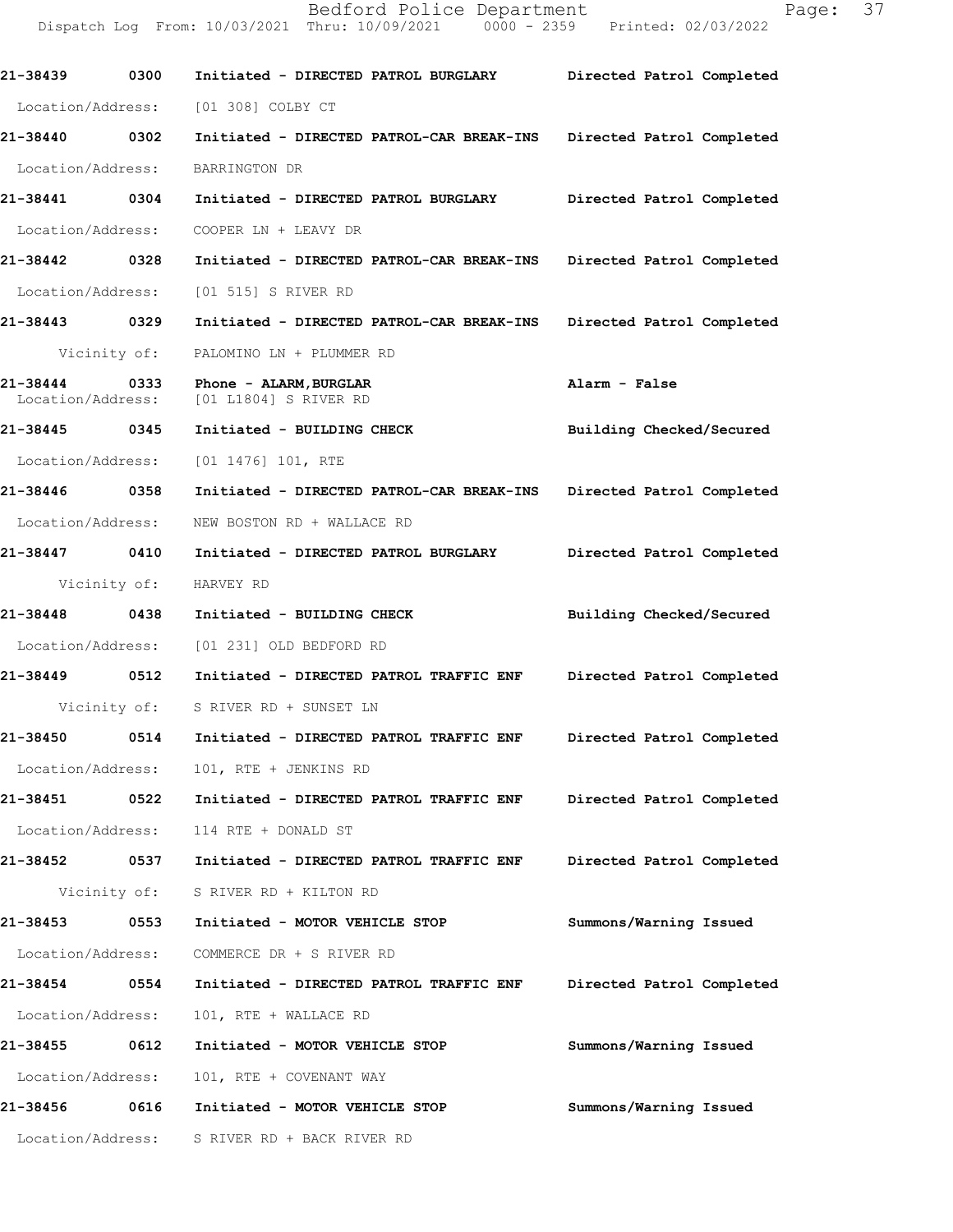**21-38439 0300 Initiated - DIRECTED PATROL BURGLARY Directed Patrol Completed**  Location/Address: [01 308] COLBY CT **21-38440 0302 Initiated - DIRECTED PATROL-CAR BREAK-INS Directed Patrol Completed**  Location/Address: BARRINGTON DR **21-38441 0304 Initiated - DIRECTED PATROL BURGLARY Directed Patrol Completed**  Location/Address: COOPER LN + LEAVY DR **21-38442 0328 Initiated - DIRECTED PATROL-CAR BREAK-INS Directed Patrol Completed**  Location/Address: [01 515] S RIVER RD **21-38443 0329 Initiated - DIRECTED PATROL-CAR BREAK-INS Directed Patrol Completed**  Vicinity of: PALOMINO LN + PLUMMER RD **21-38444 0333 Phone - ALARM,BURGLAR Alarm - False**  Location/Address: [01 L1804] S RIVER RD **21-38445 0345 Initiated - BUILDING CHECK Building Checked/Secured**  Location/Address: [01 1476] 101, RTE **21-38446 0358 Initiated - DIRECTED PATROL-CAR BREAK-INS Directed Patrol Completed**  Location/Address: NEW BOSTON RD + WALLACE RD **21-38447 0410 Initiated - DIRECTED PATROL BURGLARY Directed Patrol Completed**  Vicinity of: HARVEY RD **21-38448 0438 Initiated - BUILDING CHECK Building Checked/Secured**  Location/Address: [01 231] OLD BEDFORD RD **21-38449 0512 Initiated - DIRECTED PATROL TRAFFIC ENF Directed Patrol Completed**  Vicinity of: S RIVER RD + SUNSET LN **21-38450 0514 Initiated - DIRECTED PATROL TRAFFIC ENF Directed Patrol Completed**  Location/Address: 101, RTE + JENKINS RD **21-38451 0522 Initiated - DIRECTED PATROL TRAFFIC ENF Directed Patrol Completed**  Location/Address: 114 RTE + DONALD ST **21-38452 0537 Initiated - DIRECTED PATROL TRAFFIC ENF Directed Patrol Completed**  Vicinity of: S RIVER RD + KILTON RD **21-38453 0553 Initiated - MOTOR VEHICLE STOP Summons/Warning Issued**  Location/Address: COMMERCE DR + S RIVER RD **21-38454 0554 Initiated - DIRECTED PATROL TRAFFIC ENF Directed Patrol Completed**  Location/Address: 101, RTE + WALLACE RD **21-38455 0612 Initiated - MOTOR VEHICLE STOP Summons/Warning Issued**  Location/Address: 101, RTE + COVENANT WAY **21-38456 0616 Initiated - MOTOR VEHICLE STOP Summons/Warning Issued** 

Dispatch Log From: 10/03/2021 Thru: 10/09/2021 0000 - 2359 Printed: 02/03/2022

Location/Address: S RIVER RD + BACK RIVER RD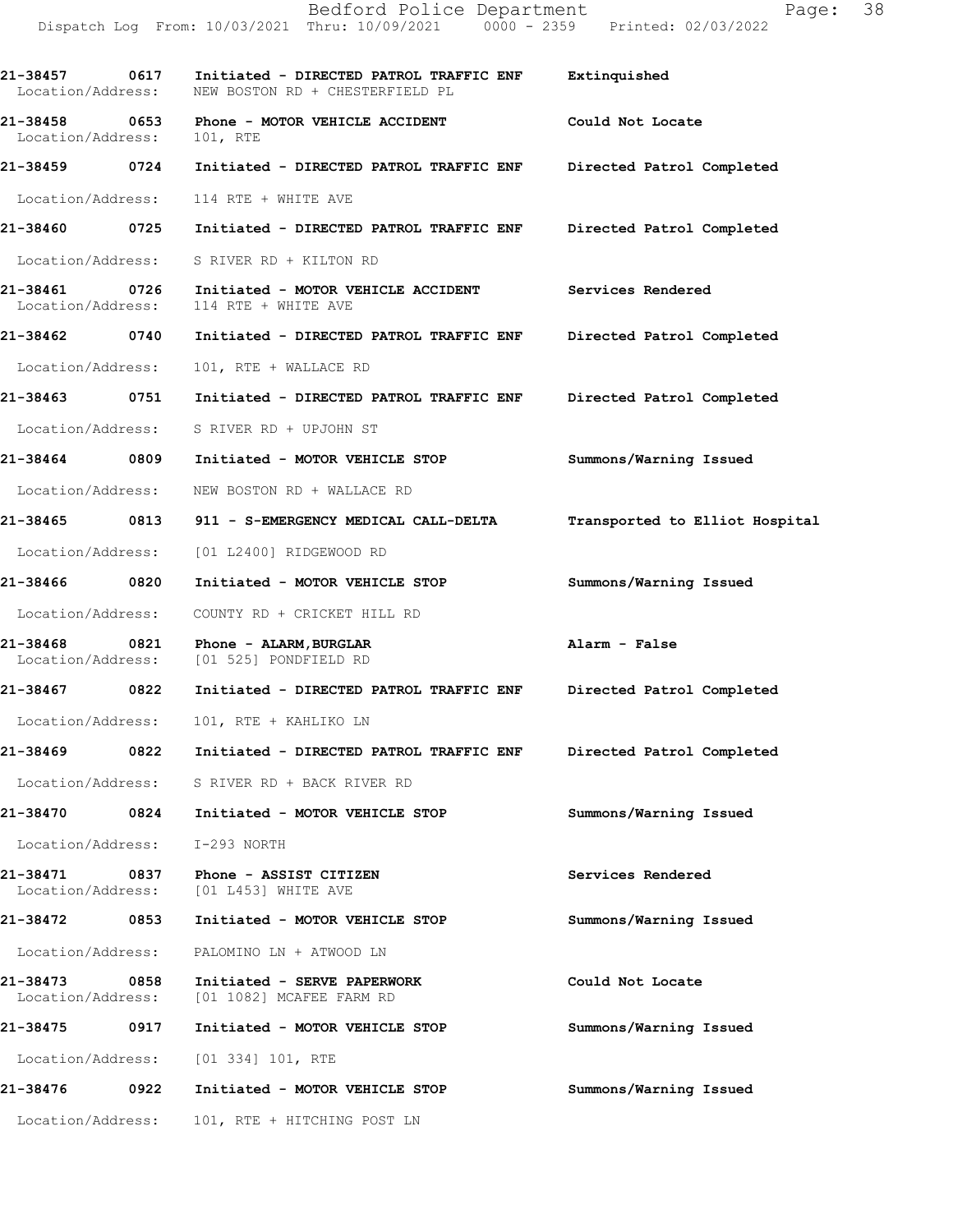**21-38457 0617 Initiated - DIRECTED PATROL TRAFFIC ENF Extinquished**  Location/Address: NEW BOSTON RD + CHESTERFIELD PL **21-38458 0653 Phone - MOTOR VEHICLE ACCIDENT Could Not Locate**  Location/Address: 101, RTE **21-38459 0724 Initiated - DIRECTED PATROL TRAFFIC ENF Directed Patrol Completed**  Location/Address: 114 RTE + WHITE AVE **21-38460 0725 Initiated - DIRECTED PATROL TRAFFIC ENF Directed Patrol Completed**  Location/Address: S RIVER RD + KILTON RD **21-38461 0726 Initiated - MOTOR VEHICLE ACCIDENT Services Rendered**  Location/Address: 114 RTE + WHITE AVE **21-38462 0740 Initiated - DIRECTED PATROL TRAFFIC ENF Directed Patrol Completed**  Location/Address: 101, RTE + WALLACE RD **21-38463 0751 Initiated - DIRECTED PATROL TRAFFIC ENF Directed Patrol Completed**  Location/Address: S RIVER RD + UPJOHN ST **21-38464 0809 Initiated - MOTOR VEHICLE STOP Summons/Warning Issued**  Location/Address: NEW BOSTON RD + WALLACE RD **21-38465 0813 911 - S-EMERGENCY MEDICAL CALL-DELTA Transported to Elliot Hospital** Location/Address: [01 L2400] RIDGEWOOD RD **21-38466 0820 Initiated - MOTOR VEHICLE STOP Summons/Warning Issued**  Location/Address: COUNTY RD + CRICKET HILL RD **21-38468 0821 Phone - ALARM,BURGLAR Alarm - False**  Location/Address: [01 525] PONDFIELD RD **21-38467 0822 Initiated - DIRECTED PATROL TRAFFIC ENF Directed Patrol Completed**  Location/Address: 101, RTE + KAHLIKO LN **21-38469 0822 Initiated - DIRECTED PATROL TRAFFIC ENF Directed Patrol Completed**  Location/Address: S RIVER RD + BACK RIVER RD **21-38470 0824 Initiated - MOTOR VEHICLE STOP Summons/Warning Issued**  Location/Address: I-293 NORTH **21-38471 0837 Phone - ASSIST CITIZEN Services Rendered**  Location/Address: [01 L453] WHITE AVE **21-38472 0853 Initiated - MOTOR VEHICLE STOP Summons/Warning Issued**  Location/Address: PALOMINO LN + ATWOOD LN **21-38473 0858 Initiated - SERVE PAPERWORK Could Not Locate**  Location/Address: [01 1082] MCAFEE FARM RD **21-38475 0917 Initiated - MOTOR VEHICLE STOP Summons/Warning Issued**  Location/Address: [01 334] 101, RTE **21-38476 0922 Initiated - MOTOR VEHICLE STOP Summons/Warning Issued**  Location/Address: 101, RTE + HITCHING POST LN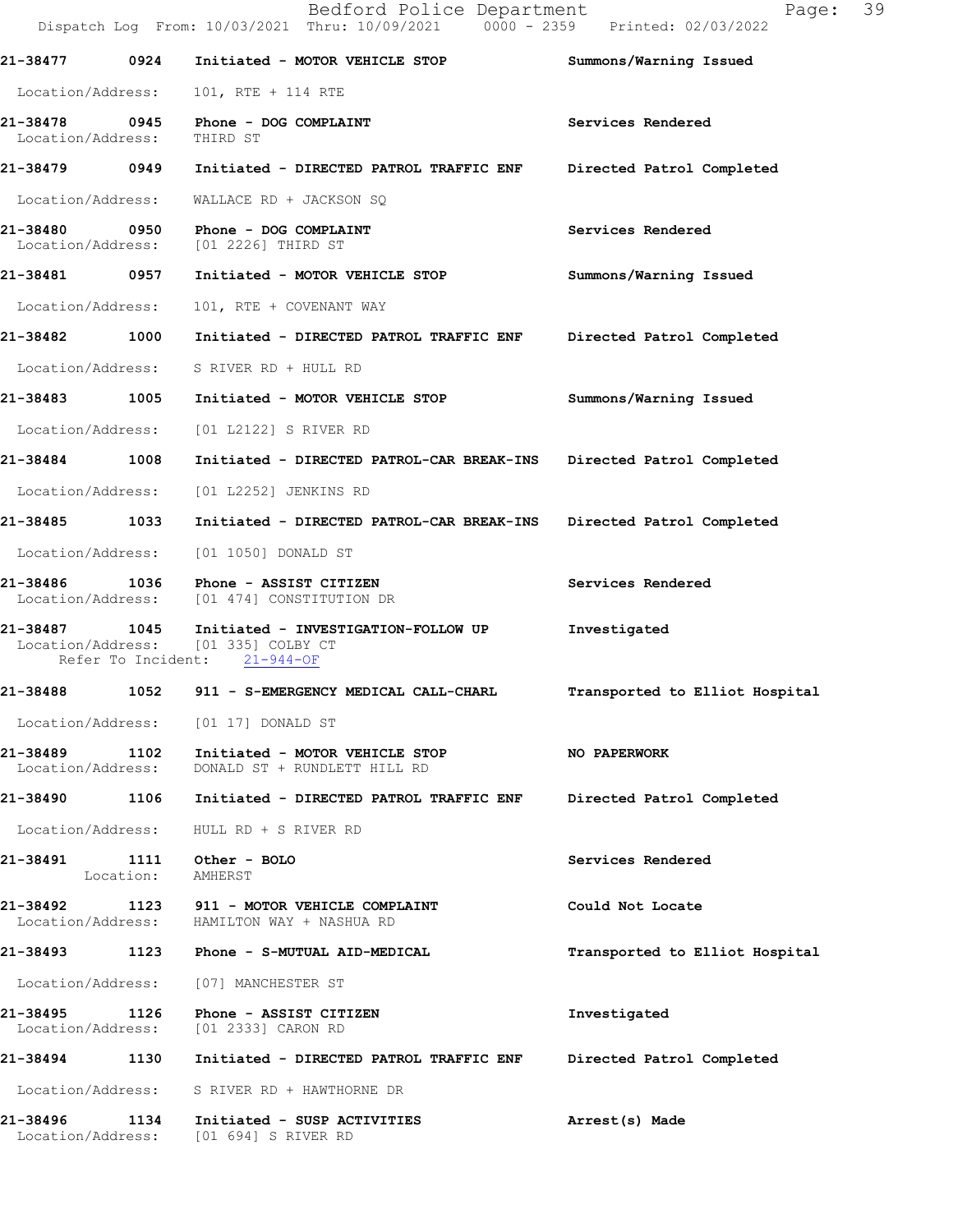|                                    |           | Bedford Police Department<br>Dispatch Log From: 10/03/2021 Thru: 10/09/2021 0000 - 2359 Printed: 02/03/2022 | 39<br>Page:                    |
|------------------------------------|-----------|-------------------------------------------------------------------------------------------------------------|--------------------------------|
| 21-38477                           | 0924      | Initiated - MOTOR VEHICLE STOP                                                                              | Summons/Warning Issued         |
| Location/Address:                  |           | 101, RTE + 114 RTE                                                                                          |                                |
| 21-38478 0945<br>Location/Address: |           | Phone - DOG COMPLAINT<br>THIRD ST                                                                           | Services Rendered              |
| 21-38479 0949                      |           | Initiated - DIRECTED PATROL TRAFFIC ENF                                                                     | Directed Patrol Completed      |
| Location/Address:                  |           | WALLACE RD + JACKSON SQ                                                                                     |                                |
| Location/Address:                  |           | 21-38480 0950 Phone - DOG COMPLAINT<br>[01 2226] THIRD ST                                                   | Services Rendered              |
| 21-38481 0957                      |           | Initiated - MOTOR VEHICLE STOP                                                                              | Summons/Warning Issued         |
| Location/Address:                  |           | 101, RTE + COVENANT WAY                                                                                     |                                |
| 21-38482                           | 1000      | Initiated - DIRECTED PATROL TRAFFIC ENF Directed Patrol Completed                                           |                                |
| Location/Address:                  |           | S RIVER RD + HULL RD                                                                                        |                                |
| 21-38483 1005                      |           | Initiated - MOTOR VEHICLE STOP                                                                              | Summons/Warning Issued         |
| Location/Address:                  |           | [01 L2122] S RIVER RD                                                                                       |                                |
| 21-38484 1008                      |           | Initiated - DIRECTED PATROL-CAR BREAK-INS Directed Patrol Completed                                         |                                |
| Location/Address:                  |           | [01 L2252] JENKINS RD                                                                                       |                                |
| 21-38485 1033                      |           | Initiated - DIRECTED PATROL-CAR BREAK-INS                                                                   | Directed Patrol Completed      |
| Location/Address:                  |           | [01 1050] DONALD ST                                                                                         |                                |
|                                    |           | 21-38486 1036 Phone - ASSIST CITIZEN<br>Location/Address: [01 474] CONSTITUTION DR                          | Services Rendered              |
| 21-38487 1045<br>Location/Address: |           | Initiated - INVESTIGATION-FOLLOW UP<br>[01 335] COLBY CT<br>Refer To Incident: 21-944-OF                    | Investigated                   |
| 21-38488                           | 1052      | 911 - S-EMERGENCY MEDICAL CALL-CHARL                                                                        | Transported to Elliot Hospital |
|                                    |           | Location/Address: [01 17] DONALD ST                                                                         |                                |
| 21-38489<br>Location/Address:      | 1102      | Initiated - MOTOR VEHICLE STOP<br>DONALD ST + RUNDLETT HILL RD                                              | NO PAPERWORK                   |
| 21-38490 1106                      |           | Initiated - DIRECTED PATROL TRAFFIC ENF                                                                     | Directed Patrol Completed      |
| Location/Address:                  |           | HULL RD + S RIVER RD                                                                                        |                                |
|                                    | Location: | AMHERST                                                                                                     | Services Rendered              |
| 21-38492                           |           | Location/Address: HAMILTON WAY + NASHUA RD                                                                  | Could Not Locate               |
|                                    |           |                                                                                                             | Transported to Elliot Hospital |
| Location/Address:                  |           | [07] MANCHESTER ST                                                                                          |                                |
| 21-38495                           | 1126      | Phone - ASSIST CITIZEN<br>Location/Address: [01 2333] CARON RD                                              | Investigated                   |
| 21-38494                           | 1130      | Initiated - DIRECTED PATROL TRAFFIC ENF                                                                     | Directed Patrol Completed      |
| Location/Address:                  |           | S RIVER RD + HAWTHORNE DR                                                                                   |                                |
| 21-38496                           | 1134      | Initiated - SUSP ACTIVITIES<br>Location/Address: [01 694] S RIVER RD                                        | Arrest(s) Made                 |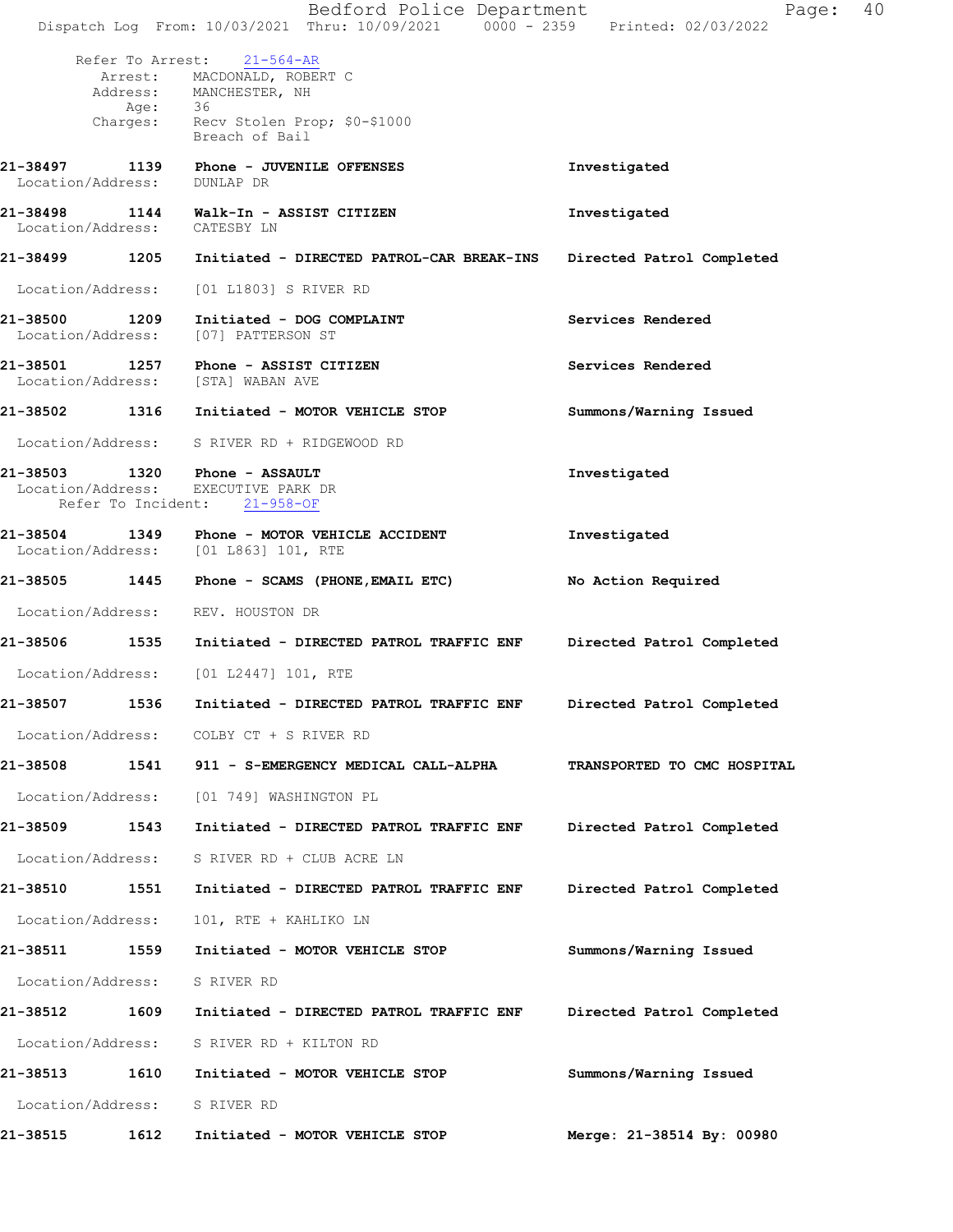|                              |         | Bedford Police Department<br>Dispatch Log From: 10/03/2021 Thru: 10/09/2021 0000 - 2359 Printed: 02/03/2022                   | Page: 40                    |  |
|------------------------------|---------|-------------------------------------------------------------------------------------------------------------------------------|-----------------------------|--|
|                              | Age: 36 | Refer To Arrest: 21-564-AR<br>Arrest: MACDONALD, ROBERT C<br>Address: MANCHESTER, NH<br>Charges: Recv Stolen Prop; \$0-\$1000 |                             |  |
|                              |         | Breach of Bail                                                                                                                |                             |  |
| Location/Address: DUNLAP DR  |         |                                                                                                                               | Investigated                |  |
| Location/Address: CATESBY LN |         | 21-38498 1144 Walk-In - ASSIST CITIZEN                                                                                        | Investigated                |  |
|                              |         | 21-38499 1205 Initiated - DIRECTED PATROL-CAR BREAK-INS                                                                       | Directed Patrol Completed   |  |
|                              |         | Location/Address: [01 L1803] S RIVER RD                                                                                       |                             |  |
|                              |         | 21-38500 1209 Initiated - DOG COMPLAINT<br>Location/Address: [07] PATTERSON ST                                                | Services Rendered           |  |
|                              |         | 21-38501 1257 Phone - ASSIST CITIZEN<br>Location/Address: [STA] WABAN AVE                                                     | Services Rendered           |  |
|                              |         |                                                                                                                               | Summons/Warning Issued      |  |
|                              |         | Location/Address: S RIVER RD + RIDGEWOOD RD                                                                                   |                             |  |
|                              |         | 21-38503 1320 Phone - ASSAULT<br>Location/Address: EXECUTIVE PARK DR<br>Refer To Incident: 21-958-OF                          | Investigated                |  |
| 21-38504                     |         | 1349 Phone - MOTOR VEHICLE ACCIDENT<br>Location/Address: [01 L863] 101, RTE                                                   | Investigated                |  |
|                              |         | 21-38505 1445 Phone - SCAMS (PHONE, EMAIL ETC)                                                                                | No Action Required          |  |
|                              |         | Location/Address: REV. HOUSTON DR                                                                                             |                             |  |
|                              |         | 21-38506 1535 Initiated - DIRECTED PATROL TRAFFIC ENF Directed Patrol Completed                                               |                             |  |
|                              |         | Location/Address: [01 L2447] 101, RTE                                                                                         |                             |  |
| 21-38507                     | 1536    | Initiated - DIRECTED PATROL TRAFFIC ENF                                                                                       | Directed Patrol Completed   |  |
|                              |         | Location/Address: COLBY CT + S RIVER RD                                                                                       |                             |  |
|                              |         | 21-38508   1541   911 - S-EMERGENCY MEDICAL CALL-ALPHA                                                                        | TRANSPORTED TO CMC HOSPITAL |  |
| Location/Address:            |         | [01 749] WASHINGTON PL                                                                                                        |                             |  |
| 21-38509                     | 1543    | Initiated - DIRECTED PATROL TRAFFIC ENF                                                                                       | Directed Patrol Completed   |  |
| Location/Address:            |         | S RIVER RD + CLUB ACRE LN                                                                                                     |                             |  |
| 21-38510                     | 1551    | Initiated - DIRECTED PATROL TRAFFIC ENF                                                                                       | Directed Patrol Completed   |  |
| Location/Address:            |         | 101, RTE + KAHLIKO LN                                                                                                         |                             |  |
| 21-38511 1559                |         | Initiated - MOTOR VEHICLE STOP                                                                                                | Summons/Warning Issued      |  |
| Location/Address:            |         | S RIVER RD                                                                                                                    |                             |  |
| 21-38512                     | 1609    | Initiated - DIRECTED PATROL TRAFFIC ENF                                                                                       | Directed Patrol Completed   |  |
| Location/Address:            |         | S RIVER RD + KILTON RD                                                                                                        |                             |  |
| 21-38513                     | 1610    | Initiated - MOTOR VEHICLE STOP                                                                                                | Summons/Warning Issued      |  |
| Location/Address:            |         | S RIVER RD                                                                                                                    |                             |  |
| 21-38515                     | 1612    | Initiated - MOTOR VEHICLE STOP                                                                                                | Merge: 21-38514 By: 00980   |  |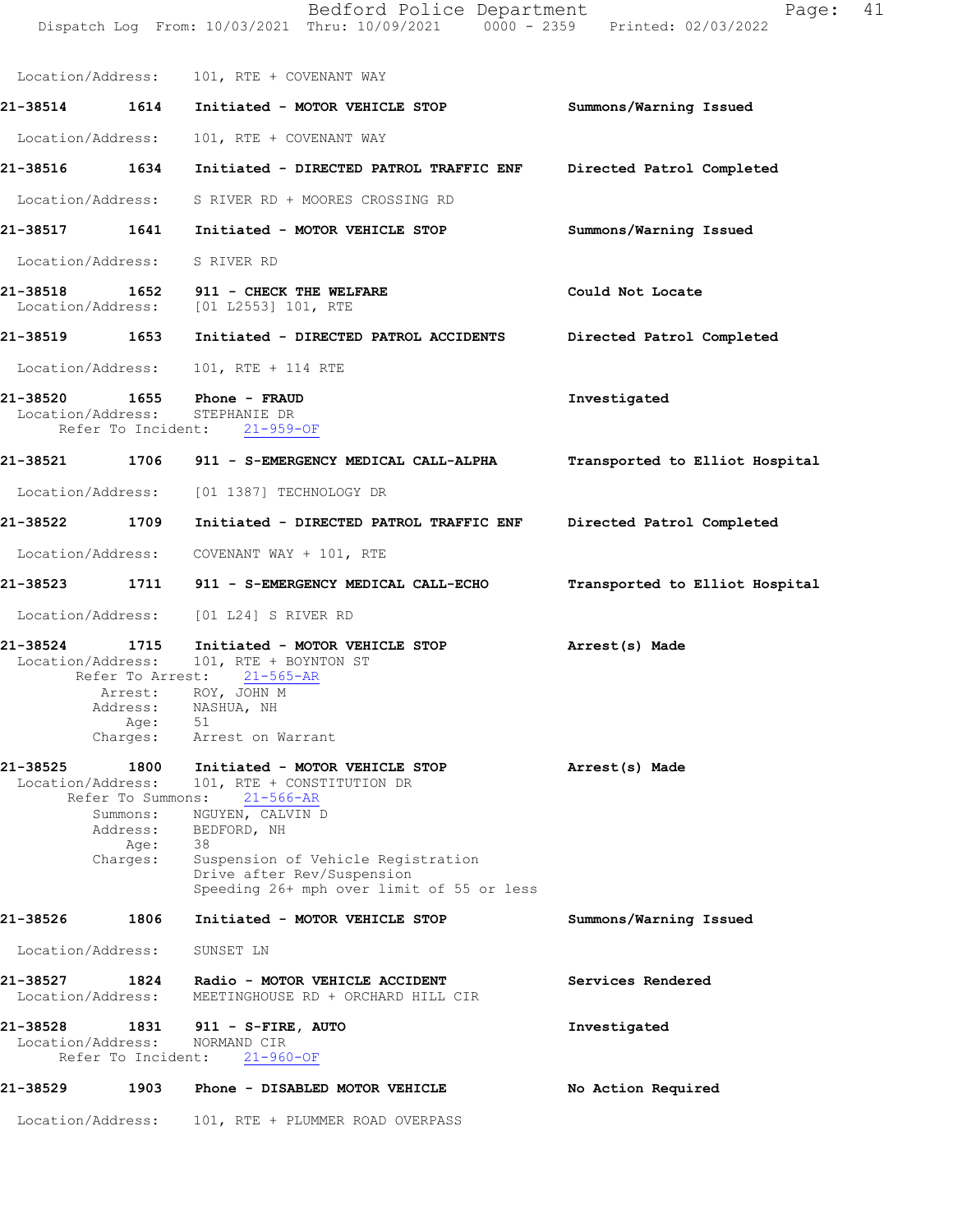|                               |                                                                       | Dispatch Log From: 10/03/2021 Thru: 10/09/2021 0000 - 2359 Printed: 02/03/2022                                                                                                                                                            |                                |
|-------------------------------|-----------------------------------------------------------------------|-------------------------------------------------------------------------------------------------------------------------------------------------------------------------------------------------------------------------------------------|--------------------------------|
|                               |                                                                       | Location/Address: 101, RTE + COVENANT WAY                                                                                                                                                                                                 |                                |
|                               |                                                                       | 21-38514 1614 Initiated - MOTOR VEHICLE STOP Summons/Warning Issued                                                                                                                                                                       |                                |
|                               |                                                                       | Location/Address: 101, RTE + COVENANT WAY                                                                                                                                                                                                 |                                |
|                               |                                                                       |                                                                                                                                                                                                                                           | Directed Patrol Completed      |
|                               |                                                                       | Location/Address: S RIVER RD + MOORES CROSSING RD                                                                                                                                                                                         |                                |
|                               |                                                                       | 21-38517 1641 Initiated - MOTOR VEHICLE STOP                                                                                                                                                                                              | Summons/Warning Issued         |
|                               |                                                                       | Location/Address: S RIVER RD                                                                                                                                                                                                              |                                |
|                               |                                                                       | Location/Address: [01 L2553] 101, RTE                                                                                                                                                                                                     | Could Not Locate               |
|                               |                                                                       |                                                                                                                                                                                                                                           | Directed Patrol Completed      |
|                               |                                                                       | Location/Address: 101, RTE + 114 RTE                                                                                                                                                                                                      |                                |
|                               |                                                                       | 21-38520 1655 Phone - FRAUD<br>Location/Address: STEPHANIE DR<br>Refer To Incident: 21-959-OF                                                                                                                                             | Investigated                   |
|                               |                                                                       | 21-38521 1706 911 - S-EMERGENCY MEDICAL CALL-ALPHA                                                                                                                                                                                        | Transported to Elliot Hospital |
|                               |                                                                       | Location/Address: [01 1387] TECHNOLOGY DR                                                                                                                                                                                                 |                                |
| 21-38522 1709                 |                                                                       | Initiated - DIRECTED PATROL TRAFFIC ENF                                                                                                                                                                                                   | Directed Patrol Completed      |
| Location/Address:             |                                                                       | COVENANT WAY + 101, RTE                                                                                                                                                                                                                   |                                |
| 21-38523                      |                                                                       | 1711 911 - S-EMERGENCY MEDICAL CALL-ECHO                                                                                                                                                                                                  | Transported to Elliot Hospital |
|                               |                                                                       | Location/Address: [01 L24] S RIVER RD                                                                                                                                                                                                     |                                |
| 21-38524 1715                 | Age:<br>Charges:                                                      | Initiated - MOTOR VEHICLE STOP Arrest(s) Made<br>Location/Address: 101, RTE + BOYNTON ST<br>Refer To Arrest: 21-565-AR<br>Arrest: ROY, JOHN M<br>Address: NASHUA, NH<br>51<br>Arrest on Warrant                                           |                                |
| 21-38525<br>Location/Address: | 1800<br>Refer To Summons:<br>Summons:<br>Address:<br>Age:<br>Charges: | Initiated - MOTOR VEHICLE STOP<br>101, RTE + CONSTITUTION DR<br>$21 - 566 - AR$<br>NGUYEN, CALVIN D<br>BEDFORD, NH<br>38<br>Suspension of Vehicle Registration<br>Drive after Rev/Suspension<br>Speeding 26+ mph over limit of 55 or less | Arrest(s) Made                 |
| 21-38526                      | 1806                                                                  | Initiated - MOTOR VEHICLE STOP                                                                                                                                                                                                            | Summons/Warning Issued         |
| Location/Address:             |                                                                       | SUNSET LN                                                                                                                                                                                                                                 |                                |
| 21-38527<br>Location/Address: | 1824                                                                  | Radio - MOTOR VEHICLE ACCIDENT<br>MEETINGHOUSE RD + ORCHARD HILL CIR                                                                                                                                                                      | Services Rendered              |
| 21-38528<br>Location/Address: | 1831<br>Refer To Incident:                                            | 911 - S-FIRE, AUTO<br>NORMAND CIR<br>$21 - 960 - OF$                                                                                                                                                                                      | Investigated                   |
| 21-38529                      | 1903                                                                  | Phone - DISABLED MOTOR VEHICLE                                                                                                                                                                                                            | No Action Required             |
| Location/Address:             |                                                                       | 101, RTE + PLUMMER ROAD OVERPASS                                                                                                                                                                                                          |                                |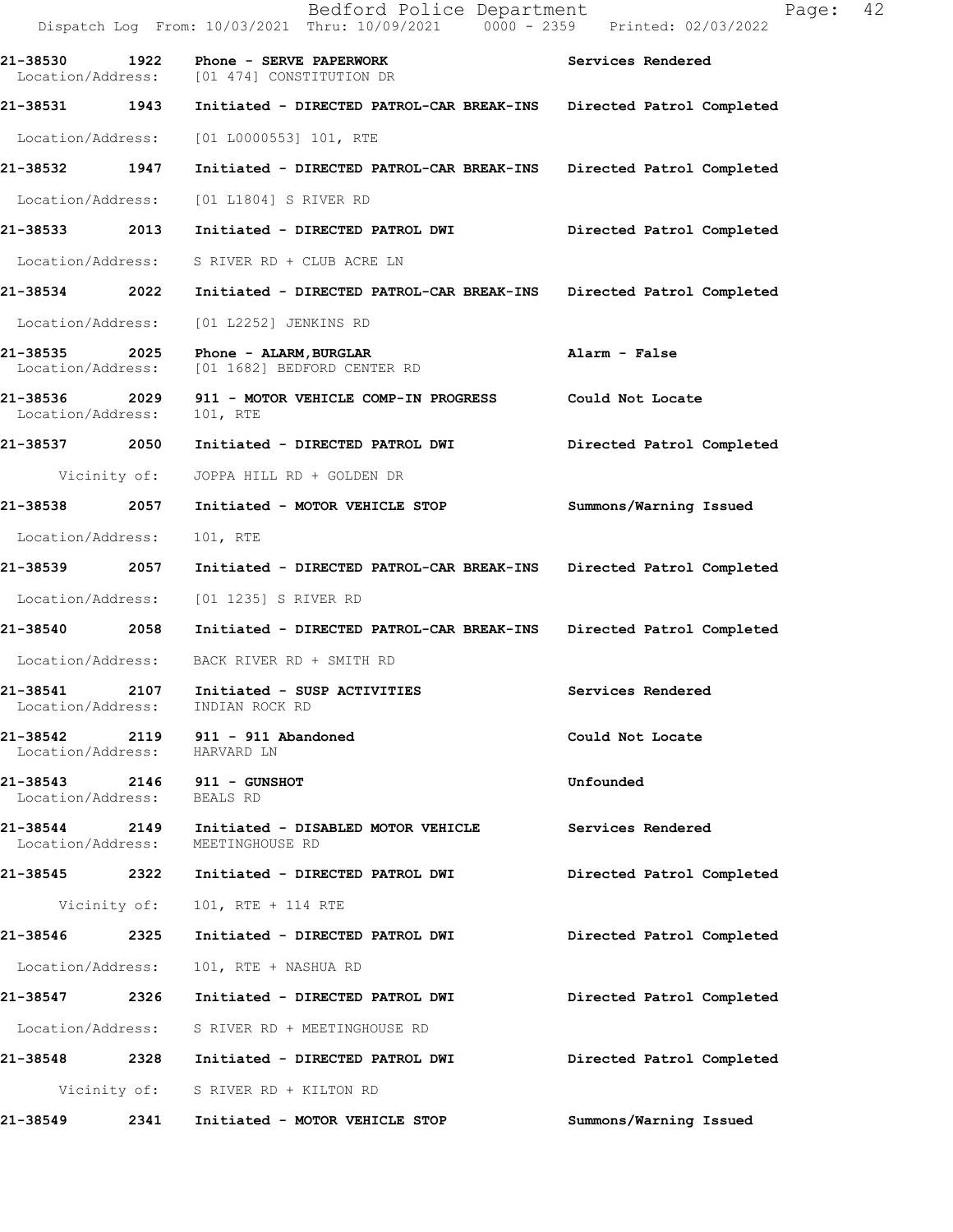|                                    |              | Bedford Police Department<br>Dispatch Log From: 10/03/2021 Thru: 10/09/2021 0000 - 2359 Printed: 02/03/2022 | 42<br>Page:               |
|------------------------------------|--------------|-------------------------------------------------------------------------------------------------------------|---------------------------|
| 21-38530 1922                      |              | Phone - SERVE PAPERWORK<br>Location/Address: [01 474] CONSTITUTION DR                                       | Services Rendered         |
| 21-38531 1943                      |              | Initiated - DIRECTED PATROL-CAR BREAK-INS                                                                   | Directed Patrol Completed |
| Location/Address:                  |              | $[01 L0000553] 101$ , RTE                                                                                   |                           |
| 21-38532                           | 1947         | Initiated - DIRECTED PATROL-CAR BREAK-INS                                                                   | Directed Patrol Completed |
| Location/Address:                  |              | [01 L1804] S RIVER RD                                                                                       |                           |
| 21-38533                           | 2013         | Initiated - DIRECTED PATROL DWI                                                                             | Directed Patrol Completed |
| Location/Address:                  |              | S RIVER RD + CLUB ACRE LN                                                                                   |                           |
| 21-38534 2022                      |              | Initiated - DIRECTED PATROL-CAR BREAK-INS                                                                   | Directed Patrol Completed |
| Location/Address:                  |              | [01 L2252] JENKINS RD                                                                                       |                           |
| 21-38535<br>Location/Address:      | 2025         | Phone - ALARM, BURGLAR<br>[01 1682] BEDFORD CENTER RD                                                       | Alarm - False             |
| 21-38536 2029<br>Location/Address: |              | 911 - MOTOR VEHICLE COMP-IN PROGRESS<br>101, RTE                                                            | Could Not Locate          |
| 21-38537 2050                      |              | Initiated - DIRECTED PATROL DWI                                                                             | Directed Patrol Completed |
|                                    | Vicinity of: | JOPPA HILL RD + GOLDEN DR                                                                                   |                           |
| 21-38538                           | 2057         | Initiated - MOTOR VEHICLE STOP                                                                              | Summons/Warning Issued    |
| Location/Address:                  |              | 101, RTE                                                                                                    |                           |
| 21-38539 2014                      | 2057         | Initiated - DIRECTED PATROL-CAR BREAK-INS                                                                   | Directed Patrol Completed |
| Location/Address:                  |              | [01 1235] S RIVER RD                                                                                        |                           |
| 21-38540 2058                      |              | Initiated - DIRECTED PATROL-CAR BREAK-INS                                                                   | Directed Patrol Completed |
| Location/Address:                  |              | BACK RIVER RD + SMITH RD                                                                                    |                           |
| 21-38541<br>Location/Address:      | 2107         | Initiated - SUSP ACTIVITIES<br>INDIAN ROCK RD                                                               | Services Rendered         |
| 21-38542<br>Location/Address:      |              | 2119 911 - 911 Abandoned<br>HARVARD LN                                                                      | Could Not Locate          |
| Location/Address:                  |              | 21-38543 2146 911 - GUNSHOT<br>BEALS RD                                                                     | Unfounded                 |
| 21-38544 2149<br>Location/Address: |              | Initiated - DISABLED MOTOR VEHICLE<br>MEETINGHOUSE RD                                                       | Services Rendered         |
| 21-38545 2322                      |              | Initiated - DIRECTED PATROL DWI                                                                             | Directed Patrol Completed |
|                                    | Vicinity of: | 101, RTE + 114 RTE                                                                                          |                           |
| 21-38546 2325                      |              | Initiated - DIRECTED PATROL DWI                                                                             | Directed Patrol Completed |
| Location/Address:                  |              | 101, RTE + NASHUA RD                                                                                        |                           |
| 21-38547                           | 2326         | Initiated - DIRECTED PATROL DWI                                                                             | Directed Patrol Completed |
| Location/Address:                  |              | S RIVER RD + MEETINGHOUSE RD                                                                                |                           |
| 21-38548                           |              | 2328 Initiated - DIRECTED PATROL DWI                                                                        | Directed Patrol Completed |
|                                    |              | Vicinity of: S RIVER RD + KILTON RD                                                                         |                           |
| 21-38549                           | 2341         | Initiated - MOTOR VEHICLE STOP                                                                              | Summons/Warning Issued    |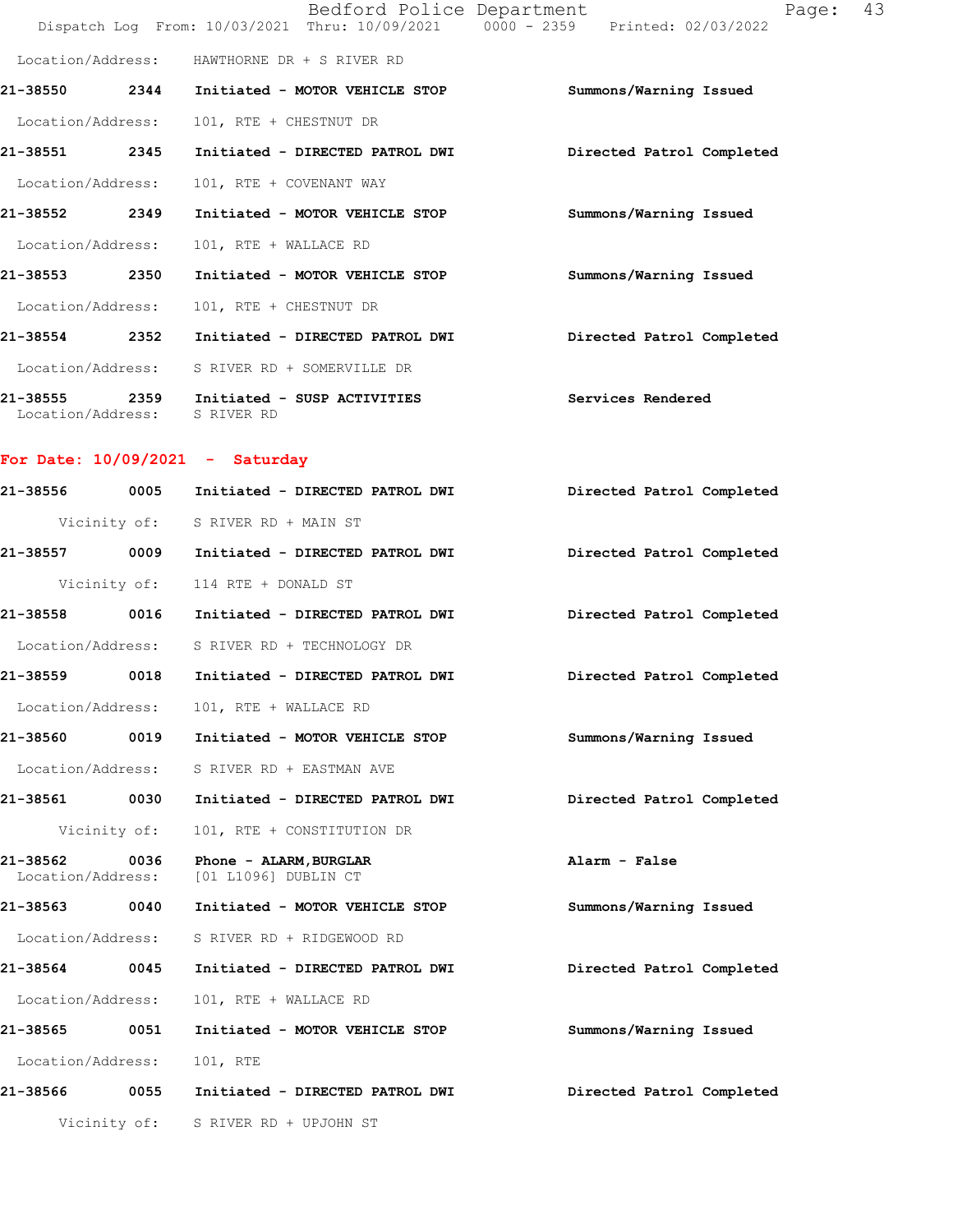|                               |              |                                                                                             | Dispatch Log From: 10/03/2021 Thru: 10/09/2021 0000 - 2359 Printed: 02/03/2022 |
|-------------------------------|--------------|---------------------------------------------------------------------------------------------|--------------------------------------------------------------------------------|
|                               |              | Location/Address: HAWTHORNE DR + S RIVER RD                                                 |                                                                                |
|                               |              | 21-38550 2344 Initiated - MOTOR VEHICLE STOP                                                | Summons/Warning Issued                                                         |
|                               |              | Location/Address: 101, RTE + CHESTNUT DR                                                    |                                                                                |
|                               |              | 21-38551 2345 Initiated - DIRECTED PATROL DWI                                               | Directed Patrol Completed                                                      |
|                               |              | Location/Address: 101, RTE + COVENANT WAY                                                   |                                                                                |
|                               |              | 21-38552 2349 Initiated - MOTOR VEHICLE STOP                                                | Summons/Warning Issued                                                         |
| Location/Address:             |              | 101, RTE + WALLACE RD                                                                       |                                                                                |
| 21-38553 2350                 |              | Initiated - MOTOR VEHICLE STOP                                                              | Summons/Warning Issued                                                         |
|                               |              | Location/Address: 101, RTE + CHESTNUT DR                                                    |                                                                                |
|                               |              | 21-38554 2352 Initiated - DIRECTED PATROL DWI                                               | Directed Patrol Completed                                                      |
|                               |              | Location/Address: S RIVER RD + SOMERVILLE DR                                                |                                                                                |
|                               |              | 21-38555 2359 Initiated - SUSP ACTIVITIES Services Rendered<br>Location/Address: S RIVER RD |                                                                                |
|                               |              | For Date: $10/09/2021$ - Saturday                                                           |                                                                                |
|                               |              | 21-38556 0005 Initiated - DIRECTED PATROL DWI                                               | Directed Patrol Completed                                                      |
|                               |              | Vicinity of: S RIVER RD + MAIN ST                                                           |                                                                                |
|                               |              | 21-38557 0009 Initiated - DIRECTED PATROL DWI                                               | Directed Patrol Completed                                                      |
|                               |              | Vicinity of: 114 RTE + DONALD ST                                                            |                                                                                |
|                               |              | 21-38558 0016 Initiated - DIRECTED PATROL DWI                                               | Directed Patrol Completed                                                      |
|                               |              | Location/Address: S RIVER RD + TECHNOLOGY DR                                                |                                                                                |
|                               |              | 21-38559 0018 Initiated - DIRECTED PATROL DWI                                               | Directed Patrol Completed                                                      |
| Location/Address:             |              | 101, RTE + WALLACE RD                                                                       |                                                                                |
| 21-38560                      | 0019         | Initiated - MOTOR VEHICLE STOP                                                              | Summons/Warning Issued                                                         |
| Location/Address:             |              | S RIVER RD + EASTMAN AVE                                                                    |                                                                                |
| 21-38561                      | 0030         | Initiated - DIRECTED PATROL DWI                                                             | Directed Patrol Completed                                                      |
|                               | Vicinity of: | 101, RTE + CONSTITUTION DR                                                                  |                                                                                |
| 21-38562<br>Location/Address: | 0036         | Phone - ALARM, BURGLAR<br>[01 L1096] DUBLIN CT                                              | Alarm - False                                                                  |
| 21-38563                      | 0040         | Initiated - MOTOR VEHICLE STOP                                                              | Summons/Warning Issued                                                         |
| Location/Address:             |              | S RIVER RD + RIDGEWOOD RD                                                                   |                                                                                |
| 21-38564                      | 0045         | Initiated - DIRECTED PATROL DWI                                                             | Directed Patrol Completed                                                      |
| Location/Address:             |              | 101, RTE + WALLACE RD                                                                       |                                                                                |
| 21-38565                      | 0051         | Initiated - MOTOR VEHICLE STOP                                                              | Summons/Warning Issued                                                         |
| Location/Address:             |              | 101, RTE                                                                                    |                                                                                |
| 21-38566                      | 0055         | Initiated - DIRECTED PATROL DWI                                                             | Directed Patrol Completed                                                      |
|                               |              | Vicinity of: S RIVER RD + UPJOHN ST                                                         |                                                                                |
|                               |              |                                                                                             |                                                                                |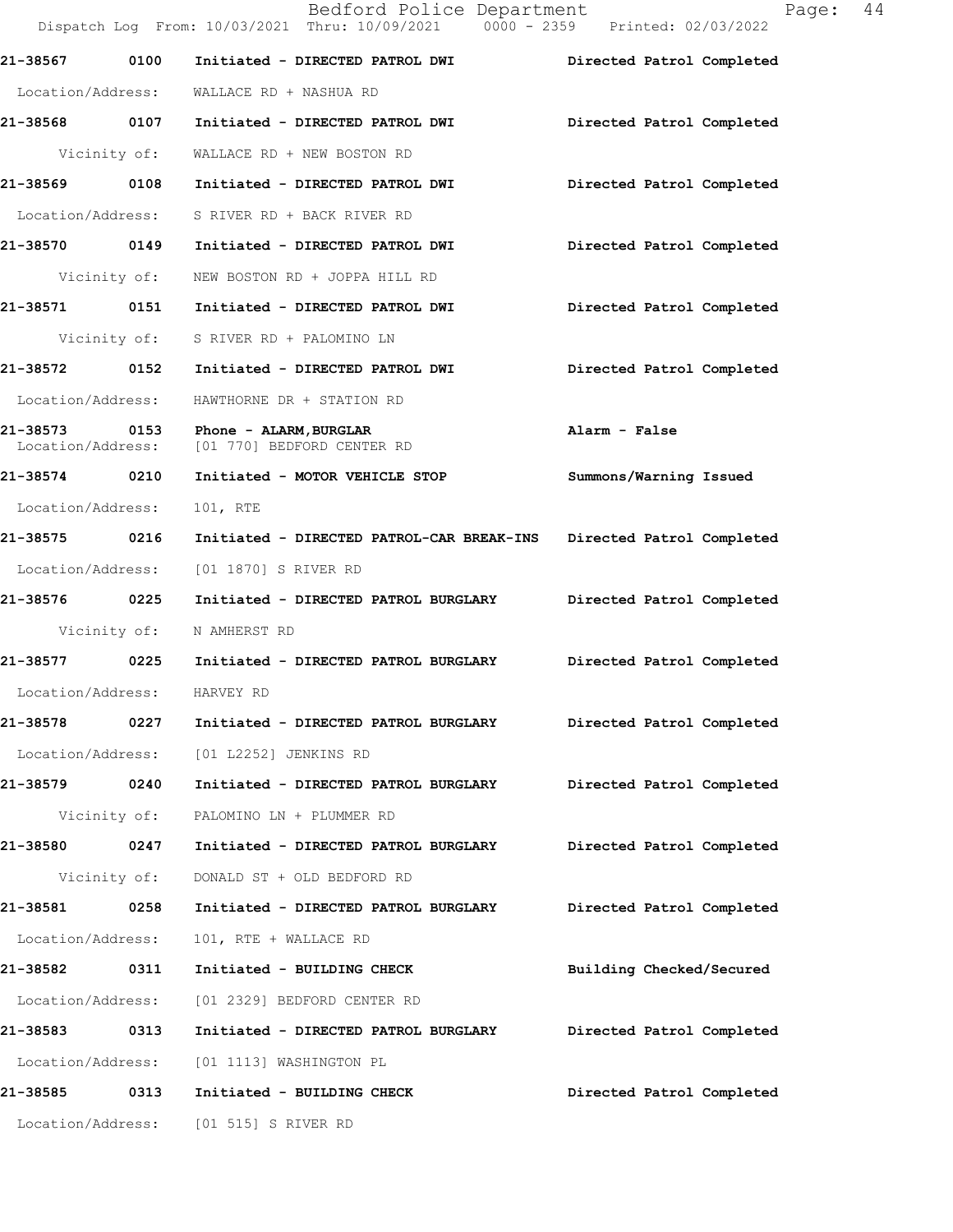|                               |              | Bedford Police Department<br>Dispatch Log From: 10/03/2021 Thru: 10/09/2021 0000 - 2359 Printed: 02/03/2022 | Page: 44                  |  |
|-------------------------------|--------------|-------------------------------------------------------------------------------------------------------------|---------------------------|--|
| 21-38567                      | 0100         | Initiated - DIRECTED PATROL DWI                                                                             | Directed Patrol Completed |  |
| Location/Address:             |              | WALLACE RD + NASHUA RD                                                                                      |                           |  |
| 21-38568 0107                 |              | Initiated - DIRECTED PATROL DWI                                                                             | Directed Patrol Completed |  |
| Vicinity of:                  |              | WALLACE RD + NEW BOSTON RD                                                                                  |                           |  |
| 21-38569 0108                 |              | Initiated - DIRECTED PATROL DWI                                                                             | Directed Patrol Completed |  |
| Location/Address:             |              | S RIVER RD + BACK RIVER RD                                                                                  |                           |  |
| 21-38570 0149                 |              | Initiated - DIRECTED PATROL DWI                                                                             | Directed Patrol Completed |  |
| Vicinity of:                  |              | NEW BOSTON RD + JOPPA HILL RD                                                                               |                           |  |
| 21-38571 0151                 |              | Initiated - DIRECTED PATROL DWI                                                                             | Directed Patrol Completed |  |
|                               | Vicinity of: | S RIVER RD + PALOMINO LN                                                                                    |                           |  |
| 21-38572 0152                 |              | Initiated - DIRECTED PATROL DWI                                                                             | Directed Patrol Completed |  |
| Location/Address:             |              | HAWTHORNE DR + STATION RD                                                                                   |                           |  |
| 21-38573<br>Location/Address: |              | 0153 Phone - ALARM, BURGLAR<br>[01 770] BEDFORD CENTER RD                                                   | Alarm - False             |  |
| 21-38574 0210                 |              | Initiated - MOTOR VEHICLE STOP                                                                              | Summons/Warning Issued    |  |
| Location/Address:             |              | 101, RTE                                                                                                    |                           |  |
| 21-38575 0216                 |              | Initiated - DIRECTED PATROL-CAR BREAK-INS                                                                   | Directed Patrol Completed |  |
| Location/Address:             |              | [01 1870] S RIVER RD                                                                                        |                           |  |
| 21-38576 0225                 |              | Initiated - DIRECTED PATROL BURGLARY                                                                        | Directed Patrol Completed |  |
| Vicinity of:                  |              | N AMHERST RD                                                                                                |                           |  |
| 21-38577 0225                 |              | Initiated - DIRECTED PATROL BURGLARY                                                                        | Directed Patrol Completed |  |
| Location/Address:             |              | HARVEY RD                                                                                                   |                           |  |
| 21-38578                      | 0227         | Initiated - DIRECTED PATROL BURGLARY                                                                        | Directed Patrol Completed |  |
| Location/Address:             |              | [01 L2252] JENKINS RD                                                                                       |                           |  |
| 21-38579 0240                 |              | Initiated - DIRECTED PATROL BURGLARY                                                                        | Directed Patrol Completed |  |
|                               | Vicinity of: | PALOMINO LN + PLUMMER RD                                                                                    |                           |  |
| 21-38580                      | 0247         | Initiated - DIRECTED PATROL BURGLARY                                                                        | Directed Patrol Completed |  |
|                               | Vicinity of: | DONALD ST + OLD BEDFORD RD                                                                                  |                           |  |
| 21-38581                      | 0258         | Initiated - DIRECTED PATROL BURGLARY                                                                        | Directed Patrol Completed |  |
| Location/Address:             |              | 101, RTE + WALLACE RD                                                                                       |                           |  |
| 21-38582 0311                 |              | Initiated - BUILDING CHECK                                                                                  | Building Checked/Secured  |  |
| Location/Address:             |              | [01 2329] BEDFORD CENTER RD                                                                                 |                           |  |
| 21-38583 0313                 |              | Initiated - DIRECTED PATROL BURGLARY                                                                        | Directed Patrol Completed |  |
| Location/Address:             |              | [01 1113] WASHINGTON PL                                                                                     |                           |  |
| 21-38585                      | 0313         | Initiated - BUILDING CHECK                                                                                  | Directed Patrol Completed |  |
|                               |              | Location/Address: [01 515] S RIVER RD                                                                       |                           |  |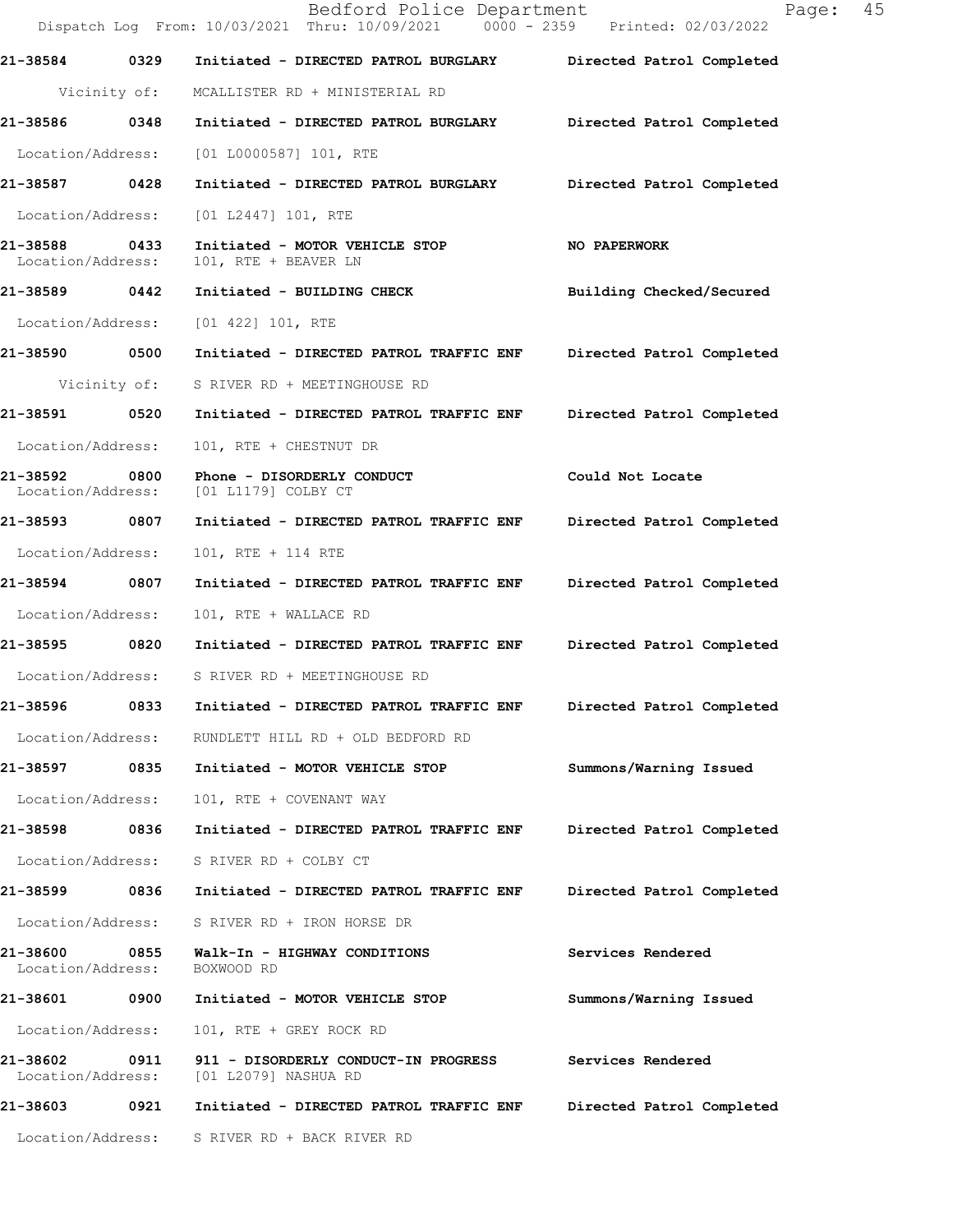|                               |              | Bedford Police Department<br>Dispatch Log From: 10/03/2021 Thru: 10/09/2021 0000 - 2359 Printed: 02/03/2022 | Page:                     | 45 |
|-------------------------------|--------------|-------------------------------------------------------------------------------------------------------------|---------------------------|----|
| 21-38584                      | 0329         | Initiated - DIRECTED PATROL BURGLARY                                                                        | Directed Patrol Completed |    |
|                               | Vicinity of: | MCALLISTER RD + MINISTERIAL RD                                                                              |                           |    |
| 21-38586                      | 0348         | Initiated - DIRECTED PATROL BURGLARY                                                                        | Directed Patrol Completed |    |
| Location/Address:             |              | $[01 L0000587] 101$ , RTE                                                                                   |                           |    |
| 21-38587                      | 0428         | Initiated - DIRECTED PATROL BURGLARY                                                                        | Directed Patrol Completed |    |
| Location/Address:             |              | $[01 L2447] 101$ , RTE                                                                                      |                           |    |
| 21-38588<br>Location/Address: | 0433         | Initiated - MOTOR VEHICLE STOP<br>101, RTE + BEAVER LN                                                      | NO PAPERWORK              |    |
| 21-38589 0442                 |              | Initiated - BUILDING CHECK                                                                                  | Building Checked/Secured  |    |
| Location/Address:             |              | $[01 422] 101$ , RTE                                                                                        |                           |    |
| 21-38590 0500                 |              | Initiated - DIRECTED PATROL TRAFFIC ENF                                                                     | Directed Patrol Completed |    |
|                               | Vicinity of: | S RIVER RD + MEETINGHOUSE RD                                                                                |                           |    |
| 21-38591                      | 0520         | Initiated - DIRECTED PATROL TRAFFIC ENF                                                                     | Directed Patrol Completed |    |
| Location/Address:             |              | 101, RTE + CHESTNUT DR                                                                                      |                           |    |
| 21-38592<br>Location/Address: | 0800         | Phone - DISORDERLY CONDUCT<br>[01 L1179] COLBY CT                                                           | Could Not Locate          |    |
| 21-38593                      | 0807         | Initiated - DIRECTED PATROL TRAFFIC ENF                                                                     | Directed Patrol Completed |    |
| Location/Address:             |              | 101, RTE + 114 RTE                                                                                          |                           |    |
| 21-38594                      | 0807         | Initiated - DIRECTED PATROL TRAFFIC ENF                                                                     | Directed Patrol Completed |    |
| Location/Address:             |              | 101, RTE + WALLACE RD                                                                                       |                           |    |
| 21-38595 0820                 |              | Initiated - DIRECTED PATROL TRAFFIC ENF                                                                     | Directed Patrol Completed |    |
|                               |              | Location/Address: S RIVER RD + MEETINGHOUSE RD                                                              |                           |    |
| 21-38596                      | 0833         | Initiated - DIRECTED PATROL TRAFFIC ENF                                                                     | Directed Patrol Completed |    |
| Location/Address:             |              | RUNDLETT HILL RD + OLD BEDFORD RD                                                                           |                           |    |
| 21-38597 0835                 |              | Initiated - MOTOR VEHICLE STOP                                                                              | Summons/Warning Issued    |    |
| Location/Address:             |              | 101, RTE + COVENANT WAY                                                                                     |                           |    |
| 21-38598                      | 0836         | Initiated - DIRECTED PATROL TRAFFIC ENF                                                                     | Directed Patrol Completed |    |
| Location/Address:             |              | S RIVER RD + COLBY CT                                                                                       |                           |    |
| 21-38599                      | 0836         | Initiated - DIRECTED PATROL TRAFFIC ENF                                                                     | Directed Patrol Completed |    |
| Location/Address:             |              | S RIVER RD + IRON HORSE DR                                                                                  |                           |    |
| 21-38600<br>Location/Address: | 0855         | Walk-In - HIGHWAY CONDITIONS<br>BOXWOOD RD                                                                  | Services Rendered         |    |
| 21-38601                      | 0900         | Initiated - MOTOR VEHICLE STOP                                                                              | Summons/Warning Issued    |    |
| Location/Address:             |              | 101, RTE + GREY ROCK RD                                                                                     |                           |    |
| 21-38602<br>Location/Address: | 0911         | 911 - DISORDERLY CONDUCT-IN PROGRESS<br>[01 L2079] NASHUA RD                                                | Services Rendered         |    |
| 21-38603                      | 0921         | Initiated - DIRECTED PATROL TRAFFIC ENF                                                                     | Directed Patrol Completed |    |
| Location/Address:             |              | S RIVER RD + BACK RIVER RD                                                                                  |                           |    |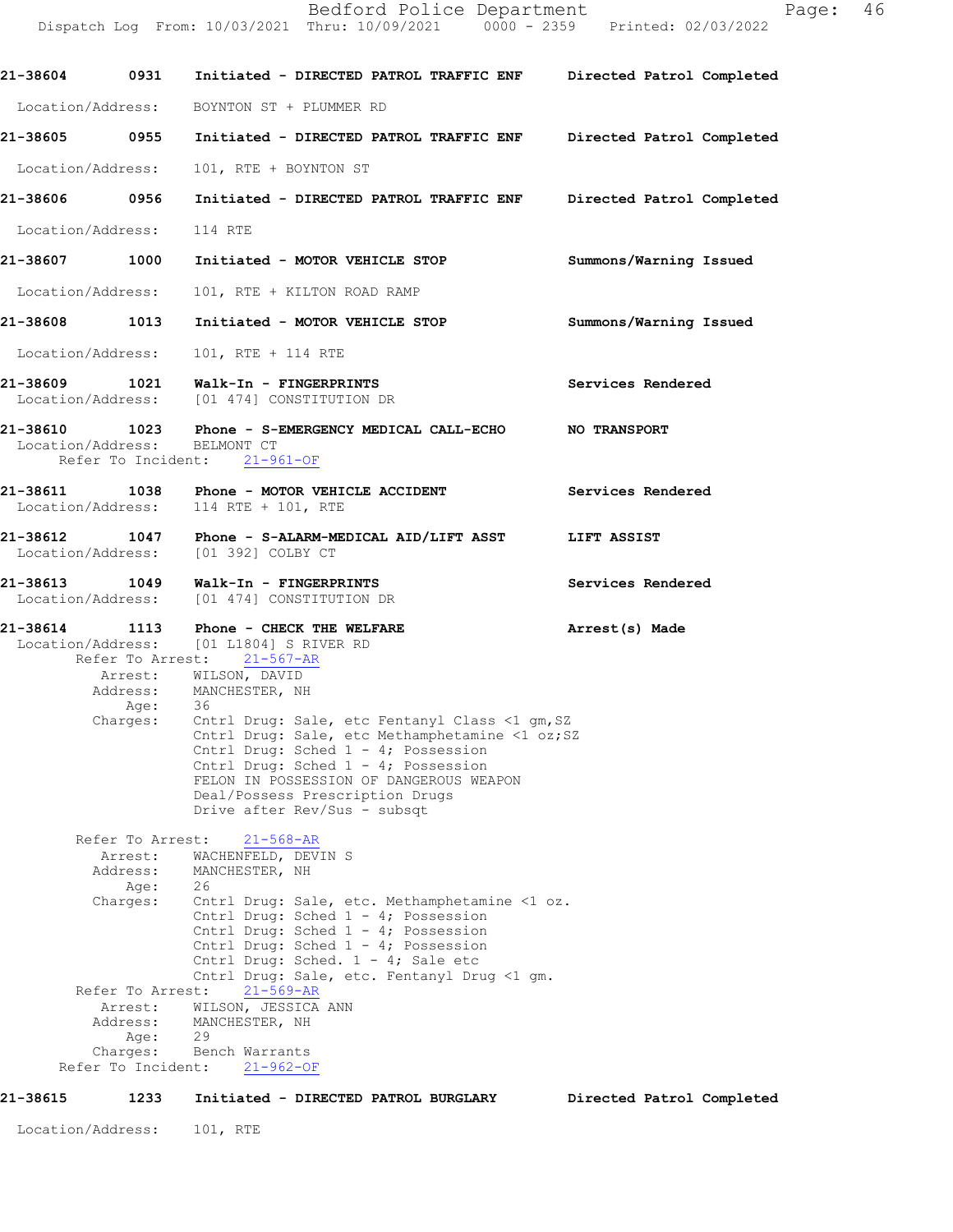Dispatch Log From: 10/03/2021 Thru: 10/09/2021 0000 - 2359 Printed: 02/03/2022 **21-38604 0931 Initiated - DIRECTED PATROL TRAFFIC ENF Directed Patrol Completed**  Location/Address: BOYNTON ST + PLUMMER RD **21-38605 0955 Initiated - DIRECTED PATROL TRAFFIC ENF Directed Patrol Completed**  Location/Address: 101, RTE + BOYNTON ST **21-38606 0956 Initiated - DIRECTED PATROL TRAFFIC ENF Directed Patrol Completed**  Location/Address: 114 RTE **21-38607 1000 Initiated - MOTOR VEHICLE STOP Summons/Warning Issued**  Location/Address: 101, RTE + KILTON ROAD RAMP **21-38608 1013 Initiated - MOTOR VEHICLE STOP Summons/Warning Issued**  Location/Address: 101, RTE + 114 RTE **21-38609 1021 Walk-In - FINGERPRINTS Services Rendered**  Location/Address: [01 474] CONSTITUTION DR **21-38610 1023 Phone - S-EMERGENCY MEDICAL CALL-ECHO NO TRANSPORT** Location/Address: BELMONT CT Refer To Incident: 21-961-OF **21-38611 1038 Phone - MOTOR VEHICLE ACCIDENT Services Rendered**  Location/Address: 114 RTE + 101, RTE **21-38612 1047 Phone - S-ALARM-MEDICAL AID/LIFT ASST LIFT ASSIST**  Location/Address: [01 392] COLBY CT **21-38613 1049 Walk-In - FINGERPRINTS Services Rendered**  Location/Address: [01 474] CONSTITUTION DR **21-38614 1113 Phone - CHECK THE WELFARE Arrest(s) Made** Location/Address: [01 L1804] S RIVER RD Refer To Arrest: 21-567-AR  $21 - 568 - AR$ Refer To Arrest: 21-569-AR Refer To Incident: 21-962-OF Arrest: WILSON, DAVID<br>Address: MANCHESTER, NH MANCHESTER, NH Age: 36 Charges: Cntrl Drug: Sale, etc Fentanyl Class <1 gm, SZ Cntrl Drug: Sale, etc Methamphetamine <1 oz; SZ Cntrl Drug: Sched 1 - 4; Possession Cntrl Drug: Sched 1 - 4; Possession FELON IN POSSESSION OF DANGEROUS WEAPON Deal/Possess Prescription Drugs Drive after Rev/Sus - subsqt Refer To Arrest: Arrest: WACHENFELD, DEVIN S<br>Address: MANCHESTER, NH MANCHESTER, NH Age: 26 Charges: Cntrl Drug: Sale, etc. Methamphetamine <1 oz. Cntrl Drug: Sched 1 - 4; Possession Cntrl Drug: Sched 1 - 4; Possession Cntrl Drug: Sched 1 - 4; Possession Cntrl Drug: Sched. 1 - 4; Sale etc Cntrl Drug: Sale, etc. Fentanyl Drug <1 gm. Arrest: WILSON, JESSICA ANN Address: MANCHESTER, NH Age: 29 Charges: Bench Warrants **21-38615 1233 Initiated - DIRECTED PATROL BURGLARY Directed Patrol Completed**

Location/Address: 101, RTE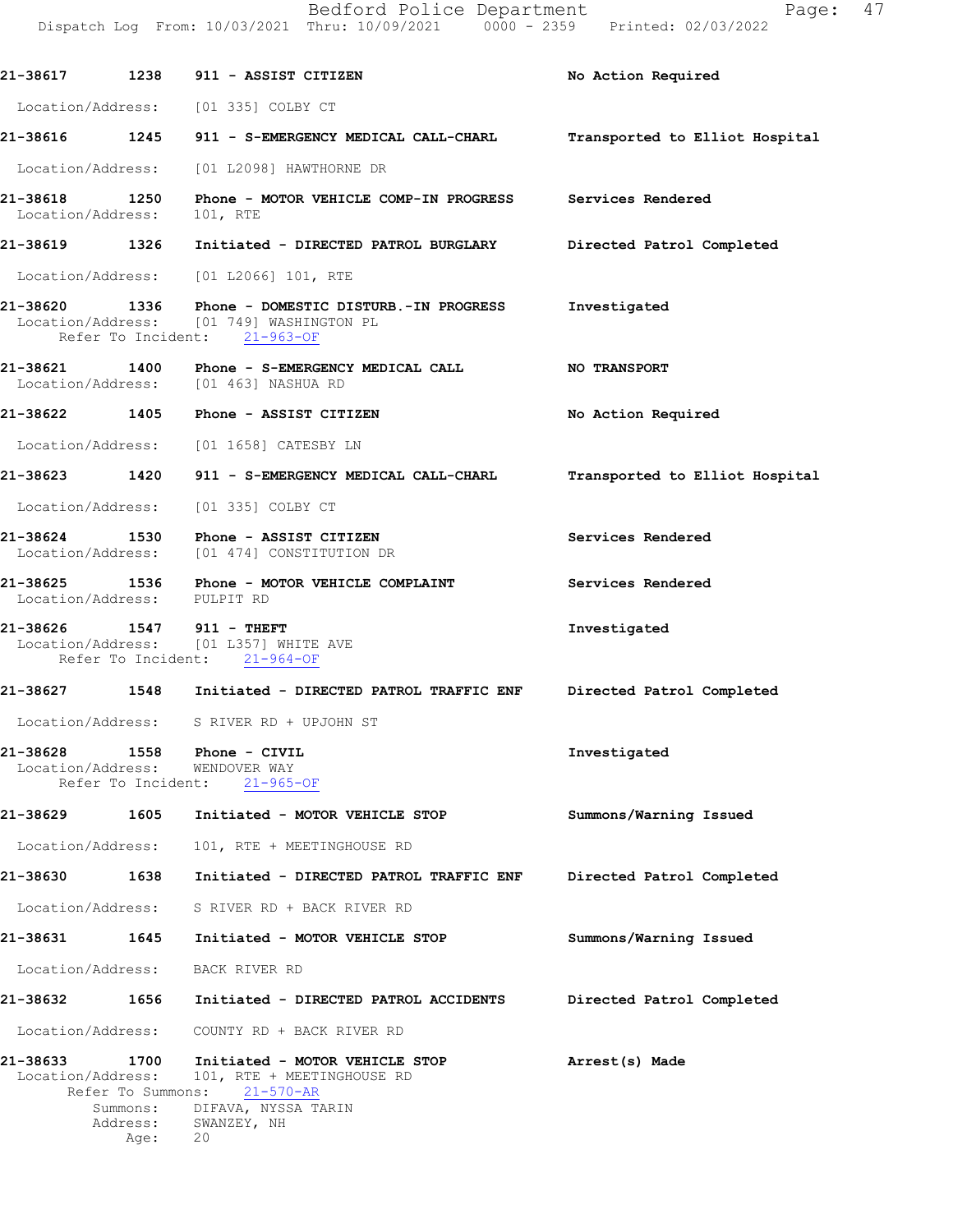| 21-38617 1238                               |                                       | 911 - ASSIST CITIZEN                                                                                   | No Action Required             |
|---------------------------------------------|---------------------------------------|--------------------------------------------------------------------------------------------------------|--------------------------------|
|                                             |                                       | Location/Address: [01 335] COLBY CT                                                                    |                                |
|                                             |                                       | 21-38616 1245 911 - S-EMERGENCY MEDICAL CALL-CHARL                                                     | Transported to Elliot Hospital |
|                                             |                                       | Location/Address: [01 L2098] HAWTHORNE DR                                                              |                                |
| 21-38618 1250<br>Location/Address: 101, RTE |                                       | Phone - MOTOR VEHICLE COMP-IN PROGRESS Services Rendered                                               |                                |
| 21-38619 1326                               |                                       | Initiated - DIRECTED PATROL BURGLARY                                                                   | Directed Patrol Completed      |
|                                             |                                       | Location/Address: [01 L2066] 101, RTE                                                                  |                                |
|                                             |                                       | Location/Address: [01 749] WASHINGTON PL<br>Refer To Incident: 21-963-OF                               | Investigated                   |
|                                             |                                       | 21-38621 1400 Phone - S-EMERGENCY MEDICAL CALL<br>Location/Address: [01 463] NASHUA RD                 | <b>NO TRANSPORT</b>            |
|                                             |                                       | 21-38622 1405 Phone - ASSIST CITIZEN                                                                   | No Action Required             |
|                                             |                                       | Location/Address: [01 1658] CATESBY LN                                                                 |                                |
| 21-38623                                    | 1420                                  | 911 - S-EMERGENCY MEDICAL CALL-CHARL                                                                   | Transported to Elliot Hospital |
|                                             |                                       | Location/Address: [01 335] COLBY CT                                                                    |                                |
|                                             |                                       | 21-38624 1530 Phone - ASSIST CITIZEN<br>Location/Address: [01 474] CONSTITUTION DR                     | Services Rendered              |
| 21-38625 1536                               |                                       | Phone - MOTOR VEHICLE COMPLAINT<br>Location/Address: PULPIT RD                                         | Services Rendered              |
|                                             |                                       | 21-38626 1547 911 - THEFT<br>Location/Address: [01 L357] WHITE AVE<br>Refer To Incident: 21-964-OF     | Investigated                   |
|                                             |                                       | 21-38627 1548 Initiated - DIRECTED PATROL TRAFFIC ENF Directed Patrol Completed                        |                                |
|                                             |                                       | Location/Address: S RIVER RD + UPJOHN ST                                                               |                                |
| 21-38628<br>Location/Address:               | 1558<br>Refer To Incident:            | Phone - CIVIL<br>WENDOVER WAY<br>$21 - 965 - OF$                                                       | Investigated                   |
| 21-38629                                    | 1605                                  | Initiated - MOTOR VEHICLE STOP                                                                         | Summons/Warning Issued         |
|                                             | Location/Address:                     | 101, RTE + MEETINGHOUSE RD                                                                             |                                |
| 21-38630                                    | 1638                                  | Initiated - DIRECTED PATROL TRAFFIC ENF                                                                | Directed Patrol Completed      |
|                                             |                                       | Location/Address: S RIVER RD + BACK RIVER RD                                                           |                                |
| 21-38631                                    |                                       | 1645 Initiated - MOTOR VEHICLE STOP                                                                    | Summons/Warning Issued         |
| Location/Address:                           |                                       | BACK RIVER RD                                                                                          |                                |
| 21-38632                                    | 1656                                  | Initiated - DIRECTED PATROL ACCIDENTS                                                                  | Directed Patrol Completed      |
|                                             | Location/Address:                     | COUNTY RD + BACK RIVER RD                                                                              |                                |
| 21-38633<br>Location/Address:               | 1700<br>Refer To Summons:<br>Summons: | Initiated - MOTOR VEHICLE STOP<br>101, RTE + MEETINGHOUSE RD<br>$21 - 570 - AR$<br>DIFAVA, NYSSA TARIN | Arrest(s) Made                 |
|                                             | Address:<br>Age:                      | SWANZEY, NH<br>20                                                                                      |                                |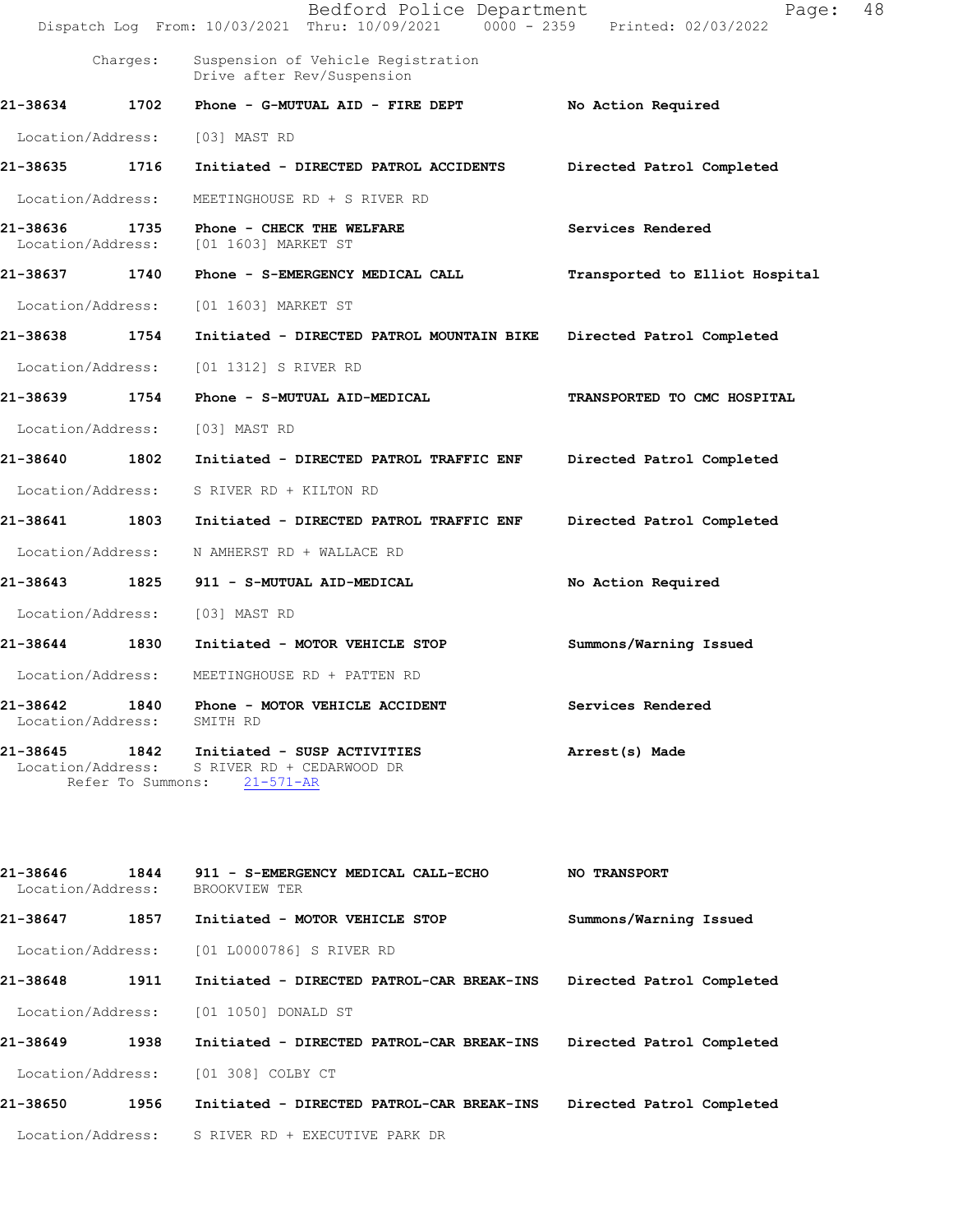|                               |                           | Bedford Police Department<br>Dispatch Log From: 10/03/2021 Thru: 10/09/2021 0000 - 2359 Printed: 02/03/2022 | Page:                          | 48 |
|-------------------------------|---------------------------|-------------------------------------------------------------------------------------------------------------|--------------------------------|----|
|                               | Charges:                  | Suspension of Vehicle Registration<br>Drive after Rev/Suspension                                            |                                |    |
| 21-38634                      | 1702                      | Phone - G-MUTUAL AID - FIRE DEPT                                                                            | No Action Required             |    |
| Location/Address:             |                           | [03] MAST RD                                                                                                |                                |    |
| 21-38635 1716                 |                           | Initiated - DIRECTED PATROL ACCIDENTS                                                                       | Directed Patrol Completed      |    |
| Location/Address:             |                           | MEETINGHOUSE RD + S RIVER RD                                                                                |                                |    |
| 21-38636<br>Location/Address: | 1735                      | Phone - CHECK THE WELFARE<br>[01 1603] MARKET ST                                                            | Services Rendered              |    |
| 21-38637                      | 1740                      | Phone - S-EMERGENCY MEDICAL CALL                                                                            | Transported to Elliot Hospital |    |
| Location/Address:             |                           | [01 1603] MARKET ST                                                                                         |                                |    |
| 21-38638                      | 1754                      | Initiated - DIRECTED PATROL MOUNTAIN BIKE                                                                   | Directed Patrol Completed      |    |
| Location/Address:             |                           | [01 1312] S RIVER RD                                                                                        |                                |    |
| 21-38639                      | 1754                      | Phone - S-MUTUAL AID-MEDICAL                                                                                | TRANSPORTED TO CMC HOSPITAL    |    |
| Location/Address:             |                           | [03] MAST RD                                                                                                |                                |    |
| 21-38640                      | 1802                      | Initiated - DIRECTED PATROL TRAFFIC ENF                                                                     | Directed Patrol Completed      |    |
| Location/Address:             |                           | S RIVER RD + KILTON RD                                                                                      |                                |    |
| 21-38641                      | 1803                      | Initiated - DIRECTED PATROL TRAFFIC ENF                                                                     | Directed Patrol Completed      |    |
| Location/Address:             |                           | N AMHERST RD + WALLACE RD                                                                                   |                                |    |
| 21-38643                      | 1825                      | 911 - S-MUTUAL AID-MEDICAL                                                                                  | No Action Required             |    |
| Location/Address:             |                           | [03] MAST RD                                                                                                |                                |    |
| 21-38644                      | 1830                      | Initiated - MOTOR VEHICLE STOP                                                                              | Summons/Warning Issued         |    |
| Location/Address:             |                           | MEETINGHOUSE RD + PATTEN RD                                                                                 |                                |    |
| 21-38642<br>Location/Address: | 1840                      | Phone - MOTOR VEHICLE ACCIDENT<br>SMITH RD                                                                  | Services Rendered              |    |
| 21-38645<br>Location/Address: | 1842<br>Refer To Summons: | Initiated - SUSP ACTIVITIES<br>S RIVER RD + CEDARWOOD DR<br>$21 - 571 - AR$                                 | Arrest(s) Made                 |    |

| 21-38646<br>1844<br>Location/Address: | 911 - S-EMERGENCY MEDICAL CALL-ECHO<br>BROOKVIEW TER | <b>NO TRANSPORT</b>       |
|---------------------------------------|------------------------------------------------------|---------------------------|
| 1857<br>21-38647                      | Initiated - MOTOR VEHICLE STOP                       | Summons/Warning Issued    |
|                                       | Location/Address: [01 L0000786] S RIVER RD           |                           |
| 21-38648<br>1911                      | Initiated - DIRECTED PATROL-CAR BREAK-INS            | Directed Patrol Completed |
| Location/Address:                     | [01 1050] DONALD ST                                  |                           |
| 1938<br>21-38649                      | Initiated - DIRECTED PATROL-CAR BREAK-INS            | Directed Patrol Completed |
| Location/Address:                     | [01 308] COLBY CT                                    |                           |
| 1956<br>21-38650                      | Initiated - DIRECTED PATROL-CAR BREAK-INS            | Directed Patrol Completed |
| Location/Address:                     | S RIVER RD + EXECUTIVE PARK DR                       |                           |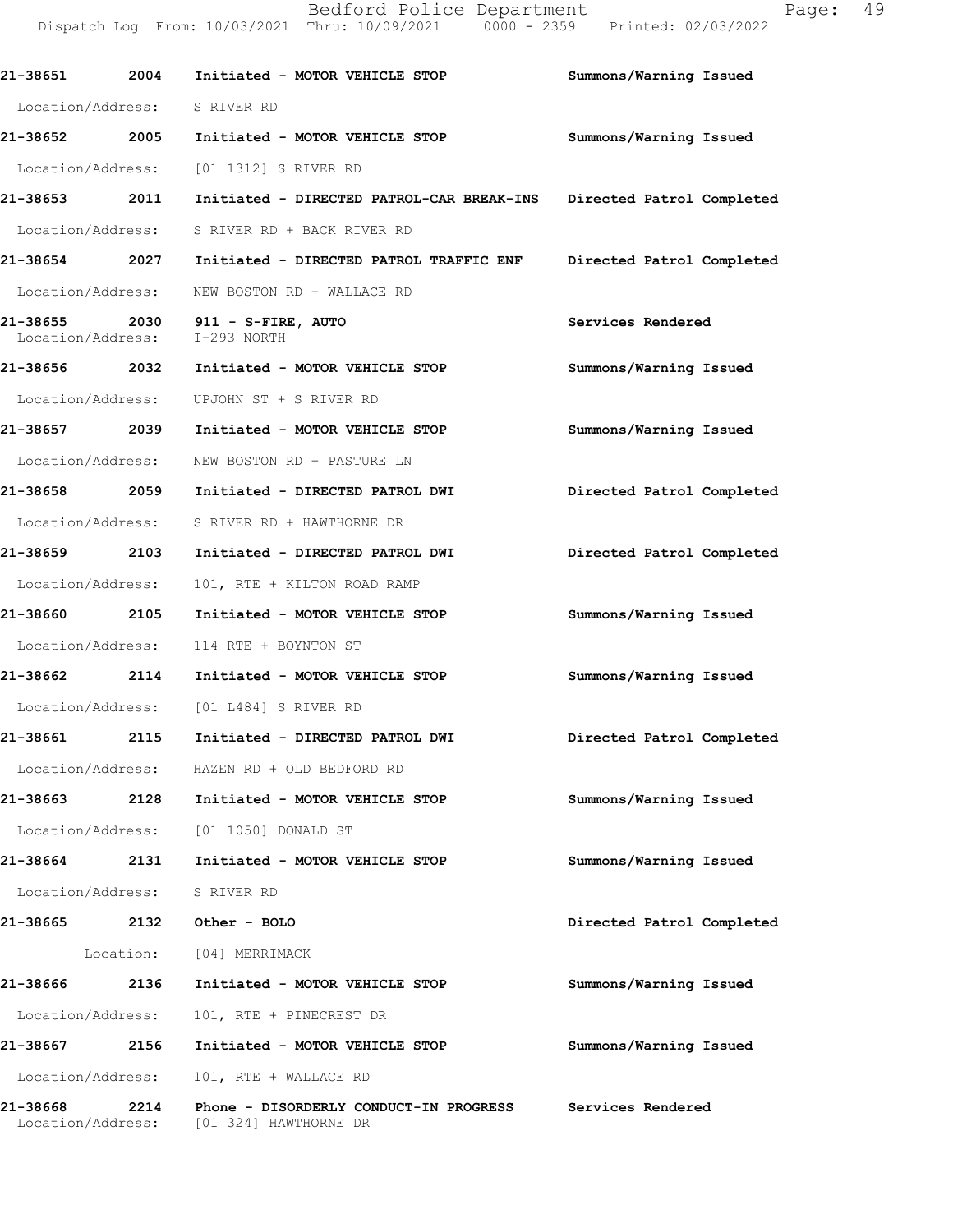Bedford Police Department Fage: 49 Dispatch Log From: 10/03/2021 Thru: 10/09/2021 0000 - 2359 Printed: 02/03/2022

| 21-38651<br>2004                      | Initiated - MOTOR VEHICLE STOP                                      | Summons/Warning Issued    |
|---------------------------------------|---------------------------------------------------------------------|---------------------------|
| Location/Address: S RIVER RD          |                                                                     |                           |
| 21-38652 2005                         | Initiated - MOTOR VEHICLE STOP                                      | Summons/Warning Issued    |
| Location/Address:                     | [01 1312] S RIVER RD                                                |                           |
| 21-38653 2011                         | Initiated - DIRECTED PATROL-CAR BREAK-INS Directed Patrol Completed |                           |
| Location/Address:                     | S RIVER RD + BACK RIVER RD                                          |                           |
| 21-38654 2027                         | Initiated - DIRECTED PATROL TRAFFIC ENF                             | Directed Patrol Completed |
| Location/Address:                     | NEW BOSTON RD + WALLACE RD                                          |                           |
| Location/Address:                     | $21-38655$ $2030$ $911 - S-FIRE$ , AUTO<br>I-293 NORTH              | Services Rendered         |
| 21-38656 2032                         | Initiated - MOTOR VEHICLE STOP                                      | Summons/Warning Issued    |
| Location/Address:                     | UPJOHN ST + S RIVER RD                                              |                           |
| 21-38657 2039                         | Initiated - MOTOR VEHICLE STOP                                      | Summons/Warning Issued    |
| Location/Address:                     | NEW BOSTON RD + PASTURE LN                                          |                           |
| 21-38658 2059                         | Initiated - DIRECTED PATROL DWI                                     | Directed Patrol Completed |
| Location/Address:                     | S RIVER RD + HAWTHORNE DR                                           |                           |
| 21-38659 2103                         | Initiated - DIRECTED PATROL DWI                                     | Directed Patrol Completed |
| Location/Address:                     | 101, RTE + KILTON ROAD RAMP                                         |                           |
| 21-38660 2105                         | Initiated - MOTOR VEHICLE STOP                                      | Summons/Warning Issued    |
| Location/Address:                     | 114 RTE + BOYNTON ST                                                |                           |
| 21-38662 2114                         | Initiated - MOTOR VEHICLE STOP                                      | Summons/Warning Issued    |
|                                       | Location/Address: [01 L484] S RIVER RD                              |                           |
|                                       | 21-38661 2115 Initiated - DIRECTED PATROL DWI                       | Directed Patrol Completed |
|                                       | Location/Address: HAZEN RD + OLD BEDFORD RD                         |                           |
| 2128<br>21-38663                      | Initiated - MOTOR VEHICLE STOP                                      | Summons/Warning Issued    |
|                                       | Location/Address: [01 1050] DONALD ST                               |                           |
| 2131<br>21-38664                      | Initiated - MOTOR VEHICLE STOP                                      | Summons/Warning Issued    |
| Location/Address:                     | S RIVER RD                                                          |                           |
| 21-38665<br>2132                      | Other - BOLO                                                        | Directed Patrol Completed |
|                                       | Location: [04] MERRIMACK                                            |                           |
| 21-38666<br>2136                      | Initiated - MOTOR VEHICLE STOP                                      | Summons/Warning Issued    |
| Location/Address:                     | 101, RTE + PINECREST DR                                             |                           |
| 21-38667<br>2156                      | Initiated - MOTOR VEHICLE STOP                                      | Summons/Warning Issued    |
| Location/Address:                     | 101, RTE + WALLACE RD                                               |                           |
| 21-38668<br>2214<br>Location/Address: | Phone - DISORDERLY CONDUCT-IN PROGRESS<br>[01 324] HAWTHORNE DR     | Services Rendered         |